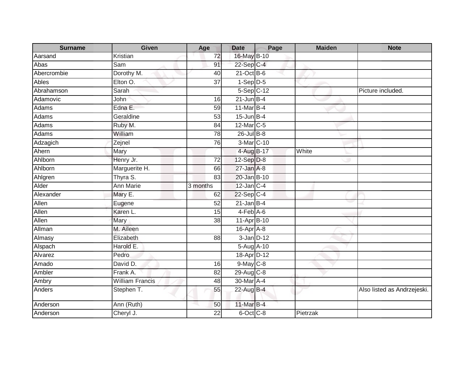| <b>Surname</b> | Given                  | Age             | <b>Date</b>             | Page | <b>Maiden</b> | <b>Note</b>                 |
|----------------|------------------------|-----------------|-------------------------|------|---------------|-----------------------------|
| Aarsand        | Kristian               | 72              | 16-May B-10             |      |               |                             |
| Abas           | Sam                    | 91              | 22-Sep C-4              |      |               |                             |
| Abercrombie    | Dorothy M.             | 40              | $21-Oct$ B-6            |      |               |                             |
| Ables          | Elton O.               | $\overline{37}$ | $1-Sep$ D-5             |      |               |                             |
| Abrahamson     | Sarah                  |                 | $5-Sep$ <sub>C-12</sub> |      |               | Picture included.           |
| Adamovic       | John                   | 16              | $21$ -Jun B-4           |      |               |                             |
| Adams          | Edna E.                | 59              | 11-Mar B-4              |      |               |                             |
| Adams          | Geraldine              | 53              | 15-Jun B-4              |      |               |                             |
| <b>Adams</b>   | Ruby M.                | 84              | $12$ -Mar $C-5$         |      |               |                             |
| Adams          | William                | 78              | $26$ -Jul B-8           |      |               |                             |
| Adzagich       | Zejnel                 | 76              | 3-Mar C-10              |      |               |                             |
| Ahern          | Mary                   |                 | 4-Aug B-17              |      | White         |                             |
| Ahlborn        | Henry Jr.              | $\overline{72}$ | 12-Sep D-8              |      |               |                             |
| Ahlborn        | Marguerite H.          | 66              | $27$ -Jan $A-8$         |      |               |                             |
| Ahlgren        | Thyra S.               | 83              | 20-Jan B-10             |      |               |                             |
| Alder          | <b>Ann Marie</b>       | 3 months        | $12$ -Jan C-4           |      |               |                             |
| Alexander      | Mary E.                | 62              | 22-Sep C-4              |      |               |                             |
| Allen          | Eugene                 | 52              | $21$ -Jan B-4           |      |               |                             |
| Allen          | Karen L.               | 15              | $4-Feb$ A-6             |      |               |                             |
| Allen          | Mary                   | 38              | 11-Apr B-10             |      |               |                             |
| Allman         | M. Aileen              |                 | 16-Apr A-8              |      |               |                             |
| Almasy         | Elizabeth              | 88              | $3$ -Jan $D-12$         |      |               |                             |
| Alspach        | Harold E.              |                 | 5-Aug A-10              |      |               |                             |
| Alvarez        | Pedro                  |                 | 18-Apr D-12             |      |               |                             |
| Amado          | David D.               | 16              | $9$ -May $C$ -8         |      |               |                             |
| Ambler         | Frank A.               | $\overline{82}$ | 29-Aug C-8              |      |               |                             |
| Ambry          | <b>William Francis</b> | 48              | 30-Mar <sub>A-4</sub>   |      |               |                             |
| Anders         | Stephen T.             | 55              | 22-Aug B-4              |      |               | Also listed as Andrzejeski. |
| Anderson       | Ann (Ruth)             | 50              | 11-Mar B-4              |      |               |                             |
| Anderson       | Cheryl J.              | 22              | 6-Oct C-8               |      | Pietrzak      |                             |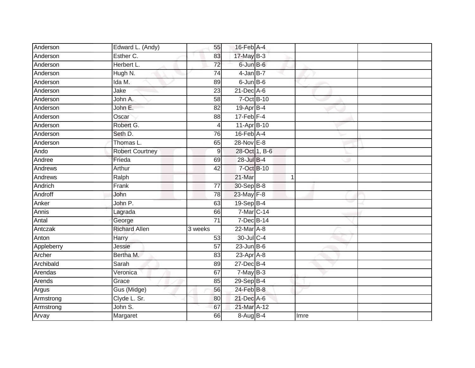| Anderson   | Edward L. (Andy)       | 55              | $16$ -Feb $A$ -4           |      |  |
|------------|------------------------|-----------------|----------------------------|------|--|
| Anderson   | Esther C.              | 83              | 17-May B-3                 |      |  |
| Anderson   | Herbert L.             | $\overline{72}$ | 6-Jun B-6                  |      |  |
| Anderson   | Hugh N.                | 74              | 4-Jan B-7                  |      |  |
| Anderson   | Ida M.                 | 89              | $6$ -Jun $B$ -6            |      |  |
| Anderson   | Jake                   | 23              | $21$ -Dec $A$ -6           |      |  |
| Anderson   | John A.                | $\overline{58}$ | 7-Oct B-10                 |      |  |
| Anderson   | John E.                | 82              | 19-Apr B-4                 |      |  |
| Anderson   | Oscar                  | 88              | $17$ -Feb $F-4$            |      |  |
| Anderson   | Robert G.              | 4               | 11-Apr B-10                |      |  |
| Anderson   | Seth D.                | 76              | $16$ -Feb $\overline{A-4}$ |      |  |
| Anderson   | Thomas L.              | 65              | $28-Nov$ E-8               |      |  |
| Ando       | <b>Robert Courtney</b> | $\overline{9}$  | 28-Oct 1, B-6              |      |  |
| Andree     | Frieda                 | 69              | 28-Jul B-4                 |      |  |
| Andrews    | Arthur                 | 42              | 7-Oct B-10                 |      |  |
| Andrews    | Ralph                  |                 | 21-Mar                     | 1    |  |
| Andrich    | Frank                  | 77              | 30-Sep B-8                 |      |  |
| Androff    | John                   | 78              | 23-May F-8                 |      |  |
| Anker      | John P.                | 63              | 19-Sep B-4                 |      |  |
| Annis      | Lagrada                | 66              | 7-Mar C-14                 |      |  |
| Antal      | George                 | $\overline{71}$ | 7-Dec B-14                 |      |  |
| Antczak    | <b>Richard Allen</b>   | 3 weeks         | 22-Mar A-8                 |      |  |
| Anton      | Harry                  | 53              | 30-Jul C-4                 |      |  |
| Appleberry | Jessie                 | $\overline{57}$ | $23$ -Jun B-6              |      |  |
| Archer     | Bertha M.              | 83              | $23$ -Apr $A$ -8           |      |  |
| Archibald  | Sarah                  | 89              | 27-Dec B-4                 |      |  |
| Arendas    | Veronica               | 67              | $7$ -May $B-3$             |      |  |
| Arends     | Grace                  | 85              | $29-Sep$ B-4               |      |  |
| Argus      | Gus (Midge)            | 56              | 24-Feb B-8                 |      |  |
| Armstrong  | Clyde L. Sr.           | 80              | 21-Dec A-6                 |      |  |
| Armstrong  | John S.                | 67              | 21-Mar A-12                |      |  |
| Arvay      | Margaret               | 66              | 8-Aug B-4                  | Imre |  |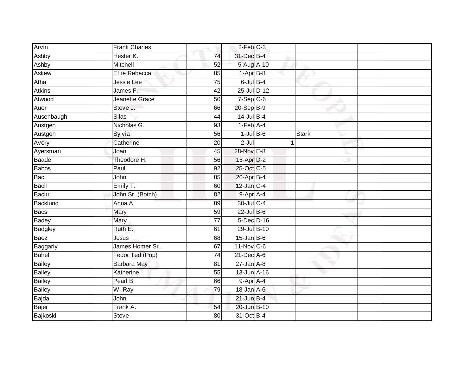| Arvin          | <b>Frank Charles</b> |                 | $2$ -Feb $C-3$   |              |  |
|----------------|----------------------|-----------------|------------------|--------------|--|
| Ashby          | Hester K.            | 74              | 31-Dec B-4       |              |  |
| Ashby          | Mitchell             | 52              | 5-Aug A-10       |              |  |
| <b>Askew</b>   | <b>Effie Rebecca</b> | 85              | $1-AprB-8$       |              |  |
| Atha           | Jessie Lee           | 75              | $6$ -Jul $B-4$   |              |  |
| <b>Atkins</b>  | James F.             | 42              | 25-Jul D-12      |              |  |
| Atwood         | Jeanette Grace       | 50              | $7-Sep$ $C-6$    |              |  |
| Auer           | Steve J.             | 66              | $20 - Sep$ B-9   |              |  |
| Ausenbaugh     | <b>Silas</b>         | 44              | $14$ -Jul $B-4$  |              |  |
| Austgen        | Nicholas G.          | 93              | $1-Feb$ A-4      |              |  |
| Austgen        | Sylvia               | 56              | $1$ -Jul B-6     | <b>Stark</b> |  |
| Avery          | Catherine            | 20              | $2 -$ Jul        |              |  |
| Ayersman       | Joan                 | 45              | 28-Nov E-8       |              |  |
| Baade          | Theodore H.          | 56              | 15-Apr D-2       |              |  |
| <b>Babos</b>   | Paul                 | $\overline{92}$ | 25-Oct C-5       |              |  |
| Bac            | John                 | 85              | 20-Apr B-4       |              |  |
| Bach           | Emily T.             | 60              | $12$ -Jan C-4    |              |  |
| Baciu          | John Sr. (Botch)     | 82              | 9-Apr A-4        |              |  |
| Backlund       | Anna A.              | 89              | 30-Jul C-4       |              |  |
| Bacs           | Mary                 | 59              | 22-Jul B-6       |              |  |
| Badey          | Mary                 | $\overline{77}$ | 5-Dec D-16       |              |  |
| <b>Badgley</b> | Ruth E.              | 61              | 29-Jul B-10      |              |  |
| Baez           | <b>Jesus</b>         | 68              | $15$ -Jan B-6    |              |  |
| Baggarly       | James Homer Sr.      | 67              | $11-Nov$ C-6     |              |  |
| Bahel          | Fedor Ted (Pop)      | 74              | 21-Dec A-6       |              |  |
| <b>Bailey</b>  | Barbara May          | 81              | $27 - Jan A - 8$ |              |  |
| <b>Bailey</b>  | Katherine            | 55              | $13$ -Jun $A-16$ |              |  |
| <b>Bailey</b>  | Pearl B.             | 66              | 9-Apr A-4        |              |  |
| Bailey         | W. Ray               | 79              | 18-Jan A-6       |              |  |
| Bajda          | John                 |                 | $21$ -Jun $B-4$  |              |  |
| Bajer          | Frank A.             | 54              | 20-Jun B-10      |              |  |
| Bajkoski       | <b>Steve</b>         | 80              | 31-Oct B-4       |              |  |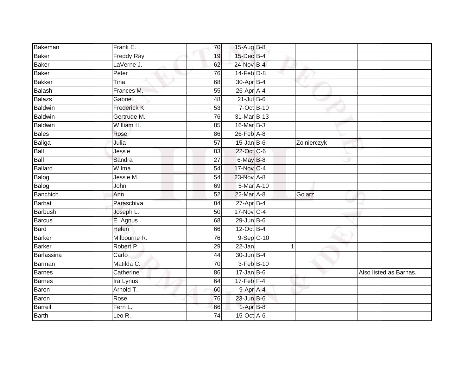| Bakeman        | Frank E.                      | 70              | $15-Aug$ B-8            |              |                        |
|----------------|-------------------------------|-----------------|-------------------------|--------------|------------------------|
| Baker          | <b>Freddy Ray</b>             | 19              | 15-Dec B-4              |              |                        |
| Baker          | LaVerne J.                    | 62              | 24-Nov B-4              |              |                        |
| Baker          | Peter                         | 76              | $14$ -Feb $D-8$         |              |                        |
| <b>Bakker</b>  | Tina                          | 68              | 30-Apr B-4              |              |                        |
| Balash         | Frances M.                    | 55              | 26-Apr A-4              |              |                        |
| Balazs         | Gabriel                       | 48              | $21$ -Jul B-6           |              |                        |
| <b>Baldwin</b> | Frederick K.                  | 53              | 7-Oct B-10              |              |                        |
| Baldwin        | Gertrude M.                   | 76              | 31-Mar B-13             |              |                        |
| <b>Baldwin</b> | William H.                    | 85              | 16-Mar B-3              |              |                        |
| Bales          | Rose                          | 86              | 26-Feb A-8              |              |                        |
| Baliga         | Julia                         | 57              | $15$ -Jan $B$ -6        | Zolnierczyk  |                        |
| Ball           | Jessie                        | 83              | 22-Oct C-6              |              |                        |
| Ball           | Sandra                        | 27              | 6-May B-8               |              |                        |
| <b>Ballard</b> | Wilma                         | 54              | 17-Nov C-4              |              |                        |
| Balog          | Jessie M.                     | 54              | 23-Nov A-8              |              |                        |
| Balog          | John                          | 69              | 5-Mar A-10              |              |                        |
| Banchich       | Ann                           | 52              | 22-Mar A-8              | Golarz       |                        |
| Barbat         | Paraschiva                    | 84              | $27$ -Apr $B-4$         |              |                        |
| <b>Barbush</b> | Joseph L.                     | $\overline{50}$ | $17-Nov$ <sub>C-4</sub> |              |                        |
| Barcus         | E. Agnus                      | 68              | $29$ -Jun $B-6$         |              |                        |
| Bard           | <b>Helen</b>                  | 66              | 12-Oct B-4              |              |                        |
| <b>Barker</b>  | Milbourne R.                  | 76              | 9-Sep C-10              |              |                        |
| Barker         | Robert P.                     | 29              | 22-Jan                  | $\mathbf{1}$ |                        |
| Barlassina     | Carlo                         | 44              | 30-Jun B-4              |              |                        |
| Barman         | Matilda C.                    | 70              | 3-Feb B-10              |              |                        |
| Barnes         | Catherine                     | 86              | $17 - Jan$ $B-6$        |              | Also listed as Barnas. |
| Barnes         | Ira Lynus                     | 64              | $17$ -Feb $F-4$         |              |                        |
| Baron          | Arnold T.                     | 60              | 9-Apr A-4               |              |                        |
| Baron          | Rose                          | 76              | $23$ -Jun $B-6$         |              |                        |
| Barrell        | Fern L.                       | 66              | 1-Apr B-8               |              |                        |
| Barth          | Leo $\overline{\mathsf{R}}$ . | $\overline{74}$ | 15-Oct A-6              |              |                        |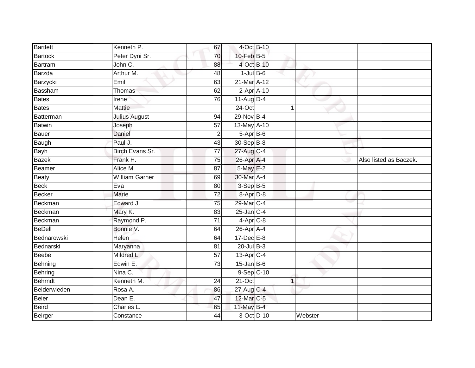| Bartlett      | Kenneth P.            | 67              | 4-Oct B-10              |             |         |                        |
|---------------|-----------------------|-----------------|-------------------------|-------------|---------|------------------------|
| Bartock       | Peter Dyni Sr.        | 70              | $10$ -Feb $B-5$         |             |         |                        |
| Bartram       | John C.               | 88              | 4-Oct B-10              |             |         |                        |
| Barzda        | Arthur M.             | 48              | $1$ -Jul B-6            |             |         |                        |
| Barzycki      | Emil                  | 63              | 21-Mar A-12             |             |         |                        |
| Bassham       | Thomas                | 62              | $2-AprA-10$             |             |         |                        |
| Bates         | Irene <sup>®</sup>    | 76              | $11-Aug$ D-4            |             |         |                        |
| <b>Bates</b>  | <b>Mattie</b>         |                 | $24$ -Oct               | 1           |         |                        |
| Batterman     | <b>Julius August</b>  | 94              | 29-Nov B-4              |             |         |                        |
| <b>Batwin</b> | Joseph                | 57              | 13-May A-10             |             |         |                        |
| Bauer         | Daniel                | $\overline{2}$  | 5-Apr B-6               |             |         |                        |
| Baugh         | Paul J.               | 43              | 30-Sep B-8              |             |         |                        |
| Bayh          | Birch Evans Sr.       | 77              | 27-Aug C-4              |             |         |                        |
| <b>Bazek</b>  | Frank H.              | 75              | 26-Apr A-4              |             |         | Also listed as Baczek. |
| Beamer        | Alice M.              | $\overline{87}$ | 5-May E-2               |             |         |                        |
| Beaty         | <b>William Garner</b> | 69              | 30-Mar A-4              |             |         |                        |
| <b>Beck</b>   | Eva                   | $\overline{80}$ | $3-Sep$ B-5             |             |         |                        |
| <b>Becker</b> | <b>Marie</b>          | $\overline{72}$ | 8-Apr D-8               |             |         |                        |
| Beckman       | Edward J.             | 75              | 29-Mar C-4              |             |         |                        |
| Beckman       | Mary K.               | 83              | $25$ -Jan $C-4$         |             |         |                        |
| Beckman       | Raymond P.            | $\overline{71}$ | $4-Apr$ C-8             |             |         |                        |
| <b>BeDell</b> | Bonnie V.             | 64              | 26-Apr A-4              |             |         |                        |
| Bednarowski   | Helen                 | 64              | 17-Dec E-8              |             |         |                        |
| Bednarski     | Maryanna              | 81              | $20$ -Jul B-3           |             |         |                        |
| Beebe         | Mildred L.            | 57              | 13-Apr C-4              |             |         |                        |
| Behning       | Edwin E.              | 73              | $15$ -Jan B-6           |             |         |                        |
| Behring       | Nina C.               |                 | $9-Sep$ <sub>C-10</sub> |             |         |                        |
| Behrndt       | Kenneth M.            | 24              | $21$ -Oct               | $\mathbf 1$ |         |                        |
| Beiderwieden  | Rosa A.               | 86              | 27-Aug C-4              |             |         |                        |
| Beier         | Dean E.               | 47              | 12-Mar C-5              |             |         |                        |
| Beird         | Charles L.            | 65              | 11-May B-4              |             |         |                        |
| Beirger       | Constance             | $\overline{44}$ | 3-Oct D-10              |             | Webster |                        |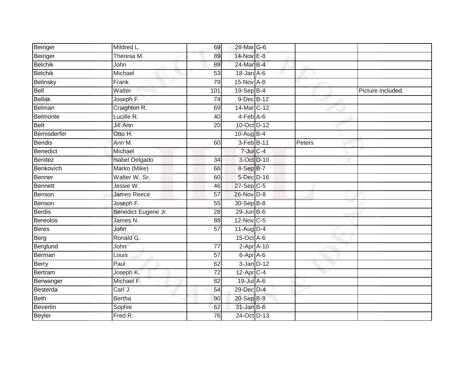| Beiriger        | Mildred L.            | 69              | 28-Mar G-6                  |        |                   |
|-----------------|-----------------------|-----------------|-----------------------------|--------|-------------------|
| Beiriger        | Theresa M.            | 89              | 14-Nov E-8                  |        |                   |
| <b>Belchik</b>  | John                  | 89              | 24-Mar B-4                  |        |                   |
| <b>Belchik</b>  | Michael               | 53              | $18$ -Jan $A$ -6            |        |                   |
| Belinsky        | Frank                 | 79              | 15-Nov A-8                  |        |                   |
| Bell            | Walter                | 101             | 19-Sep B-4                  |        | Picture included. |
| <b>Bellak</b>   | Joseph F.             | $\overline{74}$ | 9-Dec B-12                  |        |                   |
| Belman          | Craighton R.          | 69              | 14-Mar C-12                 |        |                   |
| Belmonte        | Lucille R.            | 40              | $4-Feb$ $A-6$               |        |                   |
| <b>Belt</b>     | Jill Ann              | 20              | 10-Oct D-12                 |        |                   |
| Bemisderfer     | Otto H.               |                 | $10-Auq$ B-4                |        |                   |
| <b>Bendis</b>   | Ann M.                | 60              | 3-Feb B-11                  | Peters |                   |
| Benedict        | Michael               |                 | $7$ -Jul $C-4$              |        |                   |
| <b>Benitez</b>  | <b>Isabel Delgado</b> | 34              | 3-Oct D-10                  |        |                   |
| Benkovich       | Marko (Mike)          | 66              | 8-Sep B-7                   |        |                   |
| Benner          | Walter W. Sr.         | 60              | 5-Dec D-16                  |        |                   |
| <b>Bennett</b>  | Jessie W.             | 46              | $27-Sep$ C-5                |        |                   |
| Benson          | <b>James Reece</b>    | 57              | 26-Nov D-8                  |        |                   |
| Benson          | Joseph F.             | 55              | 30-Sep B-8                  |        |                   |
| <b>Berdis</b>   | Benedict Eugene Jr.   | $\overline{28}$ | $29$ -Jun B-6               |        |                   |
| <b>Bereolos</b> | James N.              | 88              | 12-Nov C-5                  |        |                   |
| <b>Beres</b>    | John                  | $\overline{57}$ | $11$ -Aug $D-4$             |        |                   |
| Berg            | Ronald G.             |                 | $15$ -Oct $\overline{A}$ -6 |        |                   |
| Berglund        | <b>John</b>           | 77              | $2-Apr$ A-10                |        |                   |
| Berman          | Louis                 | 57              | 6-Apr A-6                   |        |                   |
| Berry           | Paul                  | 62              | $3$ -Jan $D-12$             |        |                   |
| <b>Bertram</b>  | Joseph K.             | $\overline{72}$ | 12-Apr C-4                  |        |                   |
| Berwanger       | Michael F.            | 82              | 19-Jul A-6                  |        |                   |
| Besterda        | Carl J.               | 54              | 29-Dec D-4                  |        |                   |
| <b>Beth</b>     | <b>Bertha</b>         | 90              | 20-Sep B-9                  |        |                   |
| <b>Beverlin</b> | Sophie                | 62              | $31$ -Jan B-6               |        |                   |
| <b>Beyler</b>   | Fred R.               | 76              | 24-Oct D-13                 |        |                   |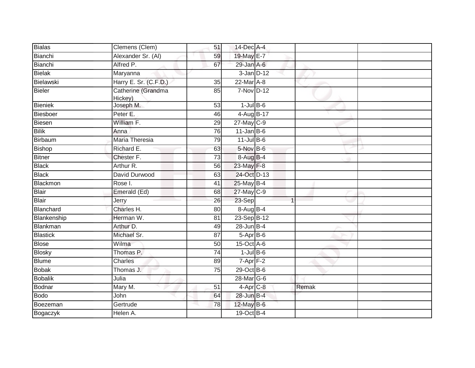| Clemens (Clem)        | 51                   |                |                                                                                                                                                                                                                                                                                                                                                                                                                                                                                |  |
|-----------------------|----------------------|----------------|--------------------------------------------------------------------------------------------------------------------------------------------------------------------------------------------------------------------------------------------------------------------------------------------------------------------------------------------------------------------------------------------------------------------------------------------------------------------------------|--|
| Alexander Sr. (AI)    | 59                   |                |                                                                                                                                                                                                                                                                                                                                                                                                                                                                                |  |
| Alfred P.             | 67                   |                |                                                                                                                                                                                                                                                                                                                                                                                                                                                                                |  |
| Maryanna              |                      |                |                                                                                                                                                                                                                                                                                                                                                                                                                                                                                |  |
| Harry E. Sr. (C.F.D.) | $\overline{35}$      |                |                                                                                                                                                                                                                                                                                                                                                                                                                                                                                |  |
| Catherine (Grandma    | 85                   |                |                                                                                                                                                                                                                                                                                                                                                                                                                                                                                |  |
|                       | 53                   |                |                                                                                                                                                                                                                                                                                                                                                                                                                                                                                |  |
| Peter E.              | 46                   |                |                                                                                                                                                                                                                                                                                                                                                                                                                                                                                |  |
| William F.            | 29                   |                |                                                                                                                                                                                                                                                                                                                                                                                                                                                                                |  |
| Anna                  | 76                   |                |                                                                                                                                                                                                                                                                                                                                                                                                                                                                                |  |
| Maria Theresia        | 79                   |                |                                                                                                                                                                                                                                                                                                                                                                                                                                                                                |  |
| Richard E.            | 63                   |                |                                                                                                                                                                                                                                                                                                                                                                                                                                                                                |  |
| Chester F.            | $\overline{73}$      |                |                                                                                                                                                                                                                                                                                                                                                                                                                                                                                |  |
| Arthur R.             | 56                   |                |                                                                                                                                                                                                                                                                                                                                                                                                                                                                                |  |
| David Durwood         | 63                   |                |                                                                                                                                                                                                                                                                                                                                                                                                                                                                                |  |
| Rose I.               | 41                   |                |                                                                                                                                                                                                                                                                                                                                                                                                                                                                                |  |
| Emerald (Ed)          | 68                   |                |                                                                                                                                                                                                                                                                                                                                                                                                                                                                                |  |
| Jerry                 | 26                   | $\overline{1}$ |                                                                                                                                                                                                                                                                                                                                                                                                                                                                                |  |
| Charles H.            | 80                   |                |                                                                                                                                                                                                                                                                                                                                                                                                                                                                                |  |
| Herman W.             | 81                   |                |                                                                                                                                                                                                                                                                                                                                                                                                                                                                                |  |
| Arthur D.             | 49                   |                |                                                                                                                                                                                                                                                                                                                                                                                                                                                                                |  |
| Michael Sr.           | 87                   |                |                                                                                                                                                                                                                                                                                                                                                                                                                                                                                |  |
| Wilma                 | 50                   |                |                                                                                                                                                                                                                                                                                                                                                                                                                                                                                |  |
| Thomas P.             | 74                   |                |                                                                                                                                                                                                                                                                                                                                                                                                                                                                                |  |
| Charles               | 89                   |                |                                                                                                                                                                                                                                                                                                                                                                                                                                                                                |  |
| Thomas J.             | 75                   |                |                                                                                                                                                                                                                                                                                                                                                                                                                                                                                |  |
| Julia                 |                      |                |                                                                                                                                                                                                                                                                                                                                                                                                                                                                                |  |
| Mary M.               | 51                   |                | Remak                                                                                                                                                                                                                                                                                                                                                                                                                                                                          |  |
| John                  | 64                   |                |                                                                                                                                                                                                                                                                                                                                                                                                                                                                                |  |
| Gertrude              | 78                   |                |                                                                                                                                                                                                                                                                                                                                                                                                                                                                                |  |
| Helen A.              |                      |                |                                                                                                                                                                                                                                                                                                                                                                                                                                                                                |  |
|                       | Hickey)<br>Joseph M. |                | 14-Dec A-4<br>19-May E-7<br>29-Jan A-6<br>$3$ -Jan $D-12$<br>22-Mar A-8<br>7-Nov D-12<br>$1$ -Jul B-6<br>4-Aug B-17<br>$27$ -May C-9<br>$11$ -Jan B-6<br>$11$ -Jul B-6<br>5-Nov B-6<br>8-Aug B-4<br>23-May F-8<br>24-Oct D-13<br>25-May B-4<br>27-May C-9<br>23-Sep<br>8-Aug B-4<br>23-Sep B-12<br>28-Jun B-4<br>5-Apr B-6<br>15-Oct A-6<br>$1$ -Jul $B$ -6<br>$7 - Apr$ $F-2$<br>29-Oct B-6<br>28-Mar G-6<br>$4-Apr$ <sub>C-8</sub><br>28-Jun B-4<br>12-May B-6<br>19-Oct B-4 |  |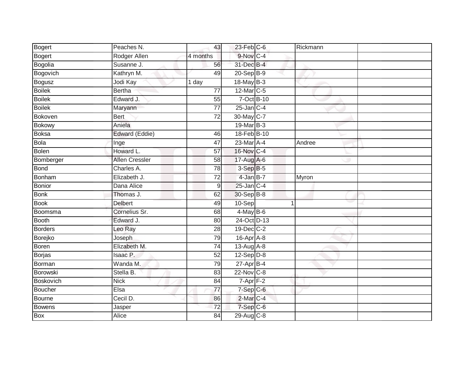| Bogert         | Peaches N.            | 43              | $23$ -Feb $C$ -6                      | Rickmann |  |
|----------------|-----------------------|-----------------|---------------------------------------|----------|--|
| Bogert         | Rodger Allen          | 4 months        | $9-Nov$ <sub>C-4</sub>                |          |  |
| Bogolia        | Susanne J.            | 56              | 31-Dec B-4                            |          |  |
| Bogovich       | Kathryn M.            | 49              | $20 - SepB-9$                         |          |  |
| <b>Bogusz</b>  | Jodi Kay              | 1 day           | 18-May B-3                            |          |  |
| <b>Boilek</b>  | <b>Bertha</b>         | $\overline{77}$ | 12-Mar C-5                            |          |  |
| <b>Boilek</b>  | Edward J.             | 55              | 7-Oct B-10                            |          |  |
| <b>Boilek</b>  | Maryann               | $\overline{77}$ | $25$ -Jan C-4                         |          |  |
| Bokoven        | Bert                  | $\overline{72}$ | 30-May C-7                            |          |  |
| <b>Bokowy</b>  | Aniela                |                 | 19-Mar B-3                            |          |  |
| <b>Boksa</b>   | Edward (Eddie)        | 46              | 18-Feb B-10                           |          |  |
| Bola           | Inge                  | $\overline{47}$ | 23-Mar A-4                            | Andree   |  |
| Bolen          | Howard L.             | 57              | 16-Nov C-4                            |          |  |
| Bomberger      | <b>Allen Cressler</b> | 58              | 17-Aug A-6                            |          |  |
| <b>Bond</b>    | Charles A.            | 78              | $3-SepB-5$                            |          |  |
| Bonham         | Elizabeth J.          | 72              | 4-Jan B-7                             | Myron    |  |
| <b>Bonior</b>  | Dana Alice            | $\overline{9}$  | 25-Jan C-4                            |          |  |
| <b>Bonk</b>    | Thomas J.             | 62              | 30-Sep B-8                            |          |  |
| <b>Book</b>    | <b>Delbert</b>        | 49              | 10-Sep                                | -1       |  |
| Boomsma        | Cornelius Sr.         | 68              | $4$ -May B-6                          |          |  |
| Booth          | Edward J.             | 80              | 24-Oct D-13                           |          |  |
| <b>Borders</b> | Leo Ray               | 28              | 19-Dec C-2                            |          |  |
| Borejko        | Joseph                | 79              | 16-Apr A-8                            |          |  |
| <b>Boren</b>   | Elizabeth M.          | $\overline{74}$ | 13-Aug A-8                            |          |  |
| Borjas         | Isaac P.              | $\overline{52}$ | $12-Sep$ $D-8$                        |          |  |
| Borman         | Wanda M.              | 79              | 27-Apr B-4                            |          |  |
| Borowski       | Stella B.             | 83              | 22-Nov C-8                            |          |  |
| Boskovich      | <b>Nick</b>           | 84              | $7 - \overline{Apr}$ $\overline{F-2}$ |          |  |
| Boucher        | Elsa                  | 77              | $7-Sep$ $C-6$                         |          |  |
| Bourne         | Cecil D.              | 86              | 2-Mar C-4                             |          |  |
| <b>Bowens</b>  | Jasper                | $\overline{72}$ | 7-Sep C-6                             |          |  |
| <b>Box</b>     | Alice                 | 84              | 29-Aug C-8                            |          |  |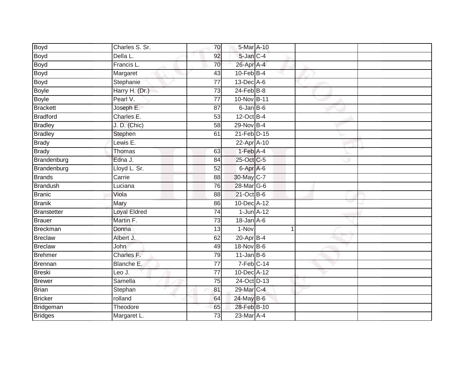| Boyd            | Charles S. Sr.       | 70              | 5-Mar A-10              |   |  |
|-----------------|----------------------|-----------------|-------------------------|---|--|
| <b>Boyd</b>     | Della L.             | 92              | 5-Jan C-4               |   |  |
| <b>Boyd</b>     | Francis L.           | 70              | 26-Apr A-4              |   |  |
| <b>Boyd</b>     | Margaret             | 43              | $10$ -Feb $B$ -4        |   |  |
| <b>Boyd</b>     | Stephanie            | $\overline{77}$ | $13$ -Dec $A$ -6        |   |  |
| <b>Boyle</b>    | Harry H. (Dr.)       | $\overline{73}$ | $24$ -Feb $B-8$         |   |  |
| <b>Boyle</b>    | Pearl V.             | $\overline{77}$ | 10-Nov B-11             |   |  |
| <b>Brackett</b> | Joseph E.            | 87              | $6$ -Jan B-6            |   |  |
| <b>Bradford</b> | Charles E.           | 53              | $12$ -Oct B-4           |   |  |
| <b>Bradley</b>  | J. D. (Chic)         | $\overline{58}$ | 29-Nov B-4              |   |  |
| <b>Bradley</b>  | Stephen              | 61              | 21-Feb D-15             |   |  |
| <b>Brady</b>    | Lewis E.             |                 | 22-Apr A-10             |   |  |
| <b>Brady</b>    | <b>Thomas</b>        | 63              | 1-Feb A-4               |   |  |
| Brandenburg     | Edna J.              | 84              | 25-Oct C-5              |   |  |
| Brandenburg     | Lloyd L. Sr.         | $\overline{52}$ | 6-Apr A-6               |   |  |
| <b>Brands</b>   | Carrie               | 88              | 30-May C-7              |   |  |
| <b>Brandush</b> | Luciana              | 76              | 28-Mar G-6              |   |  |
| <b>Branic</b>   | Viola                | 88              | 21-Oct B-6              |   |  |
| <b>Branik</b>   | Mary                 | 86              | 10-Dec A-12             |   |  |
| Branstetter     | <b>Loyal Eldred</b>  | 74              | $1$ -Jun $A-12$         |   |  |
| <b>Brauer</b>   | Martin <sub>F.</sub> | 73              | 18-Jan A-6              |   |  |
| <b>Breckman</b> | Donna                | $\overline{13}$ | 1-Nov                   | 1 |  |
| <b>Breclaw</b>  | Albert J.            | 62              | $20$ -Apr $B-4$         |   |  |
| <b>Breclaw</b>  | John                 | 49              | 18-Nov B-6              |   |  |
| <b>Brehmer</b>  | Charles F.           | 79              | $11$ -Jan $B$ -6        |   |  |
| Brennan         | Blanche E.           | 77              | $7-Feb$ <sub>C-14</sub> |   |  |
| <b>Breski</b>   | Leo J.               | $\overline{77}$ | 10-Dec A-12             |   |  |
| <b>Brewer</b>   | Samella              | 75              | 24-Oct D-13             |   |  |
| <b>Brian</b>    | Stephan              | 81              | 29-Mar C-4              |   |  |
| <b>Bricker</b>  | rolland              | 64              | 24-May B-6              |   |  |
| Bridgeman       | Theodore             | 65              | 28-Feb B-10             |   |  |
| <b>Bridges</b>  | Margaret L.          | $\overline{73}$ | 23-Mar A-4              |   |  |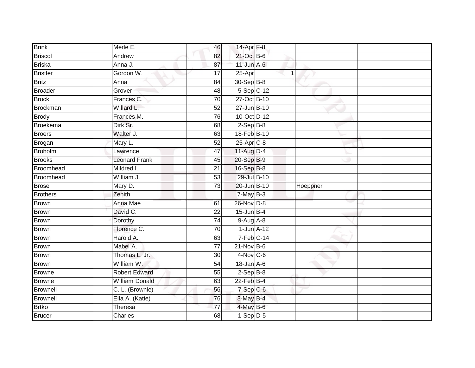| <b>Brink</b>             | Merle E.              | 46              | 14-Apr F-8               |             |          |  |
|--------------------------|-----------------------|-----------------|--------------------------|-------------|----------|--|
| Briscol                  | Andrew                | 82              | 21-Oct B-6               |             |          |  |
| <b>Briska</b>            | Anna J.               | 87              | $11$ -Jun $A - 6$        |             |          |  |
| Bristler                 | Gordon W.             | 17              | 25-Apr                   | $\mathbf 1$ |          |  |
| <b>Britz</b>             | Anna                  | 84              | 30-Sep B-8               |             |          |  |
| Broader                  | Grover                | 48              | 5-Sep C-12               |             |          |  |
| <b>Brock</b>             | Frances C.            | $\overline{70}$ | 27-Oct B-10              |             |          |  |
| <b>Brockman</b>          | Willard L.            | 52              | 27-Jun B-10              |             |          |  |
| <b>Brody</b>             | Frances M.            | 76              | 10-Oct D-12              |             |          |  |
| <b>Broekema</b>          | Dirk Sr.              | 68              | $2-SepB-8$               |             |          |  |
| Broers                   | Walter J.             | 63              | 18-Feb B-10              |             |          |  |
| Brogan                   | Mary L.               | 52              | $25$ -Apr $C-8$          |             |          |  |
| Broholm                  | Lawrence              | 47              | 11-Aug D-4               |             |          |  |
| <b>Brooks</b>            | <b>Leonard Frank</b>  | 45              | 20-Sep B-9               |             |          |  |
| <b>Broomhead</b>         | Mildred I.            | $\overline{21}$ | 16-Sep B-8               |             |          |  |
| Broomhead                | William J.            | 53              | 29-Jul B-10              |             |          |  |
|                          |                       |                 |                          |             |          |  |
| <b>Brose</b>             | Mary D.               | $\overline{73}$ | 20-Jun B-10              |             | Hoeppner |  |
|                          | Zenith                |                 | $7$ -May $B-3$           |             |          |  |
| <b>Brothers</b><br>Brown | Anna Mae              | 61              | 26-Nov D-8               |             |          |  |
| Brown                    | David C.              | $\overline{22}$ | $15$ -Jun $B-4$          |             |          |  |
| <b>Brown</b>             | Dorothy               | $\overline{74}$ | $9-Aug$ $A-8$            |             |          |  |
| Brown                    | Florence C.           | 70              | $1$ -Jun $A-12$          |             |          |  |
| <b>Brown</b>             | Harold A.             | 63              | $7-Feb$ C-14             |             |          |  |
| Brown                    | Mabel A.              | 77              | $21$ -Nov $B-6$          |             |          |  |
| Brown                    | Thomas L. Jr.         | 30              | $4-Nov$ C-6              |             |          |  |
| Brown                    | William W.            | 54              | $18$ -Jan $A$ -6         |             |          |  |
| Browne                   | <b>Robert Edward</b>  | 55              | $2-SepB-8$               |             |          |  |
| <b>Browne</b>            | <b>William Donald</b> | 63              | $22$ -Feb $B-4$          |             |          |  |
| Brownell                 | C. L. (Brownie)       | 56              | $7-Sep$ $C-6$            |             |          |  |
| Brownell                 | Ella A. (Katie)       | 76              | 3-May B-4                |             |          |  |
| <b>Brtko</b><br>Brucer   | Theresa<br>Charles    | $\overline{77}$ | 4-May B-6<br>$1-Sep$ D-5 |             |          |  |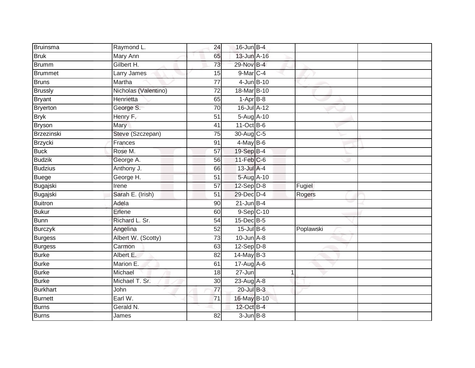| Bruinsma        | Raymond L.           | 24              | 16-Jun B-4       |           |  |
|-----------------|----------------------|-----------------|------------------|-----------|--|
| <b>Bruk</b>     | Mary Ann             | 65              | $13$ -Jun $A-16$ |           |  |
| Brumm           | Gilbert H.           | 73              | 29-Nov B-4       |           |  |
| Brummet         | Larry James          | 15              | 9-Mar C-4        |           |  |
| <b>Bruns</b>    | Martha               | $\overline{77}$ | 4-Jun B-10       |           |  |
| <b>Brussly</b>  | Nicholas (Valentino) | $\overline{72}$ | 18-Mar B-10      |           |  |
| Bryant          | Henrietta            | 65              | $1-AprB-8$       |           |  |
| <b>Bryerton</b> | George S.            | 70              | 16-Jul A-12      |           |  |
| <b>Bryk</b>     | Henry F.             | 51              | 5-Aug A-10       |           |  |
| <b>Bryson</b>   | Mary                 | 41              | 11-Oct B-6       |           |  |
| Brzezinski      | Steve (Szczepan)     | 75              | 30-Aug C-5       |           |  |
| Brzycki         | Frances              | 91              | $4$ -May B-6     |           |  |
| <b>Buck</b>     | Rose M.              | 57              | 19-Sep B-4       |           |  |
| <b>Budzik</b>   | George A.            | 56              | $11$ -Feb $C$ -6 |           |  |
| <b>Budzius</b>  | Anthony J.           | 66              | 13-Jul A-4       |           |  |
| Buege           | George H.            | $\overline{51}$ | 5-Aug A-10       |           |  |
| Bugajski        | Irene                | 57              | 12-Sep D-8       | Fugiel    |  |
| Bugajski        | Sarah E. (Irish)     | $\overline{51}$ | 29-Dec D-4       | Rogers    |  |
| Buitron         | Adela                | 90              | $21$ -Jun B-4    |           |  |
| Bukur           | Erlene               | 60              | 9-Sep C-10       |           |  |
| <b>Bunn</b>     | Richard L. Sr.       | 54              | $15$ -Dec $B$ -5 |           |  |
| <b>Burczyk</b>  | Angelina             | 52              | $15$ -Jul $B$ -6 | Poplawski |  |
| Burgess         | Albert W. (Scotty)   | 73              | $10$ -Jun $A-8$  |           |  |
| <b>Burgess</b>  | Carmon               | 63              | $12-Sep$ $D-8$   |           |  |
| <b>Burke</b>    | Albert E.            | 82              | $14$ -May B-3    |           |  |
| <b>Burke</b>    | Marion E.            | 61              | 17-Aug A-6       |           |  |
| <b>Burke</b>    | Michael              | 18              | $27 - Jun$       |           |  |
| <b>Burke</b>    | Michael T. Sr.       | 30 <sup>1</sup> | 23-Aug A-8       |           |  |
| <b>Burkhart</b> | John                 | $\overline{77}$ | 20-Jul B-3       |           |  |
| Burnett         | Earl W.              | 71              | 16-May B-10      |           |  |
| Burns           | Gerald N.            |                 | 12-Oct B-4       |           |  |
| Burns           | James                | 82              | $3 - Jun$ $B-8$  |           |  |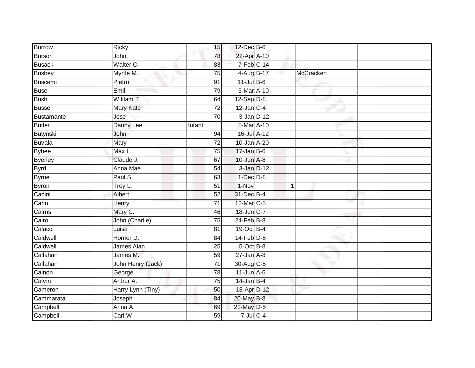| Burrow         | Ricky                      | 15              | 12-Dec B-6       |              |           |  |
|----------------|----------------------------|-----------------|------------------|--------------|-----------|--|
| Burson         | John                       | 78              | 22-Apr A-10      |              |           |  |
| <b>Busack</b>  | Walter C.                  | 83              | 7-Feb C-14       |              |           |  |
| <b>Busbey</b>  | Myrtle M.                  | 75              | 4-Aug B-17       |              | McCracken |  |
| Buscemi        | Pietro                     | $\overline{91}$ | $11$ -Jul $B-6$  |              |           |  |
| Buse           | Emil                       | 79              | 5-Mar A-10       |              |           |  |
| <b>Bush</b>    | Wililam T.                 | 64              | $12-Sep D-8$     |              |           |  |
| Busse          | Mary Kate                  | $\overline{72}$ | $12$ -Jan $C-4$  |              |           |  |
| Bustamante     | Jose                       | 70              | $3$ -Jan $D-12$  |              |           |  |
| <b>Butler</b>  | Danny Lee                  | Infant          | 5-Mar A-10       |              |           |  |
| Butynski       | <b>John</b>                | 94              | 16-Jul A-12      |              |           |  |
| Buvala         | Mary                       | 72              | 10-Jan A-20      |              |           |  |
| <b>Bybee</b>   | $\overline{\text{Max}}$ L. | 75              | $17 - Jan$ $B-6$ |              |           |  |
| <b>Byerley</b> | Claude J.                  | 67              | 10-Jun A-8       |              |           |  |
| <b>Byrd</b>    | Anna Mae                   | 54              | $3$ -Jan $D-12$  |              |           |  |
| <b>Byrne</b>   | Paul S.                    | 63              | $1-Dec$ $D-8$    |              |           |  |
| <b>Byron</b>   | Troy L.                    | $\overline{51}$ | $1-Nov$          | $\mathbf{1}$ |           |  |
| Cacini         | Albert                     | 52              | 31-Dec B-4       |              |           |  |
| Cahn           | Henry                      | $\overline{71}$ | 12-Mar C-5       |              |           |  |
| Cairns         | Mary C.                    | 46              | 18-Jun C-7       |              |           |  |
| Cairo          | John (Charlie)             | 75              | $24$ -Feb $B-8$  |              |           |  |
| Calacci        | Luisa                      | 81              | 19-Oct B-4       |              |           |  |
| Caldwell       | Homer D.                   | 84              | $14$ -Feb $D-8$  |              |           |  |
| Caldwell       | James Alan                 | 25              | 5-Oct B-8        |              |           |  |
| Callahan       | James M.                   | 59              | $27 - Jan A - 8$ |              |           |  |
| Callahan       | John Henry (Jack)          | 71              | 30-Aug C-5       |              |           |  |
| Calnon         | George                     | 78              | $11$ -Jun $A$ -6 |              |           |  |
| Calvin         | Arthur A.                  | 75              | $14$ -Jan B-4    |              |           |  |
| Cameron        | Harry Lynn (Tiny)          | 50              | 18-Apr D-12      |              |           |  |
| Cammarata      | Joseph                     | 84              | 20-May B-8       |              |           |  |
| Campbell       | Anna A.                    | 69              | 21-May D-5       |              |           |  |
| Campbell       | Carl W.                    | $\overline{59}$ | $7$ -Jul $C$ -4  |              |           |  |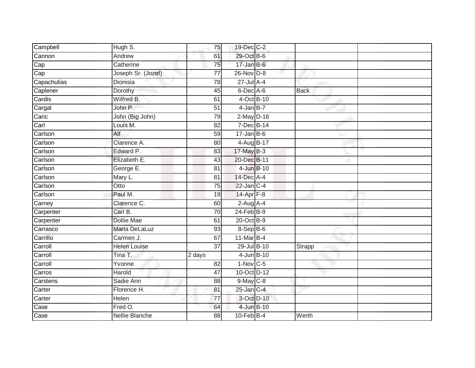| Campbell    | Hugh S.               | 75              | 19-Dec C-2      |            |             |  |
|-------------|-----------------------|-----------------|-----------------|------------|-------------|--|
| Cannon      | Andrew                | 61              | 29-Oct B-6      |            |             |  |
| Cap<br>Cap  | Catherine             | 75              | $17 - Jan$ B-6  |            |             |  |
|             | Joseph Sr. (Jozef)    | 77              | $26$ -Nov $D-8$ |            |             |  |
| Capachulias | <b>Dionisia</b>       | $\overline{78}$ | $27$ -Jul $A-4$ |            |             |  |
| Caplener    | Dorothy               | 45              | 6-Dec A-6       |            | <b>Back</b> |  |
| Cardis      | Wilfred B.            | 61              | 4-Oct B-10      |            |             |  |
| Cargal      | John P.               | $\overline{51}$ | $4$ -Jan B-7    |            |             |  |
| Caric       | John (Big John)       | 79              | $2$ -May $D-16$ |            |             |  |
| Carl        | Louis M.              | $\overline{82}$ | 7-Dec B-14      |            |             |  |
| Carlson     | Alf                   | 59              | $17 - Jan$ B-6  |            |             |  |
| Carlson     | Clarence A.           | 80              | 4-Aug B-17      |            |             |  |
| Carlson     | Edward P.             | 83              | 17-May B-3      |            |             |  |
| Carlson     | Elizabeth E.          | 43              | 20-Dec B-11     |            |             |  |
| Carlson     | George E.             | 81              |                 | 4-Jun B-10 |             |  |
| Carlson     | Mary L.               | $\overline{81}$ | 14-Dec A-4      |            |             |  |
| Carlson     | Otto                  | $\overline{75}$ | 22-Jan C-4      |            |             |  |
| Carlson     | Paul M.               | 19              | $14$ -Apr $F-8$ |            |             |  |
| Carney      | Clarence C.           | 60              | $2$ -Aug A-4    |            |             |  |
| Carpenter   | Carl B.               | 70              | $24$ -Feb $B-9$ |            |             |  |
| Carpenter   | Dollie Mae            | 61              | 20-Oct B-9      |            |             |  |
| Carrasco    | Maria DeLaLuz         | 93              | 8-Sep B-6       |            |             |  |
| Carrillo    | Carmen J.             | 67              | $11$ -Mar $B-4$ |            |             |  |
| Carroll     | <b>Helen Louise</b>   | $\overline{37}$ | 29-Jul B-10     |            | Strapp      |  |
| Carroll     | Tina T.               | 2 days          |                 | 4-Jun B-10 |             |  |
| Carroll     | Yvonne                | $\overline{82}$ | $1-Nov$ C-5     |            |             |  |
| Carros      | Harold                | $\overline{47}$ | 10-Oct D-12     |            |             |  |
| Carstens    | Sadie Ann             | 88              | $9$ -May $C$ -8 |            |             |  |
| Carter      | Florence H.           | 81              | $25$ -Jan $C-4$ |            |             |  |
| Carter      | Helen                 | 77              |                 | 3-Oct D-10 |             |  |
| Case        | Fred O.               | 64              | 4-Jun B-10      |            |             |  |
| Case        | <b>Nellie Blanche</b> | 88              | $10-Feb$ B-4    |            | Werth       |  |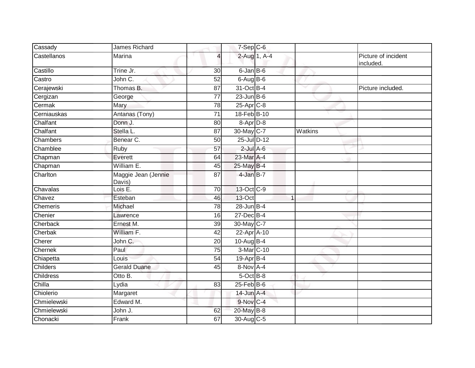| Cassady          | James Richard                 |                 | $7-Sep$ C-6      |              |                                  |
|------------------|-------------------------------|-----------------|------------------|--------------|----------------------------------|
| Castellanos      | Marina                        | 4               | 2-Aug 1, A-4     |              | Picture of incident<br>included. |
| Castillo         | Trine Jr.                     | 30              | 6-Jan B-6        |              |                                  |
| Castro           | John C.                       | 52              | $6-AugB-6$       |              |                                  |
| Cerajewski       | Thomas B.                     | 87              | 31-Oct B-4       | $\checkmark$ | Picture included.                |
| Cergizan         | George                        | $\overline{77}$ | $23$ -Jun $B$ -6 |              |                                  |
| Cermak           | Mary                          | 78              | $25$ -Apr $C$ -8 |              |                                  |
| Cerniauskas      | Antanas (Tony)                | $\overline{71}$ | 18-Feb B-10      |              |                                  |
| Chalfant         | Donn J.                       | 80              | 8-Apr D-8        |              |                                  |
| Chalfant         | Stella L.                     | 87              | 30-May C-7       | Watkins      |                                  |
| Chambers         | Benear C.                     | 50              | 25-Jul D-12      |              |                                  |
| Chamblee         | Ruby                          | 57              | $2$ -Jul $A$ -6  |              |                                  |
| Chapman          | Everett                       | 64              | 23-Mar A-4       |              |                                  |
| Chapman          | William E.                    | 45              | 25-May B-4       |              |                                  |
| Charlton         | Maggie Jean (Jennie<br>Davis) | 87              | 4-Jan B-7        |              |                                  |
| Chavalas         | Lois $E$ .                    | $\overline{70}$ | 13-Oct C-9       |              |                                  |
| Chavez           | Esteban                       | 46              | 13-Oct           |              |                                  |
| Chemeris         | Michael                       | 78              | $28$ -Jun $B-4$  |              |                                  |
| Chenier          | Lawrence                      | 16              | 27-Dec B-4       |              |                                  |
| Cherback         | Ernest M.                     | $\overline{39}$ | 30-May C-7       |              |                                  |
| Cherbak          | William F.                    | 42              | 22-Apr A-10      |              |                                  |
| Cherer           | John C.                       | 20              | $10-Auq$ B-4     |              |                                  |
| Chernek          | Paul                          | 75              | 3-Mar C-10       |              |                                  |
| Chiapetta        | Louis                         | 54              | 19-Apr B-4       |              |                                  |
| Childers         | <b>Gerald Duane</b>           | 45              | 8-Nov A-4        |              |                                  |
| <b>Childress</b> | Otto B.                       |                 | 5-Oct B-8        |              |                                  |
| Chilla           | Lydia                         | 83              | $25$ -Feb $B$ -6 |              |                                  |
| Chiolerio        | Margaret                      |                 | $14$ -Jun $A-4$  |              |                                  |
| Chmielewski      | Edward M.                     |                 | 9-Nov C-4        |              |                                  |
| Chmielewski      | John J.                       | 62              | 20-May B-8       |              |                                  |
| Chonacki         | Frank                         | 67              | 30-Aug C-5       |              |                                  |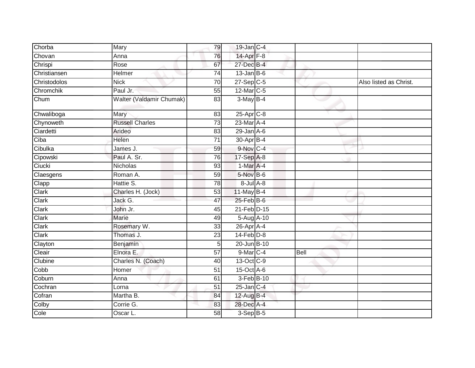| Chorba       | Mary                     | 79              | 19-Jan C-4            |             |                        |
|--------------|--------------------------|-----------------|-----------------------|-------------|------------------------|
| Chovan       | Anna                     | 76              | 14-Apr <sub>F-8</sub> |             |                        |
| Chrispi      | Rose                     | 67              | 27-Dec B-4            |             |                        |
| Christiansen | Helmer                   | 74              | $13$ -Jan B-6         |             |                        |
| Christodolos | <b>Nick</b>              | $\overline{70}$ | $27-Sep$ C-5          |             | Also listed as Christ. |
| Chromchik    | Paul Jr.                 | 55              | 12-Mar C-5            |             |                        |
| Chum         | Walter (Valdamir Chumak) | 83              | $3-MayB-4$            |             |                        |
| Chwaliboga   | Mary                     | 83              | $25$ -Apr $C-8$       |             |                        |
| Chynoweth    | <b>Russell Charles</b>   | 73              | 23-Mar A-4            |             |                        |
| Ciardetti    | Arideo                   | 83              | $29$ -Jan $A$ -6      |             |                        |
| Ciba         | Helen                    | 71              | 30-Apr B-4            |             |                        |
| Cibulka      | James J.                 | 59              | 9-Nov C-4             |             |                        |
| Cipowski     | Paul A. Sr.              | 76              | 17-Sep A-8            |             |                        |
| Ciucki       | Nicholas                 | 93              | $1-Mar$ A-4           |             |                        |
| Claesgens    | Roman A.                 | 59              | 5-Nov B-6             |             |                        |
| Clapp        | Hattie S.                | 78              | $8$ -Jul $A$ -8       |             |                        |
| Clark        | Charles H. (Jock)        | 53              | $11$ -May B-4         |             |                        |
| Clark        | Jack G.                  | 47              | 25-Feb B-6            |             |                        |
| Clark        | John Jr.                 | 45              | 21-Feb D-15           |             |                        |
| Clark        | Marie                    | 49              | 5-Aug A-10            |             |                        |
| Clark        | Rosemary W.              | 33              | 26-Apr A-4            |             |                        |
| Clark        | Thomas J.                | 23              | $14$ -Feb $D-8$       |             |                        |
| Clayton      | Benjamin                 | 5               | 20-Jun B-10           |             |                        |
| Cleair       | Elnora E.                | 57              | 9-Mar C-4             | <b>Bell</b> |                        |
| Clubine      | Charles N. (Coach)       | 40              | 13-Oct C-9            |             |                        |
| Cobb         | Homer                    | 51              | 15-Oct A-6            |             |                        |
| Coburn       | Anna                     | 61              | 3-Feb B-10            |             |                        |
| Cochran      | Lorna                    | 51              | $25$ -Jan C-4         |             |                        |
| Cofran       | Martha B.                | 84              | 12-Aug B-4            |             |                        |
| Colby        | Corrie G.                | 83              | 28-Dec A-4            |             |                        |
| Cole         | Oscar L.                 | 58              | $3-Sep$ $B-5$         |             |                        |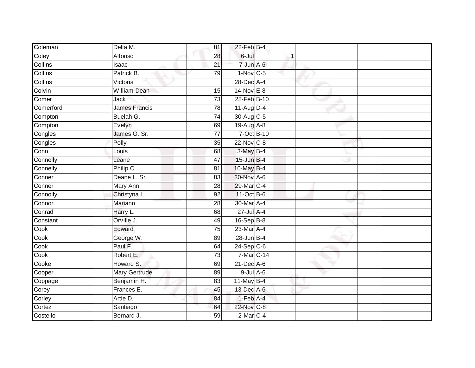| Coleman        | Della M.             | 81              | $22$ -Feb $B-4$   |  |  |
|----------------|----------------------|-----------------|-------------------|--|--|
| Coley          | Alfonso              | 28              | 6-Jul             |  |  |
| <b>Collins</b> | Isaac                | $\overline{21}$ | 7-Jun A-6         |  |  |
| Collins        | Patrick B.           | 79              | $1-Nov$ C-5       |  |  |
| Collins        | Victoria             |                 | 28-Dec A-4        |  |  |
| Colvin         | <b>William Dean</b>  | 15              | $14$ -Nov $E-8$   |  |  |
| Comer          | Jack                 | $\overline{73}$ | 28-Feb B-10       |  |  |
| Comerford      | <b>James Francis</b> | 78              | $11-Aug$ D-4      |  |  |
| Compton        | Buelah G.            | $\overline{74}$ | 30-Aug C-5        |  |  |
| Compton        | Evelyn               | 69              | 19-Aug A-8        |  |  |
| Congles        | James G. Sr.         | 77              | $7-Oct$ B-10      |  |  |
| Congles        | Polly                | 35              | $22$ -Nov $ C-8 $ |  |  |
| Conn           | Louis                | 68              | $3-MayB-4$        |  |  |
| Connelly       | Leane                | 47              | $15$ -Jun $B-4$   |  |  |
| Connelly       | Philip C.            | 81              | 10-May B-4        |  |  |
| Conner         | Deane L. Sr.         | 83              | 30-Nov A-6        |  |  |
| Conner         | <b>Mary Ann</b>      | $\overline{28}$ | 29-Mar C-4        |  |  |
| Connolly       | Christyna L.         | 92              | 11-Oct B-6        |  |  |
| Connor         | Mariann              | 28              | 30-Mar A-4        |  |  |
| Conrad         | Harry L.             | 68              | 27-Jul A-4        |  |  |
| Constant       | Orville J.           | 49              | 16-Sep B-8        |  |  |
| Cook           | Edward               | 75              | 23-Mar A-4        |  |  |
| Cook           | George W.            | 89              | 28-Jun B-4        |  |  |
| Cook           | Paul F.              | 64              | $24-Sep$ C-6      |  |  |
| Cook           | Robert E.            | 73              | 7-Mar C-14        |  |  |
| Cooke          | Howard S.            | 69              | 21-Dec A-6        |  |  |
| Cooper         | <b>Mary Gertrude</b> | 89              | $9$ -Jul $A$ -6   |  |  |
| Coppage        | Benjamin H.          | 83              | 11-May $B-4$      |  |  |
| Corey          | Frances E.           | 45              | 13-Dec A-6        |  |  |
| Corley         | Artie D.             | 84              | $1-Feb$ A-4       |  |  |
| Cortez         | Santiago             | 64              | 22-Nov C-8        |  |  |
| Costello       | Bernard J.           | 59              | $2$ -Mar $C-4$    |  |  |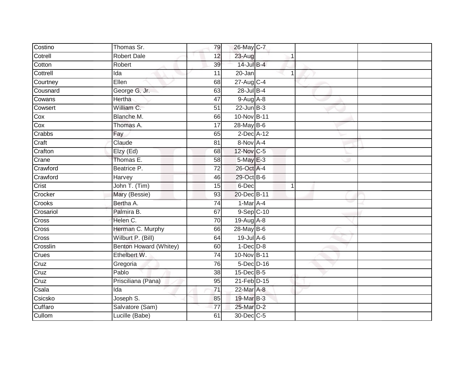| Costino   | Thomas Sr.             | 79              | 26-May C-7       |                |  |
|-----------|------------------------|-----------------|------------------|----------------|--|
| Cotrell   | <b>Robert Dale</b>     | 12              | 23-Aug           |                |  |
| Cotton    | Robert                 | 39              | $14$ -Jul B-4    |                |  |
| Cottrell  | Ida                    | 11              | 20-Jan           |                |  |
| Courtney  | Ellen                  | 68              | $27$ -Aug C-4    |                |  |
| Cousnard  | George G. Jr.          | 63              | 28-Jul B-4       |                |  |
| Cowans    | Hertha                 | 47              | $9-Aug$ $A-8$    |                |  |
| Cowsert   | William C.             | $\overline{51}$ | $22$ -Jun $B-3$  |                |  |
| Cox       | Blanche M.             | 66              | 10-Nov B-11      |                |  |
| Cox       | Thomas A.              | $\overline{17}$ | 28-May B-6       |                |  |
| Crabbs    | Fay                    | 65              | 2-Dec A-12       |                |  |
| Craft     | Claude                 | $\overline{81}$ | 8-Nov A-4        |                |  |
| Crafton   | Elzy (Ed)              | 68              | 12-Nov C-5       |                |  |
| Crane     | Thomas E.              | $\overline{58}$ | 5-May E-3        |                |  |
| Crawford  | Beatrice P.            | $\overline{72}$ | 26-Oct A-4       |                |  |
| Crawford  | Harvey                 | 46              | 29-Oct B-6       |                |  |
| Crist     | John T. (Tim)          | 15              | 6-Dec            | $\overline{1}$ |  |
| Crocker   | Mary (Bessie)          | 93              | 20-Dec B-11      |                |  |
| Crooks    | Bertha A.              | $\overline{74}$ | 1-Mar A-4        |                |  |
| Crosariol | Palmira B.             | 67              | 9-Sep C-10       |                |  |
| Cross     | Helen C.               | 70              | 19-Aug A-8       |                |  |
| Cross     | Herman C. Murphy       | 66              | 28-May B-6       |                |  |
| Cross     | Wilburt P. (Bill)      | 64              | $19$ -Jul $A$ -6 |                |  |
| Crosslin  | Benton Howard (Whitey) | 60              | $1-Dec$ $D-8$    |                |  |
| Crues     | Ethelbert W.           | 74              | 10-Nov B-11      |                |  |
| Cruz      | Gregoria               | 76              | 5-Dec D-16       |                |  |
| Cruz      | Pablo                  | 38              | 15-Dec B-5       |                |  |
| Cruz      | Prisciliana (Pana)     | 95              | $21$ -Feb $D-15$ |                |  |
| Csala     | Ida                    | $\overline{71}$ | 22-Mar A-8       |                |  |
| Csicsko   | Joseph S.              | 85              | 19-Mar B-3       |                |  |
| Cuffaro   | Salvatore (Sam)        | 77              | 25-Mar D-2       |                |  |
| Cullom    | Lucille (Babe)         | 61              | 30-Dec C-5       |                |  |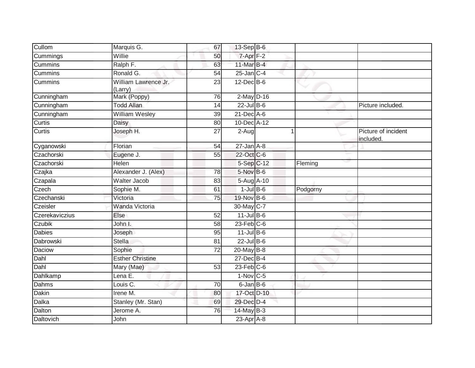| Cullom         | Marquis G.                      | 67              | 13-Sep B-6       |          |                                  |
|----------------|---------------------------------|-----------------|------------------|----------|----------------------------------|
| Cummings       | Willie                          | 50              | $7 - Apr$ $F-2$  |          |                                  |
| <b>Cummins</b> | Ralph F.                        | 63              | 11-Mar B-4       |          |                                  |
| Cummins        | Ronald G.                       | 54              | $25$ -Jan $C-4$  |          |                                  |
| Cummins        | William Lawrence Jr.<br>(Larry) | 23              | $12$ -Dec $B$ -6 |          |                                  |
| Cunningham     | Mark (Poppy)                    | 76              | $2$ -May $D-16$  |          |                                  |
| Cunningham     | <b>Todd Allan</b>               | 14              | $22$ -Jul B-6    |          | Picture included.                |
| Cunningham     | <b>William Wesley</b>           | 39              | $21$ -Dec $A$ -6 |          |                                  |
| Curtis         | Daisy                           | 80              | 10-Dec A-12      |          |                                  |
| <b>Curtis</b>  | Joseph H.                       | 27              | 2-Aug            |          | Picture of incident<br>included. |
| Cyganowski     | Florian                         | 54              | $27$ -Jan $A-8$  |          |                                  |
| Czachorski     | Eugene J.                       | 55              | 22-Oct C-6       |          |                                  |
| Czachorski     | <b>Helen</b>                    |                 | 5-Sep C-12       | Fleming  |                                  |
| Czajka         | Alexander J. (Alex)             | 78              | $5$ -Nov $B$ -6  |          |                                  |
| Czapala        | <b>Walter Jacob</b>             | 83              | 5-Aug A-10       |          |                                  |
| Czech          | Sophie M.                       | 61              | $1$ -Jul $B$ -6  | Podgorny |                                  |
| Czechanski     | Victoria                        | 75              | 19-Nov B-6       |          |                                  |
| Czeisler       | Wanda Victoria                  |                 | 30-May C-7       |          |                                  |
| Czerekaviczius | Else                            | 52              | $11$ -Jul $B-6$  |          |                                  |
| Czubik         | John I.                         | 58              | $23$ -Feb $C-6$  |          |                                  |
| <b>Dabies</b>  | Joseph                          | 95              | $11$ -Jul B-6    |          |                                  |
| Dabrowski      | <b>Stella</b>                   | 81              | $22$ -Jul B-6    |          |                                  |
| Daciow         | Sophie                          | 72              | 20-May B-8       |          |                                  |
| Dahl           | <b>Esther Christine</b>         |                 | 27-Dec B-4       |          |                                  |
| Dahl           | Mary (Mae)                      | $\overline{53}$ | $23$ -Feb $C$ -6 |          |                                  |
| Dahlkamp       | Lena E.                         |                 | $1-Nov$ C-5      |          |                                  |
| Dahms          | Louis C.                        | 70              | $6$ -Jan $B$ -6  |          |                                  |
| Dakin          | Irene M.                        | 80              | 17-Oct D-10      |          |                                  |
| Dalka          | Stanley (Mr. Stan)              | 69              | 29-Dec D-4       |          |                                  |
| Dalton         | Jerome A.                       | 76              | 14-May B-3       |          |                                  |
| Daltovich      | John                            |                 | $23$ -Apr $A$ -8 |          |                                  |
|                |                                 |                 |                  |          |                                  |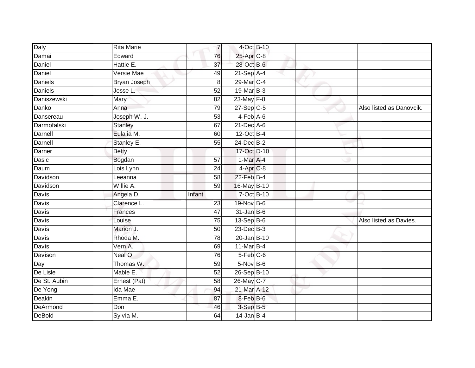| Daly           | <b>Rita Marie</b> |        | $\overline{7}$                          | 4-Oct B-10 |                          |
|----------------|-------------------|--------|-----------------------------------------|------------|--------------------------|
| Damai          | Edward            |        | 25-Apr C-8<br>76                        |            |                          |
| Daniel         | Hattie E.         |        | 28-Oct B-6<br>37                        |            |                          |
| Daniel         | Versie Mae        |        | $21-Sep$ A-4<br>49                      |            |                          |
| <b>Daniels</b> | Bryan Joseph      |        | 29-Mar C-4<br>$\,8\,$                   |            |                          |
| <b>Daniels</b> | Jesse L.          |        | 19-Mar B-3<br>52                        |            |                          |
| Daniszewski    | Mary              |        | $23$ -May $F-8$<br>82                   |            |                          |
| Danko          | Anna              |        | 79<br>$27-Sep$ C-5                      |            | Also listed as Danovcik. |
| Dansereau      | Joseph W. J.      |        | $4-Feb$ $A-6$<br>53                     |            |                          |
| Darmofalski    | <b>Stanley</b>    |        | 21-Dec A-6<br>67                        |            |                          |
| Darnell        | Eulalia M.        |        | 12-Oct B-4<br>60                        |            |                          |
| Darnell        | Stanley E.        |        | 24-Dec B-2<br>55                        |            |                          |
| Darner         | <b>Betty</b>      |        | 17-Oct D-10                             |            |                          |
| Dasic          | Bogdan            |        | 1-Mar A-4<br>57                         |            |                          |
| Daum           | Lois Lynn         |        | 4-Apr <sub>C-8</sub><br>$\overline{24}$ |            |                          |
| Davidson       | Leeanna           |        | 22-Feb B-4<br>58                        |            |                          |
| Davidson       | Willie A.         |        | 16-May B-10<br>59                       |            |                          |
| Davis          | Angela D.         | Infant |                                         | 7-Oct B-10 |                          |
| Davis          | Clarence L.       |        | 19-Nov B-6<br>23                        |            |                          |
| Davis          | Frances           |        | $31$ -Jan B-6<br>$\overline{47}$        |            |                          |
| Davis          | Louise            |        | $13-Sep$ B-6<br>75                      |            | Also listed as Davies.   |
| <b>Davis</b>   | Marion J.         |        | 23-Dec B-3<br>50                        |            |                          |
| Davis          | Rhoda M.          |        | 20-Jan B-10<br>78                       |            |                          |
| Davis          | Vern A.           |        | 11-Mar B-4<br>69                        |            |                          |
| Davison        | Neal O.           |        | $5-Feb$ $C-6$<br>76                     |            |                          |
| Day            | Thomas W.         |        | $5-Nov$ B-6<br>59                       |            |                          |
| $De$ Lisle     | Mable E.          |        | 26-Sep B-10<br>52                       |            |                          |
| De St. Aubin   | Ernest (Pat)      |        | 26-May C-7<br>58                        |            |                          |
| De Yong        | Ida Mae           |        | 21-Mar A-12<br>94                       |            |                          |
| Deakin         | Emma E.           |        | 8-Feb B-6<br>87                         |            |                          |
| DeArmond       | Don               |        | 3-Sep B-5<br>46                         |            |                          |
| <b>DeBold</b>  | Sylvia M.         |        | $14$ -Jan B-4<br>64                     |            |                          |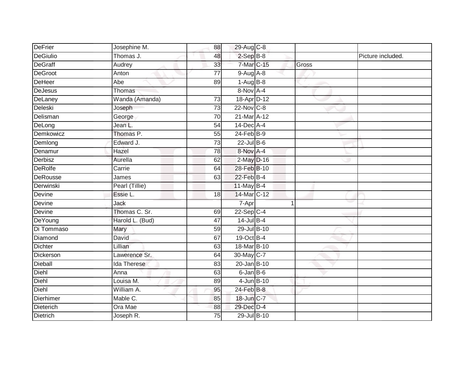| DeFrier         | Josephine M.       | 88              | 29-Aug C-8       |   |       |                   |
|-----------------|--------------------|-----------------|------------------|---|-------|-------------------|
| DeGiulio        | Thomas J.          | 48              | $2-SepB-8$       |   |       | Picture included. |
| <b>DeGraff</b>  | Audrey             | 33              | 7-Mar C-15       |   | Gross |                   |
| <b>DeGroot</b>  | Anton              | $\overline{77}$ | $9-Aug$ $A-8$    |   |       |                   |
| <b>DeHeer</b>   | Abe                | 89              | $1-AugB-8$       |   |       |                   |
| <b>DeJesus</b>  | Thomas             |                 | 8-Nov A-4        |   |       |                   |
| DeLaney         | Wanda (Amanda)     | 73              | 18-Apr D-12      |   |       |                   |
| Deleski         | Joseph             | 73              | 22-Nov C-8       |   |       |                   |
| Delisman        | George             | 70              | 21-Mar A-12      |   |       |                   |
| DeLong          | Jean L.            | $\overline{54}$ | 14-Dec A-4       |   |       |                   |
| Demkowicz       | Thomas P.          | $\overline{55}$ | $24$ -Feb $B-9$  |   |       |                   |
| Demlong         | Edward J.          | 73              | $22$ -Jul B-6    |   |       |                   |
| Denamur         | Hazel              | 78              | 8-Nov A-4        |   |       |                   |
| Derbisz         | Aurella            | 62              | 2-May D-16       |   |       |                   |
| <b>DeRolfe</b>  | Carrie             | 64              | 28-Feb B-10      |   |       |                   |
| DeRousse        | James              | 63              | $22$ -Feb $B-4$  |   |       |                   |
| Derwinski       | Pearl (Tillie)     |                 | 11-May B-4       |   |       |                   |
| Devine          | Essie L.           | 18              | 14-Mar C-12      |   |       |                   |
| Devine          | Jack               |                 | 7-Apr            | и |       |                   |
| Devine          | Thomas C. Sr.      | 69              | $22-Sep C-4$     |   |       |                   |
| DeYoung         | Harold L. (Bud)    | 47              | 14-Jul B-4       |   |       |                   |
| Di Tommaso      | <b>Mary</b>        | 59              | 29-Jul B-10      |   |       |                   |
| Diamond         | David              | 67              | 19-Oct B-4       |   |       |                   |
| <b>Dichter</b>  | Lillian            | 63              | 18-Mar B-10      |   |       |                   |
| Dickerson       | Lawerence Sr.      | 64              | 30-May C-7       |   |       |                   |
| <b>Dieball</b>  | <b>Ida Therese</b> | 83              | 20-Jan B-10      |   |       |                   |
| Diehl           | Anna               | 63              | $6$ -Jan $B$ -6  |   |       |                   |
| Diehl           | Louisa M.          | 89              | 4-Jun B-10       |   |       |                   |
| Diehl           | William A.         | 95              | $24$ -Feb $B$ -8 |   |       |                   |
| Dierhimer       | Mable C.           | 85              | 18-Jun C-7       |   |       |                   |
| Dieterich       | Ora Mae            | 88              | 29-Dec D-4       |   |       |                   |
| <b>Dietrich</b> | Joseph R.          | 75              | 29-Jul B-10      |   |       |                   |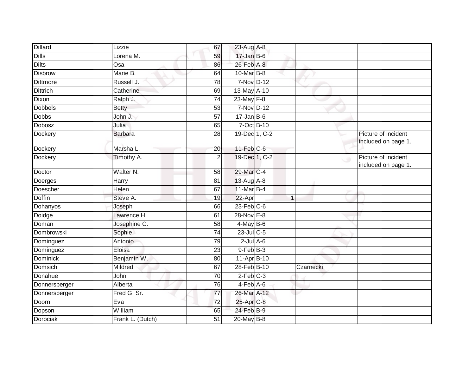| <b>Dillard</b>  | Lizzie               | 67              | 23-Aug A-8             |           |                                            |
|-----------------|----------------------|-----------------|------------------------|-----------|--------------------------------------------|
| <b>Dills</b>    | Lorena M.            | 59              | $17 - Jan$ $B-6$       |           |                                            |
| <b>Dilts</b>    | $\overline{Osa}$     | 86              | $26$ -Feb $A-8$        |           |                                            |
| <b>Disbrow</b>  | Marie B.             | 64              | 10-Mar $B-8$           |           |                                            |
| <b>Dittmore</b> | Russell J.           | $\overline{78}$ | 7-Nov D-12             |           |                                            |
| <b>Dittrich</b> | Catherine            | 69              | 13-May A-10            |           |                                            |
| Dixon           | Ralph J.             | 74              | 23-May F-8             |           |                                            |
| <b>Dobbels</b>  | <b>Betty</b>         | 53              | 7-Nov D-12             |           |                                            |
| <b>Dobbs</b>    | John J.              | 57              | $17 - Jan$ B-6         |           |                                            |
| <b>Dobosz</b>   | Julia                | 65              | 7-Oct B-10             |           |                                            |
| Dockery         | <b>Barbara</b>       | 28              | 19-Dec 1, C-2          |           | Picture of incident<br>included on page 1. |
| Dockery         | Marsha L.            | 20              | $11$ -Feb $C$ -6       |           |                                            |
| Dockery         | Timothy A.           | $\overline{2}$  | 19-Dec 1, C-2          | Ō.        | Picture of incident<br>included on page 1. |
| Doctor          | Walter <sub>N.</sub> | 58              | 29-Mar C-4             |           |                                            |
| Doerges         | Harry                | 81              | 13-Aug A-8             |           |                                            |
| Doescher        | Helen                | 67              | 11-Mar B-4             |           |                                            |
| <b>Doffin</b>   | Steve A.             | 19              | 22-Apr                 |           |                                            |
| Dohanyos        | Joseph               | 66              | $23$ -Feb $ C-6 $      |           |                                            |
| Doidge          | Lawrence H.          | 61              | 28-Nov E-8             |           |                                            |
| Doman           | Josephine C.         | 58              | $4$ -May B-6           |           |                                            |
| Dombrowski      | Sophie               | 74              | $23$ -JulC-5           |           |                                            |
| Dominguez       | Antonio              | 79              | $2$ -Jul $A$ -6        |           |                                            |
| Dominguez       | Eloisa               | 23              | $9$ -Feb $B$ -3        |           |                                            |
| <b>Dominick</b> | Benjamin W.          | 80              | 11-Apr B-10            |           |                                            |
| <b>Domsich</b>  | Mildred              | 67              | 28-Feb B-10            | Czarnecki |                                            |
| Donahue         | John                 | 70              | $2-Feb$ <sub>C-3</sub> |           |                                            |
| Donnersberger   | Alberta              | 76              | $4-Feb$ $A-6$          |           |                                            |
| Donnersberger   | Fred G. Sr.          | 77              | 26-Mar A-12            |           |                                            |
| Doorn           | Eva                  | 72              | 25-Apr C-8             |           |                                            |
| Dopson          | William              | 65              | $24$ -Feb $B-9$        |           |                                            |
| <b>Dorociak</b> | Frank L. (Dutch)     | 51              | 20-May B-8             |           |                                            |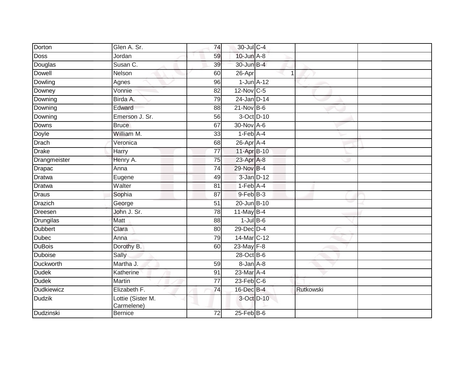| Glen A. Sr.       | 74              |        |                                                                                                                                                                                                                                                                                                                                                                                                                                                                                                 |  |
|-------------------|-----------------|--------|-------------------------------------------------------------------------------------------------------------------------------------------------------------------------------------------------------------------------------------------------------------------------------------------------------------------------------------------------------------------------------------------------------------------------------------------------------------------------------------------------|--|
| Jordan            | 59              |        |                                                                                                                                                                                                                                                                                                                                                                                                                                                                                                 |  |
| Susan C.          | 39              |        |                                                                                                                                                                                                                                                                                                                                                                                                                                                                                                 |  |
| Nelson            | 60              | 26-Apr |                                                                                                                                                                                                                                                                                                                                                                                                                                                                                                 |  |
| Agnes             | 96              |        |                                                                                                                                                                                                                                                                                                                                                                                                                                                                                                 |  |
| Vonnie            | 82              |        |                                                                                                                                                                                                                                                                                                                                                                                                                                                                                                 |  |
| Birda A.          | 79              |        |                                                                                                                                                                                                                                                                                                                                                                                                                                                                                                 |  |
| Edward            | 88              |        |                                                                                                                                                                                                                                                                                                                                                                                                                                                                                                 |  |
| Emerson J. Sr.    | 56              |        |                                                                                                                                                                                                                                                                                                                                                                                                                                                                                                 |  |
| <b>Bruce</b>      | 67              |        |                                                                                                                                                                                                                                                                                                                                                                                                                                                                                                 |  |
| William M.        | 33              |        |                                                                                                                                                                                                                                                                                                                                                                                                                                                                                                 |  |
| Veronica          | 68              |        |                                                                                                                                                                                                                                                                                                                                                                                                                                                                                                 |  |
| Harry             | 77              |        |                                                                                                                                                                                                                                                                                                                                                                                                                                                                                                 |  |
| Henry A.          | 75              |        |                                                                                                                                                                                                                                                                                                                                                                                                                                                                                                 |  |
| Anna              | $\overline{74}$ |        |                                                                                                                                                                                                                                                                                                                                                                                                                                                                                                 |  |
| Eugene            | 49              |        |                                                                                                                                                                                                                                                                                                                                                                                                                                                                                                 |  |
| Walter            | 81              |        |                                                                                                                                                                                                                                                                                                                                                                                                                                                                                                 |  |
| Sophia            | 87              |        |                                                                                                                                                                                                                                                                                                                                                                                                                                                                                                 |  |
| George            | 51              |        |                                                                                                                                                                                                                                                                                                                                                                                                                                                                                                 |  |
| John J. Sr.       | 78              |        |                                                                                                                                                                                                                                                                                                                                                                                                                                                                                                 |  |
| <b>Matt</b>       | 88              |        |                                                                                                                                                                                                                                                                                                                                                                                                                                                                                                 |  |
| Clara             | 80              |        |                                                                                                                                                                                                                                                                                                                                                                                                                                                                                                 |  |
| Anna              | 79              |        |                                                                                                                                                                                                                                                                                                                                                                                                                                                                                                 |  |
| Dorothy B.        | 60              |        |                                                                                                                                                                                                                                                                                                                                                                                                                                                                                                 |  |
| Sally             |                 |        |                                                                                                                                                                                                                                                                                                                                                                                                                                                                                                 |  |
| Martha J.         | 59              |        |                                                                                                                                                                                                                                                                                                                                                                                                                                                                                                 |  |
| Katherine         | 91              |        |                                                                                                                                                                                                                                                                                                                                                                                                                                                                                                 |  |
| Martin            | $\overline{77}$ |        |                                                                                                                                                                                                                                                                                                                                                                                                                                                                                                 |  |
| Elizabeth F.      | 74              |        | Rutkowski                                                                                                                                                                                                                                                                                                                                                                                                                                                                                       |  |
| Lottie (Sister M. |                 |        |                                                                                                                                                                                                                                                                                                                                                                                                                                                                                                 |  |
| Bernice           | 72              |        |                                                                                                                                                                                                                                                                                                                                                                                                                                                                                                 |  |
|                   | Carmelene)      |        | 30-Jul C-4<br>$10$ -Jun $A-8$<br>30-Jun B-4<br>$\mathbf 1$<br>$1$ -Jun $A-12$<br>$12$ -Nov $ C-5 $<br>24-Jan D-14<br>$21-Nov$ B-6<br>3-Oct D-10<br>30-Nov A-6<br>$1-Feb$ A-4<br>26-Apr A-4<br>11-Apr B-10<br>23-Apr A-8<br>29-Nov B-4<br>3-Jan D-12<br>$1-Feb$ A-4<br>$9$ -Feb $B$ -3<br>20-Jun B-10<br>$11$ -May B-4<br>$1$ -Jul $B$ -6<br>29-Dec D-4<br>14-Mar C-12<br>23-May F-8<br>28-Oct B-6<br>8-Jan A-8<br>23-Mar A-4<br>$23$ -Feb $C-6$<br>16-Dec B-4<br>3-Oct D-10<br>$25$ -Feb $B$ -6 |  |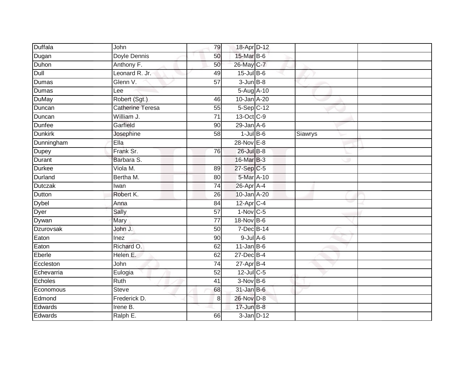| Duffala        | John                    | 79              | 18-Apr D-12            |         |  |
|----------------|-------------------------|-----------------|------------------------|---------|--|
| Dugan          | Doyle Dennis            | 50              | 15-Mar B-6             |         |  |
| Duhon          | Anthony F.              | 50              | 26-May C-7             |         |  |
| Dull           | Leonard R. Jr.          | 49              | $15$ -Jul $B$ -6       |         |  |
| Dumas          | Glenn V.                | $\overline{57}$ | $3 - Jun$ $B-8$        |         |  |
| Dumas          | Lee                     |                 | 5-Aug A-10             |         |  |
| DuMay          | Robert (Sgt.)           | 46              | 10-Jan A-20            |         |  |
| Duncan         | <b>Catherine Teresa</b> | 55              | $5-Sep$ $C-12$         |         |  |
| Duncan         | William J.              | $\overline{71}$ | 13-Oct C-9             |         |  |
| Dunfee         | Garfield                | $\overline{90}$ | 29-Jan A-6             |         |  |
| <b>Dunkirk</b> | Josephine               | 58              | $1$ -Jul $B$ -6        | Siawrys |  |
| Dunningham     | Ella                    |                 | 28-Nov E-8             |         |  |
| Dupey          | Frank Sr.               | 76              | $26$ -Jul $B-8$        |         |  |
| Durant         | Barbara S.              |                 | 16-Mar B-3             |         |  |
| <b>Durkee</b>  | Viola M.                | 89              | $27-Sep$ C-5           |         |  |
| Durland        | Bertha M.               | 80              | 5-Mar A-10             |         |  |
| Dutczak        | Iwan                    | $\overline{74}$ | $26$ -Apr $A$ -4       |         |  |
| Dutton         | Robert K.               | 26              | 10-Jan A-20            |         |  |
| Dybel          | Anna                    | 84              | 12-Apr C-4             |         |  |
| Dyer           | Sally                   | $\overline{57}$ | $1-Nov$ <sub>C-5</sub> |         |  |
| Dywan          | Mary                    | 77              | 18-Nov B-6             |         |  |
| Dzurovsak      | John J.                 | 50              | 7-Dec B-14             |         |  |
| Eaton          | Inez                    | 90              | $9$ -Jul $A$ -6        |         |  |
| Eaton          | Richard O.              | 62              | $11$ -Jan B-6          |         |  |
| Eberle         | Helen E.                | 62              | 27-Dec B-4             |         |  |
| Eccleston      | John                    | 74              | 27-Apr B-4             |         |  |
| Echevarria     | Eulogia                 | 52              | $12$ -Jul C-5          |         |  |
| Echoles        | Ruth                    | 41              | $3-Nov$ B-6            |         |  |
| Economous      | <b>Steve</b>            | 68              | $31$ -Jan B-6          |         |  |
| Edmond         | Frederick D.            | 8               | 26-Nov D-8             |         |  |
| Edwards        | Irene B.                |                 | $17$ -Jun $B-8$        |         |  |
| Edwards        | Ralph E.                | 66              | $3$ -Jan $D-12$        |         |  |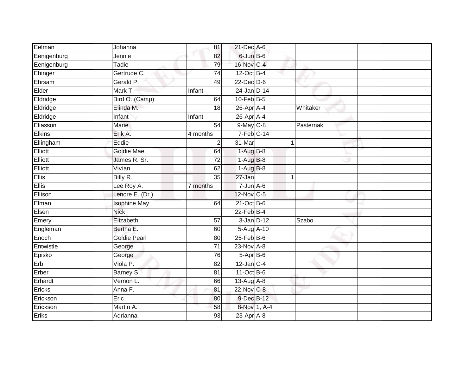| Eelman         | Johanna             | 81              | 21-Dec A-6              |              |           |
|----------------|---------------------|-----------------|-------------------------|--------------|-----------|
| Eenigenburg    | Jennie              | 82              | 6-Jun B-6               |              |           |
| Eenigenburg    | <b>Tadie</b>        | 79              | 16-Nov C-4              |              |           |
| Ehinger        | Gertrude C.         | 74              | $12$ -Oct B-4           |              |           |
| Ehrsam         | Gerald P.           | 49              | $22$ -Dec $D-6$         |              |           |
| Elder          | Mark T.             | Infant          | 24-Jan D-14             |              |           |
| Eldridge       | Bird O. (Camp)      | 64              | $10$ -Feb $B-5$         |              |           |
| Eldridge       | Elinda M.           | 18              | $26$ -Apr $A$ -4        |              | Whitaker  |
| Eldridge       | Infant              | Infant          | 26-Apr A-4              |              |           |
| Eliasson       | Marie               | 54              | $9$ -May $C$ -8         |              | Pasternak |
| <b>Elkins</b>  | Erik A.             | 4 months        | $7-Feb$ <sub>C-14</sub> |              |           |
| Ellingham      | Eddie               | $\overline{2}$  | 31-Mar                  |              | 1         |
| <b>Elliott</b> | <b>Goldie Mae</b>   | 64              | $1-AugB-8$              |              |           |
| Elliott        | James R. Sr.        | 72              | $1-AugB-8$              |              |           |
| <b>Elliott</b> | Vivian              | 62              | $1-AugB-8$              |              |           |
| <b>Ellis</b>   | Billy R.            | 35              | 27-Jan                  |              | 1         |
| <b>Ellis</b>   | Lee Roy A.          | 7 months        | $7 - Jun$ A-6           |              |           |
| Ellison        | Lenore E. (Dr.)     |                 | 12-Nov C-5              |              |           |
| Elman          | <b>Isophine May</b> | 64              | $21$ -Oct B-6           |              |           |
| Elsen          | <b>Nick</b>         |                 | $22$ -Feb $B-4$         |              |           |
| Emery          | Elizabeth           | 57              | $3$ -Jan $D-12$         |              | Szabo     |
| Engleman       | Bertha E.           | 60              | 5-Aug A-10              |              |           |
| Enoch          | <b>Goldie Pearl</b> | 80              | $25$ -Feb $B$ -6        |              |           |
| Entwistle      | George              | $\overline{71}$ | 23-Nov A-8              |              |           |
| Episko         | George              | 76              | $5-AprB-6$              |              |           |
| Erb            | Viola P.            | 82              | $12$ -Jan C-4           |              |           |
| Erber          | Barney S.           | 81              | $11-Oct$ B-6            |              |           |
| Erhardt        | Vernon L.           | 66              | $13$ -Aug $A$ -8        |              |           |
| Ericks         | Anna F.             | 81              | 22-Nov C-8              |              |           |
| Erickson       | Eric                | 80              | 9-Dec B-12              |              |           |
| Erickson       | Martin A.           | 58              |                         | 8-Nov 1, A-4 |           |
| Eriks          | Adrianna            | $\overline{93}$ | $23$ -Apr $A-8$         |              |           |
|                |                     |                 |                         |              |           |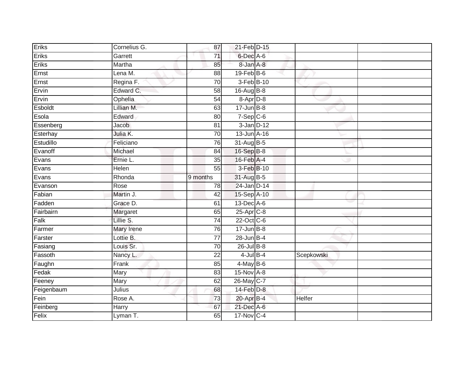| Eriks      | Cornelius G. | 87              | 21-Feb D-15      |            |  |
|------------|--------------|-----------------|------------------|------------|--|
| Eriks      | Garrett      | 71              | 6-Dec A-6        |            |  |
| Eriks      | Martha       | 85              | 8-Jan A-8        |            |  |
| Ernst      | Lena M.      | 88              | $19$ -Feb $B$ -6 |            |  |
| Ernst      | Regina F.    | $\overline{70}$ | 3-Feb B-10       |            |  |
| Ervin      | Edward C.    | 58              | $16$ -Aug B-8    |            |  |
| Ervin      | Ophelia      | 54              | 8-Apr D-8        |            |  |
| Esboldt    | Lillian M.   | 63              | $17 - Jun$ B-8   |            |  |
| Esola      | Edward       | 80              | $7-Sep$ $C-6$    |            |  |
| Essenberg  | Jacob        | 81              | $3$ -Jan $D-12$  |            |  |
| Esterhay   | Julia K.     | 70              | 13-Jun A-16      |            |  |
| Estudillo  | Feliciano    | 76              | 31-Aug B-5       |            |  |
| Evanoff    | Michael      | 84              | 16-Sep B-8       |            |  |
| Evans      | Ernie L.     | 35              | 16-Feb A-4       |            |  |
| Evans      | Helen        | 55              | 3-Feb B-10       |            |  |
| Evans      | Rhonda       | 9 months        | 31-Aug B-5       |            |  |
| Evanson    | Rose         | 78              | 24-Jan D-14      |            |  |
| Fabian     | Martin J.    | 42              | 15-Sep A-10      |            |  |
| Fadden     | Grace D.     | 61              | 13-Dec A-6       |            |  |
| Fairbairn  | Margaret     | 65              | $25$ -Apr $C-8$  |            |  |
| Falk       | Lillie S.    | 74              | 22-Oct C-6       |            |  |
| Farmer     | Mary Irene   | 76              | $17 - Jun$ B-8   |            |  |
| Farster    | Lottie B.    | 77              | $28$ -Jun $B-4$  |            |  |
| Fasiang    | Louis Sr.    | 70              | $26$ -Jul B-8    |            |  |
| Fassoth    | Nancy L.     | $\overline{22}$ | $4$ -Jul $B-4$   | Scepkowski |  |
| Faughn     | Frank        | 85              | $4$ -May B-6     |            |  |
| Fedak      | Mary         | 83              | $15-Nov$ $A-8$   |            |  |
| Feeney     | Mary         | 62              | 26-May C-7       |            |  |
| Feigenbaum | Julius       | 68              | $14-Feb$ $D-8$   |            |  |
| Fein       | Rose A.      | 73              | 20-Apr B-4       | Helfer     |  |
| Feinberg   | Harry        | 67              | 21-Dec A-6       |            |  |
| Felix      | Lyman T.     | 65              | 17-Nov C-4       |            |  |
|            |              |                 |                  |            |  |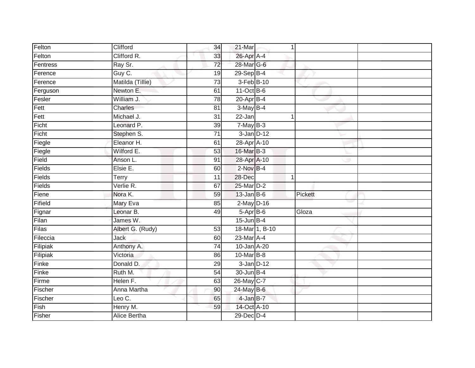| Felton   | Clifford           | 34              | 21-Mar          | 1              |         |
|----------|--------------------|-----------------|-----------------|----------------|---------|
| Felton   | Clifford R.        | 33              | 26-Apr A-4      |                |         |
| Fentress | Ray Sr.            | $\overline{72}$ | 28-Mar G-6      |                |         |
| Ference  | Guy C.             | 19              | 29-Sep B-4      |                |         |
| Ference  | Matilda (Tillie)   | $\overline{73}$ | 3-Feb B-10      |                |         |
| Ferguson | Newton E.          | 61              | 11-Oct B-6      |                |         |
| Fesler   | William J.         | $\overline{78}$ | $20$ -Apr $B-4$ |                |         |
| Fett     | Charles            | 81              | $3-MayB-4$      |                |         |
| Fett     | Michael J.         | 31              | 22-Jan          | 1              |         |
| Ficht    | Leonard P.         | 39              | $7$ -May $B-3$  |                |         |
| Ficht    | Stephen S.         | 71              | $3$ -Jan $D-12$ |                |         |
| Fiegle   | Eleanor H.         | 61              | 28-Apr A-10     |                |         |
| Fiegle   | Wilford E.         | 53              | 16-Mar B-3      |                |         |
| Field    | Anson L.           | 91              | 28-Apr A-10     |                |         |
| Fields   | Elsie E.           | 60              | $2$ -Nov $B-4$  |                |         |
| Fields   | Terry              | 11              | 28-Dec          | 1              |         |
| Fields   | Verlie R.          | 67              | 25-Mar D-2      |                |         |
| Fiene    | Nora K.            | 59              | $13$ -Jan B-6   |                | Pickett |
| Fifield  | Mary Eva           | 85              | $2$ -May $D-16$ |                |         |
| Fignar   | Leonar B.          | 49              | $5-AprB-6$      |                | Gloza   |
| Filan    | James W.           |                 | $15$ -Jun B-4   |                |         |
| Filas    | Albert G. (Rudy)   | 53              |                 | 18-Mar 1, B-10 |         |
| Fileccia | Jack               | 60              | 23-Mar A-4      |                |         |
| Filipiak | Anthony A.         | 74              | 10-Jan A-20     |                |         |
| Filipiak | Victoria           | 86              | 10-Mar B-8      |                |         |
| Finke    | Donald D.          | 29              | $3$ -Jan $D-12$ |                |         |
| Finke    | Ruth M.            | 54              | 30-Jun B-4      |                |         |
| Firme    | Helen F.           | 63              | 26-May C-7      |                |         |
| Fischer  | <b>Anna Martha</b> | 90              | $24$ -May B-6   |                |         |
| Fischer  | Leo $C$ .          | 65              | $4$ -Jan $B-7$  |                |         |
| Fish     | Henry M.           | 59              | 14-Oct A-10     |                |         |
| Fisher   | Alice Bertha       |                 | 29-Dec D-4      |                |         |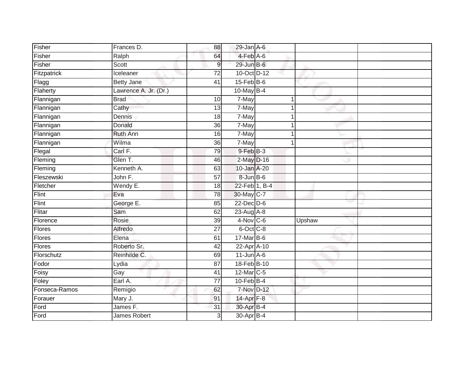| Fisher        | Frances D.            | 88                      | $29$ -Jan $A$ -6 |        |  |
|---------------|-----------------------|-------------------------|------------------|--------|--|
| Fisher        | Ralph                 | 64                      | $4-FebA-6$       |        |  |
| Fisher        | Scott                 | 9                       | 29-Jun B-6       |        |  |
| Fitzpatrick   | Iceleaner             | $\overline{72}$         | 10-Oct D-12      |        |  |
| Flagg         | <b>Betty Jane</b>     | 41                      | $15$ -Feb $B$ -6 |        |  |
| Flaherty      | Lawrence A. Jr. (Dr.) |                         | 10-May $B-4$     |        |  |
| Flannigan     | <b>Brad</b>           | 10                      | 7-May            |        |  |
| Flannigan     | $\overline{C}$ athy   | 13                      | 7-May            |        |  |
| Flannigan     | Dennis                | 18                      | 7-May            |        |  |
| Flannigan     | Donald                | 36                      | 7-May            |        |  |
| Flannigan     | Ruth Ann              | 16                      | 7-May            |        |  |
| Flannigan     | Wilma                 | 36                      | 7-May            |        |  |
| Flegal        | Carl F.               | 79                      | 9-Feb B-3        |        |  |
| Fleming       | Glen T.               | 46                      | 2-May D-16       |        |  |
| Fleming       | Kenneth A.            | 63                      | 10-Jan A-20      |        |  |
| Fleszewski    | John F.               | $\overline{57}$         | 8-Jun B-6        |        |  |
| Fletcher      | Wendy E.              | 18                      | 22-Feb 1, B-4    |        |  |
| Flint         | Eva                   | 78                      | 30-May C-7       |        |  |
| Flint         | George E.             | 85                      | $22$ -Dec $D-6$  |        |  |
| Flitar        | Sam                   | 62                      | 23-Aug A-8       |        |  |
| Florence      | Rosie                 | 39                      | 4-Nov C-6        | Upshaw |  |
| <b>Flores</b> | Alfredo               | $\overline{27}$         | $6$ -Oct $C$ -8  |        |  |
| Flores        | Elena                 | 61                      | 17-Mar B-6       |        |  |
| Flores        | Roberto Sr.           | 42                      | 22-Apr A-10      |        |  |
| Florschutz    | Reinhilde C.          | 69                      | $11$ -Jun $A$ -6 |        |  |
| Fodor         | Lydia                 | $\overline{87}$         | 18-Feb B-10      |        |  |
| Foisy         | Gay                   | $\overline{41}$         | 12-Mar C-5       |        |  |
| Foley         | Earl A.               | 77                      | $10$ -Feb $B$ -4 |        |  |
| Fonseca-Ramos | Remigio               | 62                      | 7-Nov D-12       |        |  |
| Forauer       | Mary J.               | 91                      | $14$ -Apr $F-8$  |        |  |
| Ford          | James F.              | 31                      | 30-Apr B-4       |        |  |
| Ford          | James Robert          | $\overline{\mathbf{3}}$ | 30-Apr B-4       |        |  |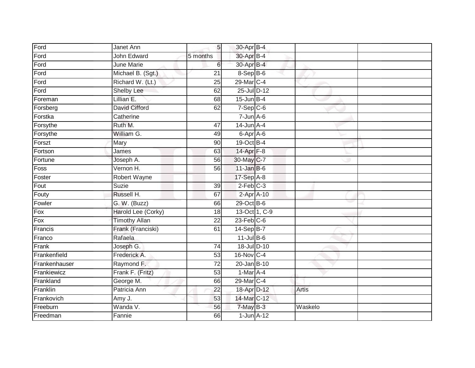| Ford          | Janet Ann            | 5 <sup>1</sup>  | 30-Apr B-4             |               |              |  |
|---------------|----------------------|-----------------|------------------------|---------------|--------------|--|
| Ford          | John Edward          | 5 months        | 30-Apr B-4             |               |              |  |
| Ford          | <b>June Marie</b>    | 6               | 30-Apr B-4             |               |              |  |
| Ford          | Michael B. (Sgt.)    | $\overline{21}$ | $8-$ Sep $B-6$         |               |              |  |
| Ford          | Richard W. (Lt.)     | $\overline{25}$ | 29-Mar C-4             |               |              |  |
| Ford          | <b>Shelby Lee</b>    | 62              | 25-Jul D-12            |               |              |  |
| Foreman       | Lillian E.           | 68              | $15$ -Jun B-4          |               |              |  |
| Forsberg      | David Cifford        | 62              | $7-Sep$ C-6            |               |              |  |
| Forstka       | Catherine            |                 | $7 - Jun$ A-6          |               |              |  |
| Forsythe      | Ruth M.              | 47              | $14$ -Jun A-4          |               |              |  |
| Forsythe      | William G.           | 49              | $6 - Apr$ $A - 6$      |               |              |  |
| Forszt        | Mary                 | 90              | 19-Oct B-4             |               |              |  |
| Fortson       | James                | 63              | 14-Apr $F-8$           |               |              |  |
| Fortune       | Joseph A.            | 56              | 30-May C-7             |               |              |  |
| Foss          | Vernon H.            | 56              | $11$ -Jan B-6          |               |              |  |
| Foster        | Robert Wayne         |                 | 17-Sep A-8             |               |              |  |
| Fout          | <b>Suzie</b>         | 39              | $2$ -Feb $C-3$         |               |              |  |
| Fouty         | Russell H.           | 67              |                        | $2-AprA-10$   |              |  |
| Fowler        | G. W. (Buzz)         | 66              | 29-Oct B-6             |               |              |  |
| Fox           | Harold Lee (Corky)   | 18              |                        | 13-Oct 1, C-9 |              |  |
| Fox           | <b>Timothy Allan</b> | 22              | $23$ -Feb $C$ -6       |               |              |  |
| Francis       | Frank (Franciski)    | 61              | 14-Sep B-7             |               |              |  |
| Franco        | Rafaela              |                 | $11$ -Jul $B-6$        |               |              |  |
| Frank         | Joseph G.            | 74              | 18-Jul D-10            |               |              |  |
| Frankenfield  | Frederick A.         | 53              | 16-Nov C-4             |               |              |  |
| Frankenhauser | Raymond F.           | $\overline{72}$ | $20 - Jan$ $B-10$      |               |              |  |
| Frankiewicz   | Frank F. (Fritz)     | 53              | 1-Mar A-4              |               |              |  |
| Frankland     | George M.            | 66              | 29-Mar C-4             |               |              |  |
| Franklin      | Patricia Ann         | 22              | 18-Apr <sup>D-12</sup> |               | <b>Artis</b> |  |
| Frankovich    | Amy J.               | 53              | 14-Mar C-12            |               |              |  |
| Freeburn      | Wanda V.             | 56              | 7-May B-3              |               | Waskelo      |  |
| Freedman      | Fannie               | 66              | $1$ -Jun $A-12$        |               |              |  |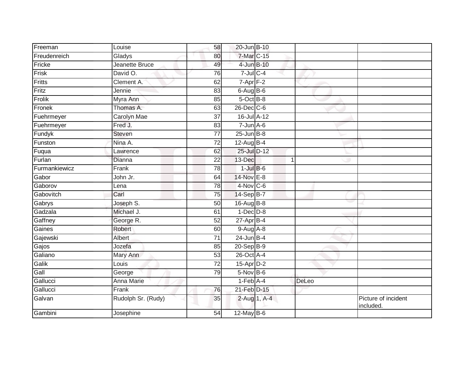| Freeman       | Louise             | 58              | 20-Jun B-10     |             |                                  |
|---------------|--------------------|-----------------|-----------------|-------------|----------------------------------|
| Freudenreich  | Gladys             | 80              | 7-Mar C-15      |             |                                  |
| Fricke        | Jeanette Bruce     | 49              | 4-Jun B-10      |             |                                  |
| Frisk         | David O.           | 76              | $7$ -Jul $C$ -4 |             |                                  |
| Fritts        | Clement A.         | 62              | $7$ -Apr $F-2$  |             |                                  |
| Fritz         | Jennie             | 83              | $6$ -Aug $B$ -6 |             |                                  |
| Frolik        | Myra Ann           | 85              | 5-Oct B-8       |             |                                  |
| Fronek        | Thomas A.          | 63              | 26-Dec C-6      |             |                                  |
| Fuehrmeyer    | Carolyn Mae        | 37              | 16-Jul A-12     |             |                                  |
| Fuehrmeyer    | Fred J.            | 83              | $7 - Jun$ A-6   |             |                                  |
| Fundyk        | Steven             | 77              | $25$ -Jun $B-8$ |             |                                  |
| Funston       | Nina A.            | $\overline{72}$ | 12-Aug B-4      |             |                                  |
| Fuqua         | Lawrence           | 62              | 25-Jul D-12     |             |                                  |
| Furlan        | Dianna             | 22              | 13-Dec          | $\mathbf 1$ |                                  |
| Furmankiewicz | Frank              | 78              | $1$ -Jul $B$ -6 |             |                                  |
| Gabor         | John Jr.           | 64              | 14-Nov E-8      |             |                                  |
| Gaborov       | Lena               | $\overline{78}$ | 4-Nov C-6       |             |                                  |
| Gabovitch     | Carl               | 75              | 14-Sep B-7      |             |                                  |
| Gabrys        | Joseph S.          | 50              | 16-Aug B-8      |             |                                  |
| Gadzala       | Michael J.         | 61              | $1$ -Dec $D-8$  |             |                                  |
| Gaffney       | George R.          | 52              | $27$ -Apr $B-4$ |             |                                  |
| Gaines        | Robert             | 60              | $9-Aug$ $A-8$   |             |                                  |
| Gajewski      | Albert             | 71              | $24$ -Jun B-4   |             |                                  |
| Gajos         | Jozefa             | 85              | $20-Sep$ B-9    |             |                                  |
| Galiano       | Mary Ann           | 53              | 26-Oct A-4      |             |                                  |
| Galik         | Louis              | $\overline{72}$ | 15-Apr D-2      |             |                                  |
| Gall          | George             | 79              | $5-Nov$ B-6     |             |                                  |
| Gallucci      | Anna Marie         |                 | $1-Feb$ $A-4$   | DeLeo       |                                  |
| Gallucci      | Frank              | 76              | 21-Feb D-15     |             |                                  |
| Galvan        | Rudolph Sr. (Rudy) | 35              | 2-Aug 1, A-4    |             | Picture of incident<br>included. |
| Gambini       | Josephine          | 54              | $12$ -May $B-6$ |             |                                  |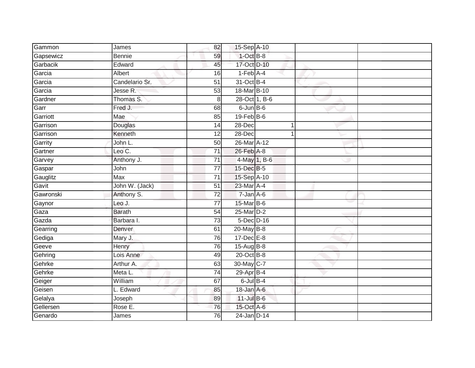| Gammon    | James          | 82              | 15-Sep A-10      |   |  |
|-----------|----------------|-----------------|------------------|---|--|
| Gapsewicz | <b>Bennie</b>  | 59              | $1$ -Oct B-8     |   |  |
| Garbacik  | Edward         | 45              | 17-Oct D-10      |   |  |
| Garcia    | Albert         | 16              | $1-Feb$ A-4      |   |  |
| Garcia    | Candelario Sr. | $\overline{51}$ | 31-Oct B-4       |   |  |
| Garcia    | Jesse R.       | 53              | 18-Mar B-10      |   |  |
| Gardner   | Thomas S.      | 8               | 28-Oct 1, B-6    |   |  |
| Garr      | Fred J.        | 68              | $6$ -Jun $B$ -6  |   |  |
| Garriott  | Mae            | 85              | $19$ -Feb $B$ -6 |   |  |
| Garrison  | Douglas        | 14              | 28-Dec           | 1 |  |
| Garrison  | Kenneth        | 12              | 28-Dec           |   |  |
| Garrity   | John L.        | 50              | 26-Mar A-12      |   |  |
| Gartner   | Leo C.         | 71              | 26-Feb A-8       |   |  |
| Garvey    | Anthony J.     | 71              | 4-May 1, B-6     |   |  |
| Gaspar    | John           | $\overline{77}$ | 15-Dec B-5       |   |  |
| Gauglitz  | Max            | 71              | 15-Sep A-10      |   |  |
| Gavit     | John W. (Jack) | $\overline{51}$ | 23-Mar A-4       |   |  |
| Gawronski | Anthony S.     | $\overline{72}$ | $7 - Jan A - 6$  |   |  |
| Gaynor    | Leo J.         | $\overline{77}$ | 15-Mar B-6       |   |  |
| Gaza      | <b>Barath</b>  | $\overline{54}$ | 25-Mar D-2       |   |  |
| Gazda     | Barbara I.     | $\overline{73}$ | 5-Dec D-16       |   |  |
| Gearring  | Denver         | 61              | 20-May B-8       |   |  |
| Gediga    | Mary J.        | 76              | $17 - Dec$ E-8   |   |  |
| Geeve     | Henry          | 76              | 15-Aug B-8       |   |  |
| Gehring   | Lois Anne      | 49              | $20$ -Oct B-8    |   |  |
| Gehrke    | Arthur A.      | 63              | 30-May C-7       |   |  |
| Gehrke    | Meta L.        | $\overline{74}$ | 29-Apr B-4       |   |  |
| Geiger    | William        | 67              | $6$ -Jul $B-4$   |   |  |
| Geisen    | L. Edward      | 85              | 18-Jan A-6       |   |  |
| Gelalya   | Joseph         | 89              | $11$ -Jul $B$ -6 |   |  |
| Gellersen | Rose E.        | 76              | 15-Oct A-6       |   |  |
| Genardo   | James          | 76              | 24-Jan D-14      |   |  |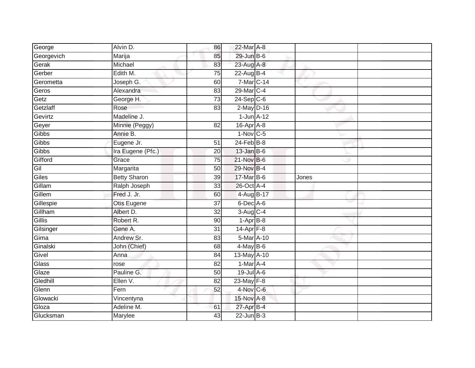| George     | Alvin D.            | 86              | 22-Mar A-8             |       |  |
|------------|---------------------|-----------------|------------------------|-------|--|
| Georgevich | Marija              | 85              | 29-Jun B-6             |       |  |
| Gerak      | Michael             | 83              | 23-Aug A-8             |       |  |
| Gerber     | Edith M.            | 75              | 22-Aug B-4             |       |  |
| Gerometta  | Joseph G.           | 60              | 7-Mar C-14             |       |  |
| Geros      | Alexandra           | 83              | 29-Mar C-4             |       |  |
| Getz       | George H.           | 73              | $24-Sep$ C-6           |       |  |
| Getzlaff   | Rose                | 83              | $2$ -May $D-16$        |       |  |
| Gevirtz    | Madeline J.         |                 | $1$ -Jun $A-12$        |       |  |
| Geyer      | Minnie (Peggy)      | 82              | 16-Apr A-8             |       |  |
| Gibbs      | Annie B.            |                 | $1-Nov$ C-5            |       |  |
| Gibbs      | Eugene Jr.          | $\overline{51}$ | $24$ -Feb $B-8$        |       |  |
| Gibbs      | Ira Eugene (Pfc.)   | 20              | $13$ -Jan B-6          |       |  |
| Gifford    | Grace               | 75              | $21$ -Nov $B-6$        |       |  |
| Gil        | Margarita           | 50              | 29-Nov B-4             |       |  |
| Giles      | <b>Betty Sharon</b> | 39              | 17-Mar B-6             | Jones |  |
| Gillam     | Ralph Joseph        | $\overline{33}$ | 26-Oct A-4             |       |  |
| Gillem     | Fred J. Jr.         | 60              | 4-Aug B-17             |       |  |
| Gillespie  | Otis Eugene         | 37              | 6-Dec A-6              |       |  |
| Gillham    | Albert D.           | 32              | $3-Aug$ <sub>C-4</sub> |       |  |
| Gillis     | Robert R.           | 90              | $1-AprB-8$             |       |  |
| Gilsinger  | Gene A.             | $\overline{31}$ | $14-Apr$ F-8           |       |  |
| Gima       | Andrew Sr.          | 83              | 5-Mar A-10             |       |  |
| Ginalski   | John (Chief)        | 68              | $4$ -May B-6           |       |  |
| Givel      | Anna                | 84              | 13-May A-10            |       |  |
| Glass      | rose                | 82              | $1-Mar A-4$            |       |  |
| Glaze      | Pauline G.          | 50              | $19$ -Jul $A$ -6       |       |  |
| Gledhill   | Ellen V.            | 82              | 23-May F-8             |       |  |
| Glenn      | Fern                | 52              | $4-Nov$ C-6            |       |  |
| Glowacki   | Vincentyna          |                 | 15-Nov A-8             |       |  |
| Gloza      | Adeline M.          | 61              | 27-Apr B-4             |       |  |
| Glucksman  | Marylee             | 43              | $22$ -Jun $B-3$        |       |  |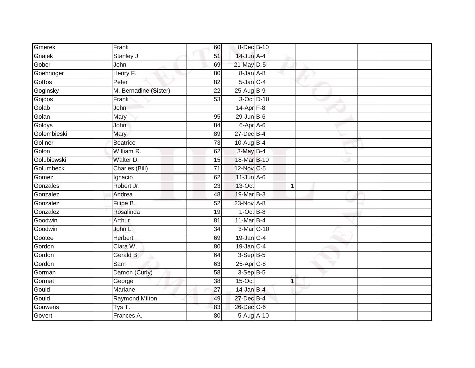| Gmerek      | Frank                 | 60              | 8-Dec B-10       |             |  |
|-------------|-----------------------|-----------------|------------------|-------------|--|
| Gnajek      | Stanley J.            | 51              | 14-Jun A-4       |             |  |
| Gober       | John                  | 69              | 21-May D-5       |             |  |
| Goehringer  | Henry F.              | 80              | 8-Jan A-8        |             |  |
| Goffos      | Peter                 | $\overline{82}$ | $5$ -Jan $C-4$   |             |  |
| Goginsky    | M. Bernadine (Sister) | 22              | 25-Aug B-9       |             |  |
| Gojdos      | Frank                 | $\overline{53}$ | 3-Oct D-10       |             |  |
| Golab       | John                  |                 | 14-Apr $F-8$     |             |  |
| Golan       | Mary                  | 95              | $29$ -Jun B-6    |             |  |
| Goldys      | John                  | 84              | 6-Apr A-6        |             |  |
| Golembieski | Mary                  | 89              | $27 - Dec$ B-4   |             |  |
| Gollner     | <b>Beatrice</b>       | 73              | 10-Aug B-4       |             |  |
| Golon       | William R.            | 62              | 3-May B-4        |             |  |
| Golubiewski | Walter D.             | 15              | 18-Mar B-10      |             |  |
| Golumbeck   | Charles (Bill)        | $\overline{71}$ | 12-Nov C-5       |             |  |
| Gomez       | Ignacio               | 62              | $11$ -Jun $A$ -6 |             |  |
| Gonzales    | Robert Jr.            | 23              | $13-Oct$         | $\mathbf 1$ |  |
| Gonzalez    | Andrea                | 48              | 19-Mar B-3       |             |  |
| Gonzalez    | Filipe B.             | 52              | 23-Nov A-8       |             |  |
| Gonzalez    | Rosalinda             | 19              | $1-Oct$ B-8      |             |  |
| Goodwin     | Arthur                | 81              | 11-Mar $B-4$     |             |  |
| Goodwin     | John L.               | $\overline{34}$ | 3-Mar C-10       |             |  |
| Gootee      | Herbert               | 69              | $19$ -Jan C-4    |             |  |
| Gordon      | Clara W.              | 80              | $19$ -Jan $C-4$  |             |  |
| Gordon      | Gerald B.             | 64              | $3-Sep B-5$      |             |  |
| Gordon      | Sam                   | 63              | 25-Apr C-8       |             |  |
| Gorman      | Damon (Curly)         | 58              | $3-Sep$ B-5      |             |  |
| Gormat      | George                | 38              | 15-Oct           | $\mathbf 1$ |  |
| Gould       | Mariane               | 27              | $14$ -Jan B-4    |             |  |
| Gould       | <b>Raymond Milton</b> | 49              | 27-Dec B-4       |             |  |
| Gouwens     | Tys T.                | 83              | 26-Dec C-6       |             |  |
| Govert      | Frances A.            | 80              | 5-Aug A-10       |             |  |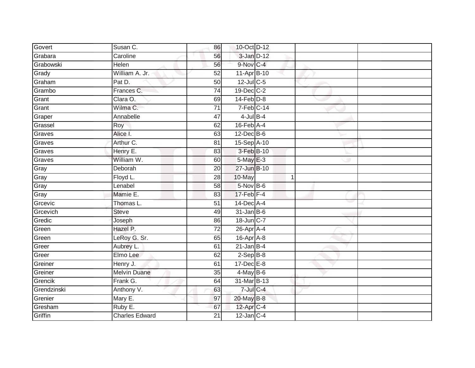| Govert      | Susan C.              | 86              | 10-Oct D-12                 |   |  |
|-------------|-----------------------|-----------------|-----------------------------|---|--|
| Grabara     | Caroline              | 56              | $3$ -Jan $D-12$             |   |  |
| Grabowski   | Helen                 | 56              | 9-Nov C-4                   |   |  |
| Grady       | William A. Jr.        | 52              | 11-Apr B-10                 |   |  |
| Graham      | Pat D.                | 50              | 12-Jul C-5                  |   |  |
| Grambo      | Frances C.            | 74              | 19-Dec C-2                  |   |  |
| Grant       | Clara O.              | 69              | $14$ -Feb $D-8$             |   |  |
| Grant       | Wilma C.              | 71              | $7-Feb$ C-14                |   |  |
| Graper      | Annabelle             | 47              | $4$ -Jul B-4                |   |  |
| Grassel     | Roy                   | 62              | $16$ -Feb $\overline{A}$ -4 |   |  |
| Graves      | Alice I.              | 63              | $12$ -Dec $B$ -6            |   |  |
| Graves      | Arthur C.             | 81              | 15-Sep A-10                 |   |  |
| Graves      | Henry E.              | 83              | 3-Feb B-10                  |   |  |
| Graves      | William W.            | 60              | 5-May E-3                   |   |  |
| Gray        | Deborah               | 20              | 27-Jun B-10                 |   |  |
| Gray        | Floyd L.              | 28              | 10-May                      | 1 |  |
| Gray        | Lenabel               | $\overline{58}$ | 5-Nov B-6                   |   |  |
| Gray        | Mamie E.              | 83              | $17$ -Feb $F-4$             |   |  |
| Grcevic     | Thomas L.             | 51              | 14-Dec A-4                  |   |  |
| Grcevich    | <b>Steve</b>          | 49              | $31$ -Jan B-6               |   |  |
| Gredic      | Joseph                | 86              | 18-Jun C-7                  |   |  |
| Green       | Hazel P.              | $\overline{72}$ | 26-Apr A-4                  |   |  |
| Green       | LeRoy G. Sr.          | 65              | 16-Apr A-8                  |   |  |
| Greer       | Aubrey L.             | 61              | $21$ -Jan B-4               |   |  |
| Greer       | Elmo Lee              | 62              | $2-Sep B-8$                 |   |  |
| Greiner     | Henry J.              | 61              | $17 - Dec$ $E-8$            |   |  |
| Greiner     | <b>Melvin Duane</b>   | $\overline{35}$ | $4$ -May B-6                |   |  |
| Grencik     | Frank G.              | 64              | 31-Mar B-13                 |   |  |
| Grendzinski | Anthony V.            | 63              | $7$ -Jul $C$ -4             |   |  |
| Grenier     | Mary E.               | 97              | 20-May B-8                  |   |  |
| Gresham     | Ruby E.               | 67              | 12-Apr C-4                  |   |  |
| Griffin     | <b>Charles Edward</b> | $\overline{21}$ | $12$ -Jan $ C-4 $           |   |  |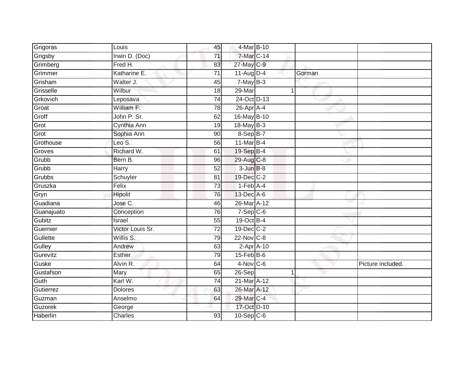| Grigoras   | Louis            | 45              | 4-Mar B-10        |             |        |                   |
|------------|------------------|-----------------|-------------------|-------------|--------|-------------------|
| Grigsby    | Irwin D. (Doc)   | 71              | 7-Mar C-14        |             |        |                   |
| Grimberg   | Fred H.          | 83              | 27-May C-9        |             |        |                   |
| Grimmer    | Katharine E.     | 71              | $11-Aug$ D-4      |             | Gorman |                   |
| Grisham    | Walter J.        | 45              | $7$ -May $B-3$    |             |        |                   |
| Grisselle  | Wilbur           | 18              | $29$ -Mar         | $\mathbf 1$ |        |                   |
| Grkovich   | Leposava         | $\overline{74}$ | 24-Oct D-13       |             |        |                   |
| Groat      | William F.       | 78              | 26-Apr A-4        |             |        |                   |
| Groff      | John P. Sr.      | 62              | 16-May B-10       |             |        |                   |
| Grot       | Cynthia Ann      | 19              | 18-May B-3        |             |        |                   |
| Grot       | Sophia Ann       | 90              | 8-Sep B-7         |             |        |                   |
| Grothouse  | Leo $S$ .        | 56              | 11-Mar B-4        |             |        |                   |
| Groves     | Richard W.       | 61              | 19-Sep B-4        |             |        |                   |
| Grubb      | Bern B.          | 96              | 29-Aug C-8        |             |        |                   |
| Grubb      | Harry            | $\overline{52}$ | $3 - Jun$ $B-8$   |             |        |                   |
| Grubbs     | Schuyler         | 81              | 19-Dec C-2        |             |        |                   |
| Gruszka    | Felix            | $\overline{73}$ | $1-Feb$ $A-4$     |             |        |                   |
| Gryn       | Hipolit          | 76              | 13-Dec A-6        |             |        |                   |
| Guadiana   | Jose C.          | 46              | 26-Mar A-12       |             |        |                   |
| Guanajuato | Conception       | 76              | $7-Sep$ $C-6$     |             |        |                   |
| Gubitz     | Israel           | 55              | 19-Oct B-4        |             |        |                   |
| Guernier   | Victor Louis Sr. | $\overline{72}$ | 19-Dec C-2        |             |        |                   |
| Gullette   | Willis S.        | 79              | $22$ -Nov $ C-8 $ |             |        |                   |
| Gulley     | Andrew           | 63              | $2-Apr$ $A-10$    |             |        |                   |
| Gurevitz   | Esther           | 79              | $15$ -Feb $B$ -6  |             |        |                   |
| Guske      | Alvin R.         | 64              | $4-Nov$ C-6       |             |        | Picture included. |
| Gustafson  | Mary             | 65              | $26-Sep$          | 1           |        |                   |
| Guth       | Karl W.          | 74              | 21-Mar A-12       |             |        |                   |
| Gutierrez  | <b>Dolores</b>   | 63              | 26-Mar A-12       |             |        |                   |
| Guzman     | Anselmo          | 64              | 29-Mar C-4        |             |        |                   |
| Guzorek    | George           |                 | 17-Oct D-10       |             |        |                   |
| Haberlin   | Charles          | $\overline{93}$ | $10-Sep$ C-6      |             |        |                   |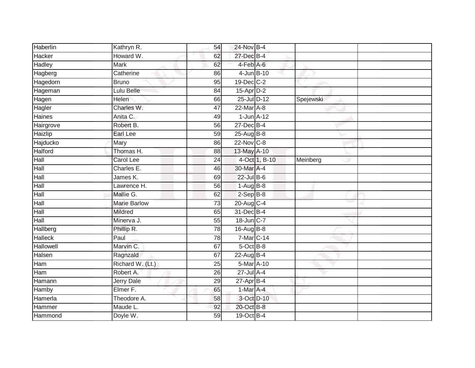| Haberlin       | Kathryn R.          | 54              | 24-Nov B-4              |               |           |  |
|----------------|---------------------|-----------------|-------------------------|---------------|-----------|--|
| Hacker         | Howard W.           | 62              | 27-Dec B-4              |               |           |  |
| <b>Hadley</b>  | <b>Mark</b>         | 62              | 4-Feb A-6               |               |           |  |
| Hagberg        | Catherine           | 86              | 4-Jun B-10              |               |           |  |
| Hagedorn       | <b>Bruno</b>        | $\overline{95}$ | 19-Dec C-2              |               |           |  |
| Hageman        | Lulu Belle          | 84              | 15-Apr D-2              |               |           |  |
| Hagen          | Helen               | 66              | 25-Jul D-12             |               | Spejewski |  |
| Hagler         | Charles W.          | 47              | $22$ -Mar $A-8$         |               |           |  |
| Haines         | Anita C.            | 49              | $1$ -Jun $A-12$         |               |           |  |
| Hairgrove      | Robert B.           | 56              | 27-Dec B-4              |               |           |  |
| Haizlip        | Earl Lee            | 59              | 25-Aug B-8              |               |           |  |
| Hajducko       | Mary                | 86              | $22-Nov$ <sub>C-8</sub> |               |           |  |
| <b>Halford</b> | Thomas H.           | 88              | 13-May A-10             |               |           |  |
| Hall           | <b>Carol Lee</b>    | $\overline{24}$ |                         | 4-Oct 1, B-10 | Meinberg  |  |
| Hall           | Charles E.          | 46              | 30-Mar A-4              |               |           |  |
| Hall           | James K.            | 69              | $22$ -Jul $B-6$         |               |           |  |
| Hall           | Lawrence H.         | 56              | $1-Aug$ B-8             |               |           |  |
| Hall           | Mallie G.           | 62              | $2-Sep$ $B-8$           |               |           |  |
| Hall           | <b>Marie Barlow</b> | 73              | 20-Aug C-4              |               |           |  |
| Hall           | <b>Mildred</b>      | 65              | 31-Dec B-4              |               |           |  |
| Hall           | Minerva J.          | 55              | 18-Jun C-7              |               |           |  |
| Hallberg       | Phillip R.          | 78              | 16-Aug B-8              |               |           |  |
| <b>Halleck</b> | Paul                | 78              | 7-Mar <sub>C-14</sub>   |               |           |  |
| Hallowell      | Marvin C.           | 67              | $5$ -Oct $B$ -8         |               |           |  |
| Halsen         | Ragnzald            | 67              | $22$ -Aug B-4           |               |           |  |
| Ham            | Richard W. (Lt.)    | $\overline{25}$ | 5-Mar A-10              |               |           |  |
| Ham            | Robert A.           | 26              | 27-Jul A-4              |               |           |  |
| Hamann         | <b>Jerry Dale</b>   | 29              | $27$ -Apr $B-4$         |               |           |  |
| Hamby          | Elmer F.            | 65              | 1-Mar A-4               |               |           |  |
| Hamerla        | Theodore A.         | 58              | 3-Oct D-10              |               |           |  |
| Hammer         | Maude L.            | 92              | 20-Oct B-8              |               |           |  |
| Hammond        | Doyle W.            | 59              | 19-Oct B-4              |               |           |  |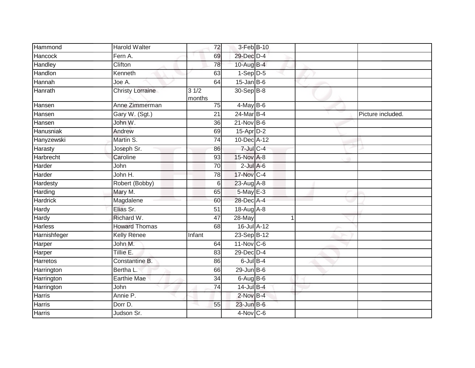| Hammond         | Harold Walter           | 72             | 3-Feb B-10      |  |                   |
|-----------------|-------------------------|----------------|-----------------|--|-------------------|
| <b>Hancock</b>  | Fern A.                 | 69             | 29-Dec D-4      |  |                   |
| Handley         | Clifton                 | 78             | 10-Aug B-4      |  |                   |
| Handlon         | Kenneth                 | 63             | $1-Sep$ D-5     |  |                   |
| Hannah          | Joe A.                  | 64             | $15$ -Jan B-6   |  |                   |
| Hanrath         | <b>Christy Lorraine</b> | 31/2<br>months | 30-Sep B-8      |  |                   |
| Hansen          | Anne Zimmerman          | 75             | $4$ -May B-6    |  |                   |
| Hansen          | Gary W. (Sgt.)          | 21             | 24-Mar B-4      |  | Picture included. |
| Hansen          | John W.                 | 36             | $21-Nov$ B-6    |  |                   |
| Hanusniak       | Andrew                  | 69             | 15-Apr D-2      |  |                   |
| Hanyzewski      | Martin S.               | 74             | 10-Dec A-12     |  |                   |
| Harasty         | Joseph Sr.              | 86             | $7$ -Jul $C-4$  |  |                   |
| Harbrecht       | Caroline                | 93             | 15-Nov A-8      |  |                   |
| Harder          | John                    | 70             | $2$ -Jul $A$ -6 |  |                   |
| Harder          | John H.                 | 78             | 17-Nov C-4      |  |                   |
| Hardesty        | Robert (Bobby)          | 6              | 23-Aug A-8      |  |                   |
| Harding         | Mary M.                 | 65             | 5-May E-3       |  |                   |
| <b>Hardrick</b> | Magdalene               | 60             | 28-Dec A-4      |  |                   |
| Hardy           | Elias Sr.               | 51             | 18-Aug A-8      |  |                   |
| Hardy           | Richard W.              | 47             | $28 - May$      |  |                   |
| Harless         | <b>Howard Thomas</b>    | 68             | 16-Jul A-12     |  |                   |
| Harnishfeger    | <b>Kelly Renee</b>      | Infant         | 23-Sep B-12     |  |                   |
| Harper          | John M.                 | 64             | $11$ -Nov $C-6$ |  |                   |
| Harper          | Tillie E.               | 83             | 29-Dec D-4      |  |                   |
| <b>Harretos</b> | Constantine B.          | 86             | $6$ -Jul $B-4$  |  |                   |
| Harrington      | Bertha L.               | 66             | $29$ -Jun B-6   |  |                   |
| Harrington      | <b>Earthie Mae</b>      | 34             | $6-AugB-6$      |  |                   |
| Harrington      | John                    | 74             | 14-Jul B-4      |  |                   |
| <b>Harris</b>   | Annie P.                |                | $2$ -Nov $B-4$  |  |                   |
| Harris          | Dorr D.                 | 55             | $23$ -Jun B-6   |  |                   |
| <b>Harris</b>   | Judson Sr.              |                | $4-Nov$ C-6     |  |                   |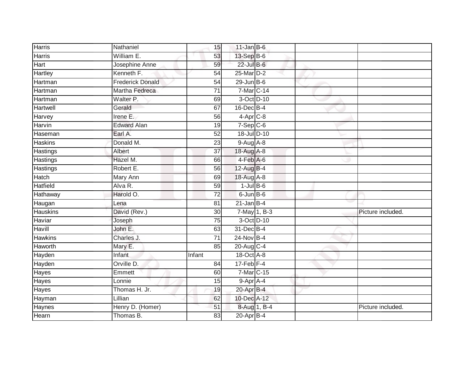| <b>Harris</b>   | Nathaniel               | 15              | $11$ -Jan B-6   |  |                   |
|-----------------|-------------------------|-----------------|-----------------|--|-------------------|
| Harris          | William E.              | 53              | 13-Sep B-6      |  |                   |
| <b>Hart</b>     | Josephine Anne          | 59              | 22-Jul B-6      |  |                   |
| <b>Hartley</b>  | Kenneth F.              | 54              | 25-Mar D-2      |  |                   |
| Hartman         | <b>Frederick Donald</b> | 54              | $29$ -Jun B-6   |  |                   |
| Hartman         | Martha Fedreca          | $\overline{71}$ | 7-Mar C-14      |  |                   |
| Hartman         | Walter P.               | 69              | 3-Oct D-10      |  |                   |
| <b>Hartwell</b> | Gerald                  | 67              | $16$ -Dec $B-4$ |  |                   |
| Harvey          | Irene E.                | 56              | $4-Apr$ C-8     |  |                   |
| Harvin          | <b>Edward Alan</b>      | 19              | $7-Sep$ $C-6$   |  |                   |
| Haseman         | Earl A.                 | 52              | 18-Jul D-10     |  |                   |
| <b>Haskins</b>  | Donald M.               | 23              | $9-Aug$ A-8     |  |                   |
| Hastings        | Albert                  | 37              | 18-Aug A-8      |  |                   |
| <b>Hastings</b> | Hazel M.                | 66              | $4-FebA-6$      |  |                   |
| <b>Hastings</b> | Robert E.               | 56              | 12-Aug B-4      |  |                   |
| Hatch           | Mary Ann                | 69              | 18-Aug A-8      |  |                   |
| <b>Hatfield</b> | Alva R.                 | 59              | $1$ -Jul $B$ -6 |  |                   |
| Hathaway        | Harold O.               | $\overline{72}$ | $6$ -Jun $B$ -6 |  |                   |
| Haugan          | Lena                    | 81              | $21$ -Jan B-4   |  |                   |
| <b>Hauskins</b> | David (Rev.)            | $\overline{30}$ | 7-May 1, B-3    |  | Picture included. |
| Haviar          | Joseph                  | 75              | 3-Oct D-10      |  |                   |
| Havill          | John E.                 | 63              | 31-Dec B-4      |  |                   |
| <b>Hawkins</b>  | Charles J.              | 71              | 24-Nov B-4      |  |                   |
| Haworth         | Mary E.                 | 85              | 20-Aug C-4      |  |                   |
| Hayden          | Infant                  | Infant          | 18-Oct A-8      |  |                   |
| Hayden          | Orville D.              | 84              | $17$ -Feb $F-4$ |  |                   |
| Hayes           | Emmett                  | 60              | 7-Mar C-15      |  |                   |
| Hayes           | Lonnie                  | 15              | 9-Apr A-4       |  |                   |
| Hayes           | Thomas H. Jr.           | 19              | 20-Apr B-4      |  |                   |
| Hayman          | Lillian                 | 62              | 10-Dec A-12     |  |                   |
| Haynes          | Henry D. (Homer)        | 51              | 8-Aug 1, B-4    |  | Picture included. |
| Hearn           | Thomas B.               | $\overline{83}$ | $20$ -Apr $B-4$ |  |                   |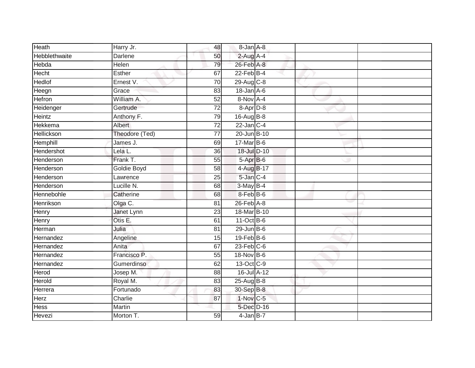| Heath                | Harry Jr.      | 48              | 8-Jan A-8        |  |  |
|----------------------|----------------|-----------------|------------------|--|--|
| <b>Hebblethwaite</b> | Darlene        | 50              | $2$ -Aug A-4     |  |  |
| <b>Hebda</b>         | Helen          | 79              | 26-Feb A-8       |  |  |
| <b>Hecht</b>         | Esther         | 67              | $22$ -Feb $B-4$  |  |  |
| <b>Hedlof</b>        | Ernest V.      | 70              | 29-Aug C-8       |  |  |
| Heegn                | Grace          | 83              | 18-Jan A-6       |  |  |
| <b>Hefron</b>        | William A.     | 52              | $8-Nov$ A-4      |  |  |
| Heidenger            | Gertrude       | 72              | 8-Apr D-8        |  |  |
| <b>Heintz</b>        | Anthony F.     | 79              | 16-Aug B-8       |  |  |
| <b>Hekkema</b>       | Albert         | $\overline{72}$ | 22-Jan C-4       |  |  |
| Hellickson           | Theodore (Ted) | $\overline{77}$ | 20-Jun B-10      |  |  |
| Hemphill             | James J.       | 69              | $17$ -Mar $B$ -6 |  |  |
| Hendershot           | Lela L.        | 36              | 18-Jul D-10      |  |  |
| Henderson            | Frank T.       | 55              | 5-Apr B-6        |  |  |
| Henderson            | Goldie Boyd    | $\overline{58}$ | 4-Aug B-17       |  |  |
| Henderson            | Lawrence       | 25              | 5-Jan C-4        |  |  |
| Henderson            | Lucille N.     | 68              | 3-May B-4        |  |  |
| Hennebohle           | Catherine      | 68              | 8-Feb B-6        |  |  |
| Henrikson            | Olga C.        | 81              | $26$ -Feb $A-8$  |  |  |
| Henry                | Janet Lynn     | 23              | 18-Mar B-10      |  |  |
| Henry                | Otis E.        | 61              | 11-Oct B-6       |  |  |
| Herman               | Julia          | $\overline{81}$ | $29$ -Jun B-6    |  |  |
| Hernandez            | Angeline       | 15              | $19$ -Feb $B$ -6 |  |  |
| Hernandez            | Anita          | 67              | $23$ -Feb $C-6$  |  |  |
| Hernandez            | Francisco P.   | 55              | 18-Nov B-6       |  |  |
| Hernandez            | Gumerdinso     | 62              | 13-Oct C-9       |  |  |
| Herod                | Josep M.       | $\overline{88}$ | 16-Jul A-12      |  |  |
| Herold               | Royal M.       | 83              | $25-Aug$ B-8     |  |  |
| Herrera              | Fortunado      | 83              | 30-Sep B-8       |  |  |
| Herz                 | Charlie        | 87              | 1-Nov C-5        |  |  |
| Hess                 | Martin         |                 | 5-Dec D-16       |  |  |
| Hevezi               | Morton T.      | 59              | $4$ -Jan B-7     |  |  |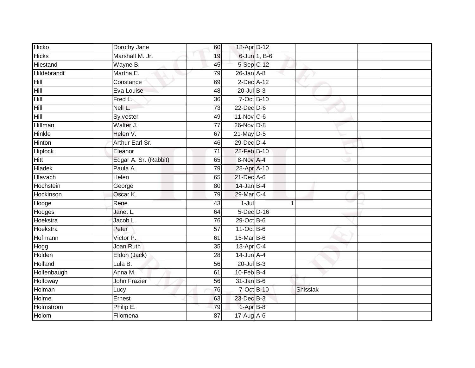| Hicko          | Dorothy Jane          | 60              | 18-Apr D-12      |              |                 |
|----------------|-----------------------|-----------------|------------------|--------------|-----------------|
| <b>Hicks</b>   | Marshall M. Jr.       | 19              |                  | 6-Jun 1, B-6 |                 |
| Hiestand       | Wayne B.              | 45              | 5-Sep C-12       |              |                 |
| Hildebrandt    | Martha E.             | 79              | $26$ -Jan $A-8$  |              |                 |
| Hill           | Constance             | 69              | $2$ -Dec $A-12$  |              |                 |
| Hill           | Eva Louise            | 48              | $20$ -Jul $B-3$  |              |                 |
| Hill           | Fred L.               | 36              | 7-Oct B-10       |              |                 |
| Hill           | Nell L.               | 73              | $22$ -Dec $D-6$  |              |                 |
| Hill           | Sylvester             | 49              | $11$ -Nov $C-6$  |              |                 |
| <b>Hillman</b> | Walter J.             | $\overline{77}$ | $26$ -Nov $D-8$  |              |                 |
| <b>Hinkle</b>  | Helen V.              | 67              | $21$ -May $D-5$  |              |                 |
| Hinton         | Arthur Earl Sr.       | 46              | 29-Dec D-4       |              |                 |
| Hiplock        | Eleanor               | 71              | 28-Feb B-10      |              |                 |
| Hitt           | Edgar A. Sr. (Rabbit) | 65              | 8-Nov A-4        |              |                 |
| <b>Hladek</b>  | Paula A.              | 79              | 28-Apr A-10      |              |                 |
| Hlavach        | Helen                 | 65              | 21-Dec A-6       |              |                 |
| Hochstein      | George                | 80              | $14$ -Jan B-4    |              |                 |
| Hockinson      | Oscar K.              | 79              | 29-Mar C-4       |              |                 |
| Hodge          | Rene                  | 43              | $1 -$ Jul        |              |                 |
| Hodges         | Janet L.              | 64              | 5-Dec D-16       |              |                 |
| Hoekstra       | Jacob L.              | 76              | $29$ -Oct B-6    |              |                 |
| Hoekstra       | Peter                 | 57              | $11-Oct$ B-6     |              |                 |
| Hofmann        | Victor P.             | 61              | 15-Mar B-6       |              |                 |
| Hogg           | Joan Ruth             | 35              | 13-Apr C-4       |              |                 |
| Holden         | Eldon (Jack)          | 28              | $14$ -Jun $A$ -4 |              |                 |
| <b>Holland</b> | Lula B.               | 56              | $20$ -Jul $B-3$  |              |                 |
| Hollenbaugh    | Anna M.               | 61              | $10$ -Feb $B-4$  |              |                 |
| Holloway       | John Frazier          | 56              | $31$ -Jan B-6    |              |                 |
| Holman         | Lucy                  | 76              | 7-Oct B-10       |              | <b>Shisslak</b> |
| Holme          | Ernest                | 63              | 23-Dec B-3       |              |                 |
| Holmstrom      | Philip $E$ .          | 79              | 1-Apr B-8        |              |                 |
| Holom          | Filomena              | $\overline{87}$ | 17-Aug A-6       |              |                 |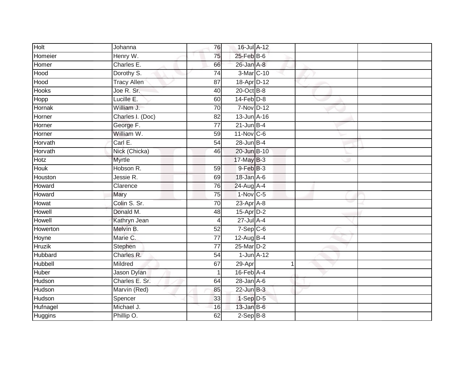| Holt           | Johanna            | 76              | 16-Jul A-12      |   |  |
|----------------|--------------------|-----------------|------------------|---|--|
| Homeier        | Henry W.           | 75              | 25-Feb B-6       |   |  |
| Homer          | Charles E.         | 66              | 26-Jan A-8       |   |  |
| Hood           | Dorothy S.         | $\overline{74}$ | 3-Mar C-10       |   |  |
| Hood           | <b>Tracy Allen</b> | $\overline{87}$ | 18-Apr D-12      |   |  |
| <b>Hooks</b>   | Joe R. Sr.         | 40              | 20-Oct B-8       |   |  |
| Hopp           | Lucille E.         | 60              | $14$ -Feb $D-8$  |   |  |
| Hornak         | William J.         | 70              | 7-Nov D-12       |   |  |
| Horner         | Charles I. (Doc)   | 82              | 13-Jun A-16      |   |  |
| Horner         | George F.          | $\overline{77}$ | $21$ -Jun $B-4$  |   |  |
| Horner         | William W.         | 59              | $11-Nov$ C-6     |   |  |
| Horvath        | Carl E.            | 54              | 28-Jun B-4       |   |  |
| Horvath        | Nick (Chicka)      | 46              | 20-Jun B-10      |   |  |
| Hotz           | Myrtle             |                 | 17-May B-3       |   |  |
| <b>Houk</b>    | Hobson R.          | 59              | $9$ -Feb $B-3$   |   |  |
| Houston        | Jessie R.          | 69              | 18-Jan A-6       |   |  |
| Howard         | Clarence           | 76              | 24-Aug A-4       |   |  |
| Howard         | Mary               | 75              | 1-Nov C-5        |   |  |
| Howat          | Colin S. Sr.       | 70              | 23-Apr A-8       |   |  |
| <b>Howell</b>  | Donald M.          | 48              | 15-Apr D-2       |   |  |
| Howell         | Kathryn Jean       | $\overline{4}$  | 27-Jul A-4       |   |  |
| Howerton       | Melvin B.          | 52              | $7-Sep$ C-6      |   |  |
| Hoyne          | Marie C.           | 77              | $12$ -Aug B-4    |   |  |
| <b>Hruzik</b>  | Stephen            | $\overline{77}$ | 25-Mar D-2       |   |  |
| Hubbard        | Charles R.         | 54              | $1$ -Jun $A-12$  |   |  |
| <b>Hubbell</b> | Mildred            | 67              | 29-Apr           | 1 |  |
| <b>Huber</b>   | Jason Dylan        | 1               | $16$ -Feb $A$ -4 |   |  |
| Hudson         | Charles E. Sr.     | 64              | $28$ -Jan $A-6$  |   |  |
| Hudson         | Marvin (Red)       | 85              | $22$ -Jun $B-3$  |   |  |
| Hudson         | Spencer            | 33              | $1-Sep$ D-5      |   |  |
| Hufnagel       | Michael J.         | 16              | $13$ -Jan B-6    |   |  |
| Huggins        | Phillip O.         | 62              | $2-Sep$ B-8      |   |  |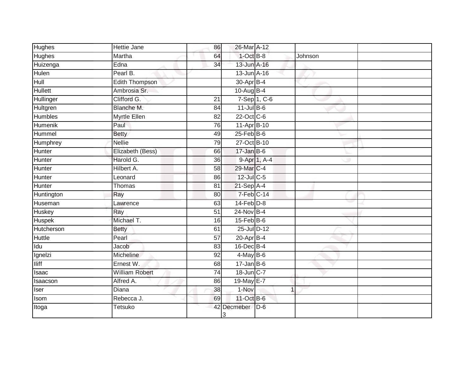| Hughes         | Hettie Jane           | 86              | 26-Mar A-12             |                |         |  |
|----------------|-----------------------|-----------------|-------------------------|----------------|---------|--|
| <b>Hughes</b>  | Martha                | 64              | $1-OctB-8$              |                | Johnson |  |
| Huizenga       | Edna                  | $\overline{34}$ | 13-Jun A-16             |                |         |  |
| Hulen          | Pearl B.              |                 | 13-Jun A-16             |                |         |  |
| Hull           | <b>Edith Thompson</b> |                 | 30-Apr B-4              |                |         |  |
| <b>Hullett</b> | Ambrosia Sr.          |                 | 10-Aug B-4              |                |         |  |
| Hullinger      | Clifford G.           | 21              |                         | 7-Sep 1, C-6   |         |  |
| Hultgren       | Blanche M.            | 84              | $11$ -Jul B-6           |                |         |  |
| Humbles        | Myrtle Ellen          | 82              | 22-Oct C-6              |                |         |  |
| <b>Humenik</b> | Paul                  | 76              | 11-Apr B-10             |                |         |  |
| Hummel         | <b>Betty</b>          | 49              | $25$ -Feb $B$ -6        |                |         |  |
| Humphrey       | <b>Nellie</b>         | 79              | 27-Oct B-10             |                |         |  |
| Hunter         | Elizabeth (Bess)      | 66              | $17 - Jan$ B-6          |                |         |  |
| Hunter         | Harold G.             | 36              |                         | 9-Apr 1, A-4   |         |  |
| Hunter         | Hilbert A.            | $\overline{58}$ | 29-Mar C-4              |                |         |  |
| Hunter         | Leonard               | 86              | $12$ -Jul $C$ -5        |                |         |  |
| Hunter         | <b>Thomas</b>         | 81              | 21-Sep A-4              |                |         |  |
| Huntington     | Ray                   | 80              | $7-Feb$ <sub>C-14</sub> |                |         |  |
| Huseman        | Lawrence              | 63              | $14$ -Feb $D-8$         |                |         |  |
| Huskey         | Ray                   | 51              | $24$ -Nov B-4           |                |         |  |
| Huspek         | Michael T.            | 16              | $15$ -Feb $B$ -6        |                |         |  |
| Hutcherson     | <b>Betty</b>          | 61              | 25-Jul D-12             |                |         |  |
| Huttle         | Pearl                 | 57              | $20 - Apr$ B-4          |                |         |  |
| Idu            | Jacob                 | 83              | $16$ -Dec $B-4$         |                |         |  |
| Ignelzi        | <b>Micheline</b>      | 92              | $4$ -May B-6            |                |         |  |
| <b>Iliff</b>   | Ernest W.             | 68              | $17 - Jan$ B-6          |                |         |  |
| Isaac          | <b>William Robert</b> | $\overline{74}$ | 18-Jun C-7              |                |         |  |
| Isaacson       | Alfred A.             | 86              | 19-May E-7              |                |         |  |
| Iser           | Diana                 | 38              | 1-Nov                   | $\overline{1}$ |         |  |
| Isom           | Rebecca J.            | 69              | 11-Oct B-6              |                |         |  |
| Itoga          | Tetsuko               |                 | 42 Decmeber<br>3        | $D-6$          |         |  |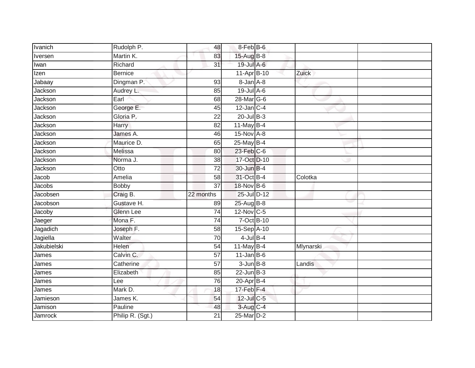| <b>Ivanich</b> | Rudolph P.       | 48              | 8-Feb B-6        |           |
|----------------|------------------|-----------------|------------------|-----------|
| Iversen        | Martin K.        | 83              | 15-Aug B-8       |           |
| Iwan           | Richard          | $\overline{31}$ | 19-Jul A-6       |           |
| Izen           | <b>Bernice</b>   |                 | 11-Apr B-10      | Zuick     |
| Jabaay         | Dingman P.       | 93              | 8-Jan A-8        |           |
| Jackson        | Audrey L.        | 85              | 19-Jul A-6       |           |
| Jackson        | Earl             | 68              | 28-Mar G-6       |           |
| Jackson        | George E.        | 45              | $12$ -Jan C-4    |           |
| Jackson        | Gloria P.        | 22              | $20$ -Jul $B-3$  |           |
| Jackson        | <b>Harry</b>     | 82              | $11$ -May B-4    |           |
| Jackson        | James A.         | 46              | $15-Nov$ A-8     |           |
| Jackson        | Maurice D.       | 65              | 25-May B-4       |           |
| Jackson        | Melissa          | 80              | 23-Feb C-6       |           |
| Jackson        | Norma J.         | 38              | 17-Oct D-10      |           |
| Jackson        | Otto             | $\overline{72}$ | 30-Jun B-4       |           |
| Jacob          | Amelia           | 58              | 31-Oct B-4       | Colotka   |
| Jacobs         | <b>Bobby</b>     | $\overline{37}$ | 18-Nov B-6       |           |
| Jacobsen       | Craig B.         | 22 months       | 25-Jul D-12      |           |
| Jacobson       | Gustave H.       | 89              | 25-Aug B-8       |           |
| Jacoby         | <b>Glenn Lee</b> | $\overline{74}$ | 12-Nov C-5       |           |
| Jaeger         | Mona F.          | 74              | 7-Oct B-10       |           |
| Jagadich       | Joseph F.        | 58              | 15-Sep A-10      |           |
| Jagiella       | Walter           | 70              | $4$ -Jul B-4     |           |
| Jakubielski    | Helen            | 54              | $11$ -May B-4    | Mlynarski |
| James          | Calvin C.        | 57              | $11$ -Jan $B$ -6 |           |
| James          | Catherine        | 57              | $3$ -Jun $B-8$   | Landis    |
| James          | Elizabeth        | 85              | $22$ -Jun $B-3$  |           |
| James          | Lee              | 76              | $20$ -Apr $B$ -4 |           |
| James          | Mark D.          | 18              | $17$ -Feb $F-4$  |           |
| Jamieson       | James K.         | 54              | 12-Jul C-5       |           |
| Jamison        | Pauline          | 48              | 3-Aug C-4        |           |
| Jamrock        | Philip R. (Sgt.) | $\overline{21}$ | 25-Mar D-2       |           |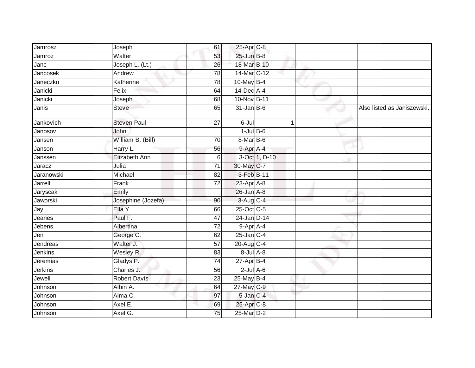| Jamrosz    | Joseph               | 61              | 25-Apr C-8        |               |                             |
|------------|----------------------|-----------------|-------------------|---------------|-----------------------------|
| Jamroz     | Walter               | 53              | 25-Jun B-8        |               |                             |
| Janc       | Joseph L. (Lt.)      | 26              | 18-Mar B-10       |               |                             |
| Jancosek   | Andrew               | 78              | 14-Mar C-12       |               |                             |
| Janeczko   | Katherine            | 78              | $10$ -May B-4     |               |                             |
| Janicki    | Felix                | 64              | 14-Dec A-4        |               |                             |
| Janicki    | Joseph               | 68              | 10-Nov B-11       |               |                             |
| Janis      | <b>Steve</b>         | 65              | $31$ -Jan B-6     |               | Also listed as Janiszewski. |
| Jankovich  | <b>Steven Paul</b>   | 27              | $6 -$ Jul         | 1             |                             |
| Janosov    | John                 |                 | $1$ -Jul B-6      |               |                             |
| Jansen     | William B. (Bill)    | 70              | $8-Mar$ B-6       |               |                             |
| Janson     | Harry L.             | 56              | $9-$ Apr $A-4$    |               |                             |
| Janssen    | <b>Elizabeth Ann</b> | 6               |                   | 3-Oct 1, D-10 |                             |
| Jaracz     | Julia                | 71              | 30-May C-7        |               |                             |
| Jaranowski | Michael              | 82              | 3-Feb B-11        |               |                             |
| Jarrell    | Frank                | 72              | $23$ -Apr $A$ -8  |               |                             |
| Jaryscak   | Emily                |                 | $26$ -Jan $A-8$   |               |                             |
| Jaworski   | Josephine (Jozefa)   | 90              | 3-Aug C-4         |               |                             |
| Jay        | Ella Y.              | 66              | 25-Oct C-5        |               |                             |
| Jeanes     | Paul F.              | 47              | 24-Jan D-14       |               |                             |
| Jebens     | Albertina            | 72              | 9-Apr A-4         |               |                             |
| Jen        | George C.            | 62              | $25$ -Jan $C-4$   |               |                             |
| Jendreas   | Walter J.            | 57              | 20-Aug C-4        |               |                             |
| Jenkins    | Wesley R.            | 83              | $8 -$ Jul $A - 8$ |               |                             |
| Jeremias   | Gladys P.            | $\overline{74}$ | $27$ -Apr $B-4$   |               |                             |
| Jerkins    | Charles J.           | 56              | $2$ -Jul $A$ -6   |               |                             |
| Jewell     | <b>Robert Davis</b>  | 23              | 25-May B-4        |               |                             |
| Johnson    | Albin A.             | 64              | 27-May C-9        |               |                             |
| Johnson    | Alma C.              | 97              | 5-Jan C-4         |               |                             |
| Johnson    | Axel E.              | 69              | 25-Apr C-8        |               |                             |
| Johnson    | Axel G.              | 75              | 25-Mar D-2        |               |                             |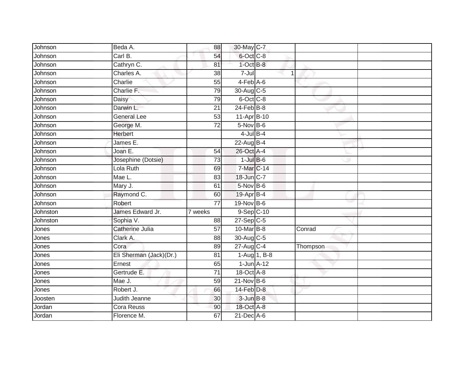| Johnson  | Beda A.                 | 88              | 30-May C-7              |                |          |  |
|----------|-------------------------|-----------------|-------------------------|----------------|----------|--|
|          |                         |                 |                         |                |          |  |
| Johnson  | Carl B.                 | 54              | 6-Oct C-8               |                |          |  |
| Johnson  | Cathryn C.              | 81              | $1$ -Oct $B-8$          |                |          |  |
| Johnson  | Charles A.              | 38              | 7-Jul                   | 1              |          |  |
| Johnson  | Charlie                 | $\overline{55}$ | $4-Feb$ $A-6$           |                |          |  |
| Johnson  | Charlie F.              | 79              | 30-Aug C-5              |                |          |  |
| Johnson  | Daisy                   | 79              | 6-Oct C-8               |                |          |  |
| Johnson  | Darwin L.               | 21              | $24$ -Feb $B-8$         |                |          |  |
| Johnson  | <b>General Lee</b>      | 53              | $11-Apr\overline{B-10}$ |                |          |  |
| Johnson  | George M.               | $\overline{72}$ | $5-Nov$ B-6             |                |          |  |
| Johnson  | <b>Herbert</b>          |                 | $4$ -Jul B-4            |                |          |  |
| Johnson  | James $E$ .             |                 | 22-Aug B-4              |                |          |  |
| Johnson  | Joan E.                 | 54              | 26-Oct A-4              |                |          |  |
| Johnson  | Josephine (Dotsie)      | 73              | $1$ -Jul $B$ -6         |                |          |  |
| Johnson  | Lola Ruth               | 69              | 7-Mar C-14              |                |          |  |
| Johnson  | Mae L.                  | 83              | 18-Jun C-7              |                |          |  |
| Johnson  | Mary J.                 | 61              | $5-NovB-6$              |                |          |  |
| Johnson  | Raymond C.              | 60              | 19-Apr B-4              |                |          |  |
| Johnson  | Robert                  | $\overline{77}$ | 19-Nov B-6              |                |          |  |
| Johnston | James Edward Jr.        | 7 weeks         | 9-Sep C-10              |                |          |  |
| Johnston | Sophia V.               | 88              | $27-Sep$ C-5            |                |          |  |
| Jones    | <b>Catherine Julia</b>  | 57              | 10-Mar <sub>B</sub> -8  |                | Conrad   |  |
| Jones    | Clark A.                | 88              | 30-Aug C-5              |                |          |  |
| Jones    | Cora                    | 89              | $27$ -Aug C-4           |                | Thompson |  |
| Jones    | Eli Sherman (Jack)(Dr.) | 81              |                         | 1-Aug $1, B-8$ |          |  |
| Jones    | Ernest                  | 65              | $1$ -Jun $A-12$         |                |          |  |
| Jones    | Gertrude E.             | $\overline{71}$ | 18-Oct A-8              |                |          |  |
| Jones    | Mae J.                  | 59              | $21$ -Nov B-6           |                |          |  |
| Jones    | Robert J.               | 66              | $14$ -Feb $D-8$         |                |          |  |
| Joosten  | <b>Judith Jeanne</b>    | 30              | $3$ -Jun $B-8$          |                |          |  |
| Jordan   | Cora Reuss              | 90              | 18-Oct A-8              |                |          |  |
| Jordan   | Florence M.             | 67              | $21$ -Dec $A-6$         |                |          |  |
|          |                         |                 |                         |                |          |  |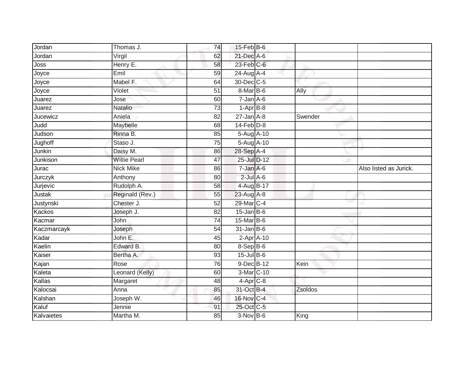| Jordan        | Thomas J.           | 74              | $15$ -Feb $B$ -6 |         |                        |
|---------------|---------------------|-----------------|------------------|---------|------------------------|
| Jordan        | Virgil              | 62              | 21-Dec A-6       |         |                        |
| Joss          | Henry E.            | 58              | $23$ -Feb $C$ -6 |         |                        |
| Joyce         | Emil                | 59              | 24-Aug A-4       |         |                        |
| Joyce         | Mabel F.            | 64              | 30-Dec C-5       |         |                        |
| Joyce         | Violet              | 51              | 8-Mar B-6        | Ally    |                        |
| Juarez        | Jose                | 60              | $7 - Jan A - 6$  |         |                        |
| Juarez        | Natalio             | 73              | $1-AprB-8$       |         |                        |
| Jucewicz      | Aniela              | 82              | $27$ -Jan $A-8$  | Swender |                        |
| Judd          | Maybelle            | 68              | $14$ -Feb $D-8$  |         |                        |
| Judson        | Rinna B.            | 85              | 5-Aug A-10       |         |                        |
| Jughoff       | Staso J.            | 75              | 5-Aug A-10       |         |                        |
| Junkin        | Daisy M.            | 86              | 28-Sep A-4       |         |                        |
| Junkison      | <b>Willie Pearl</b> | 47              | 25-Jul D-12      |         |                        |
| Jurac         | <b>Nick Mike</b>    | 86              | $7 - Jan A - 6$  |         | Also listed as Jurick. |
| Jurczyk       | Anthony             | 80              | $2$ -Jul $A$ -6  |         |                        |
| Jurjevic      | Rudolph A.          | 58              | 4-Aug B-17       |         |                        |
| Justak        | Reginald (Rev.)     | 55              | 23-Aug A-8       |         |                        |
| Justynski     | Chester J.          | 52              | 29-Mar C-4       |         |                        |
| <b>Kackos</b> | Joseph J.           | $\overline{82}$ | $15$ -Jan B-6    |         |                        |
| Kacmar        | John                | 74              | $15$ -Mar $B$ -6 |         |                        |
| Kaczmarcayk   | Joseph              | $\overline{54}$ | $31$ -Jan $B$ -6 |         |                        |
| Kadar         | John E.             | 45              | $2$ -Apr $A-10$  |         |                        |
| Kaelin        | Edward B.           | 80              | 8-Sep B-6        |         |                        |
| Kaiser        | Bertha A.           | 93              | 15-Jul B-6       |         |                        |
| Kajan         | Rose                | 76              | 9-Dec B-12       | Kein    |                        |
| Kaleta        | Leonard (Kelly)     | 60              | 3-Mar C-10       |         |                        |
| Kallas        | Margaret            | 48              | $4-Apr$ C-8      |         |                        |
| Kalocsai      | Anna                | 85              | 31-Oct B-4       | Zsoldos |                        |
| Kalshan       | Joseph W.           | 46              | 16-Nov C-4       |         |                        |
| Kaluf         | Jennie              | 91              | 25-Oct C-5       |         |                        |
| Kalvaietes    | Martha M.           | 85              | $3-Nov$ B-6      | King    |                        |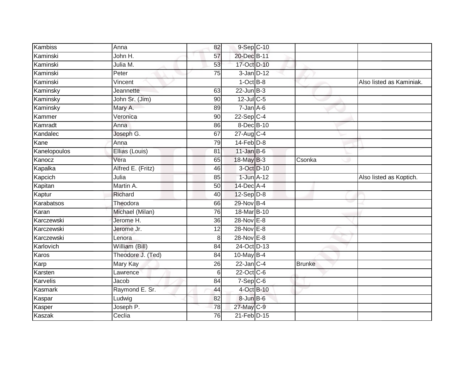| Kambiss      | Anna                | 82              | 9-Sep C-10      |            |               |                          |
|--------------|---------------------|-----------------|-----------------|------------|---------------|--------------------------|
| Kaminski     | John H.             | 57              | 20-Dec B-11     |            |               |                          |
| Kaminski     | Julia M.            | 53              | 17-Oct D-10     |            |               |                          |
| Kaminski     | Peter               | $\overline{75}$ | $3$ -Jan $D-12$ |            |               |                          |
| Kaminski     | Vincent             |                 | $1$ -Oct $B-8$  |            |               | Also listed as Kaminiak. |
| Kaminsky     | Jeannette           | 63              | $22$ -Jun $B-3$ |            |               |                          |
| Kaminsky     | John Sr. (Jim)      | 90              | $12$ -Jul C-5   |            |               |                          |
|              |                     | 89              | $7 - Jan A - 6$ |            |               |                          |
| Kaminsky     | Mary A.<br>Veronica | 90              | $22-Sep C-4$    |            |               |                          |
| Kammer       |                     | $\overline{86}$ | 8-Dec B-10      |            |               |                          |
| Kamradt      | Anna                |                 |                 |            |               |                          |
| Kandalec     | Joseph G.           | 67              | $27$ -Aug $C-4$ |            |               |                          |
| Kane         | Anna                | 79              | $14$ -Feb $D-8$ |            |               |                          |
| Kanelopoulos | Ellias (Louis)      | 81              | $11$ -Jan B-6   |            |               |                          |
| Kanocz       | Vera                | 65              | 18-May B-3      |            | Csonka        |                          |
| Kapalka      | Alfred E. (Fritz)   | 46              |                 | 3-Oct D-10 |               |                          |
| Kapcich      | Julia               | 85              | $1$ -Jun $A-12$ |            |               | Also listed as Koptich.  |
| Kapitan      | Martin A.           | $\overline{50}$ | 14-Dec A-4      |            |               |                          |
| Kaptur       | Richard             | 40              | $12-Sep D-8$    |            |               |                          |
| Karabatsos   | Theodora            | 66              | 29-Nov B-4      |            |               |                          |
| Karan        | Michael (Milan)     | 76              | 18-Mar B-10     |            |               |                          |
| Karczewski   | Jerome H.           | 36              | 28-Nov E-8      |            |               |                          |
| Karczewski   | Jerome Jr.          | $\overline{12}$ | 28-Nov E-8      |            |               |                          |
| Karczewski   | Lenora              | 8 <sup>1</sup>  | 28-Nov E-8      |            |               |                          |
| Karlovich    | William (Bill)      | 84              | 24-Oct D-13     |            |               |                          |
| Karos        | Theodore J. (Ted)   | 84              | 10-May B-4      |            |               |                          |
| Karp         | Mary Kay            | 26              | $22$ -Jan C-4   |            | <b>Brunke</b> |                          |
| Karsten      | Lawrence            | 6               | 22-Oct C-6      |            |               |                          |
| Karvelis     | Jacob               | 84              | $7-Sep$ C-6     |            |               |                          |
| Kasmark      | Raymond E. Sr.      | 44              | 4-Oct B-10      |            |               |                          |
| Kaspar       | Ludwig              | 82              | 8-Jun B-6       |            |               |                          |
| Kasper       | Joseph P.           | 78              | 27-May C-9      |            |               |                          |
| Kaszak       | Ceclia              | 76              | 21-Feb D-15     |            |               |                          |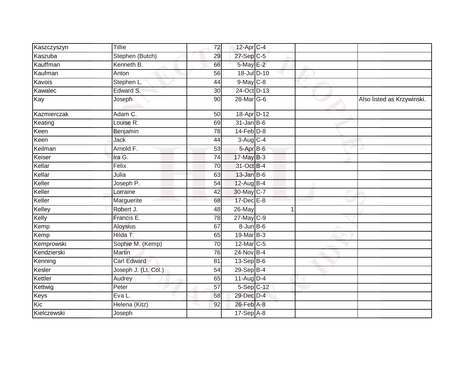| Kaszczyszyn | <b>Tillie</b>        | 72              | $12$ -Apr $C-4$   |  |                            |
|-------------|----------------------|-----------------|-------------------|--|----------------------------|
| Kaszuba     | Stephen (Butch)      | 29              | 27-Sep C-5        |  |                            |
| Kauffman    | Kenneth B.           | 66              | 5-May E-2         |  |                            |
| Kaufman     | Anton                | 56              | 18-Jul D-10       |  |                            |
| Kavois      | Stephen L.           | 44              | $9$ -May $C$ -8   |  |                            |
| Kawalec     | Edward S.            | 30              | 24-Oct D-13       |  |                            |
| Kay         | Joseph               | 90              | 28-Mar G-6        |  | Also listed as Krzywinski. |
| Kazmierczak | Adam C.              | 50              | 18-Apr D-12       |  |                            |
| Keating     | Louise R.            | 69              | $31$ -Jan B-6     |  |                            |
| Keen        | Benjamin             | 78              | $14$ -Feb $D-8$   |  |                            |
| Keen        | <b>Jack</b>          | 44              | $3-Aug$ $C-4$     |  |                            |
| Keilman     | Arnold F.            | 53              | $5-AprB-6$        |  |                            |
| Keiser      | Ira G.               | $\overline{74}$ | 17-May B-3        |  |                            |
| Kellar      | Felix                | 70              | 31-Oct B-4        |  |                            |
| Kellar      | Julia                | 63              | $13$ -Jan B-6     |  |                            |
| Keller      | Joseph P.            | 54              | $12$ -Aug $B-4$   |  |                            |
| Keller      | Lorraine             | 42              | 30-May C-7        |  |                            |
| Keller      | Marguerite           | 68              | 17-Dec E-8        |  |                            |
| Kelley      | Robert J.            | 48              | 26-May            |  |                            |
| Kelly       | Francis E.           | 78              | 27-May C-9        |  |                            |
| Kemp        | Aloysius             | 67              | $8 - Jun$ $B - 6$ |  |                            |
| Kemp        | Hilda T.             | 65              | 19-Mar B-3        |  |                            |
| Kemprowski  | Sophie M. (Kemp)     | 70              | 12-Mar C-5        |  |                            |
| Kendzierski | Martin               | 76              | 24-Nov B-4        |  |                            |
| Kenning     | <b>Carl Edward</b>   | 81              | $13-Sep$ B-6      |  |                            |
| Kesler      | Joseph J. (Lt. Col.) | 54              | 29-Sep B-4        |  |                            |
| Kettler     | Audrey               | 65              | $11-Auq$ D-4      |  |                            |
| Kettwig     | Peter                | 57              | $5-Sep C-12$      |  |                            |
| Keys        | Eva L.               | 58              | 29-Dec D-4        |  |                            |
| Kic         | Helena (Kitz)        | 92              | 26-Feb A-8        |  |                            |
| Kielczewski | Joseph               |                 | $17-SepA-8$       |  |                            |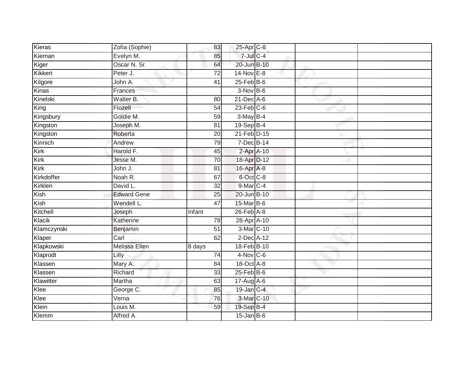| <b>Kieras</b> | Zofia (Sophie)     | 83              | 25-Apr C-8             |  |  |
|---------------|--------------------|-----------------|------------------------|--|--|
| Kiernan       | Evelyn M.          | 85              | $7$ -Jul $C$ -4        |  |  |
| Kiger         | Oscar N. Sr.       | 64              | 20-Jun B-10            |  |  |
| Kikkert       | Peter J.           | 72              | 14-Nov E-8             |  |  |
| Kilgore       | John A.            | $\overline{41}$ | $25$ -Feb $B$ -6       |  |  |
| Kinas         | Frances            |                 | $3-Nov$ B-6            |  |  |
| Kinelski      | Walter B.          | 80              | 21-Dec A-6             |  |  |
| King          | Flozell            | 54              | $23$ -Feb $C-6$        |  |  |
| Kingsbury     | Goldie M.          | 59              | $3-May$ B-4            |  |  |
| Kingston      | Joseph M.          | 81              | 19-Sep B-4             |  |  |
| Kingston      | Roberta            | 20              | 21-Feb <sup>D-15</sup> |  |  |
| Kirinich      | Andrew             | 79              | 7-Dec B-14             |  |  |
| Kirk          | Harold F.          | 45              | 2-Apr A-10             |  |  |
| Kirk          | Jesse M.           | 70              | 18-Apr D-12            |  |  |
| Kirk          | John J.            | 81              | 16-Apr A-8             |  |  |
| Kirkdoffer    | Noah R.            | 67              | 6-Oct C-8              |  |  |
| Kirklen       | David L.           | $\overline{32}$ | 9-Mar C-4              |  |  |
| Kish          | <b>Edward Gene</b> | 25              | 20-Jun B-10            |  |  |
| Kish          | Wendell L.         | 47              | 15-Mar B-6             |  |  |
| Kitchell      | Joseph             | Infant          | $26$ -Feb $A-8$        |  |  |
| Klacik        | Katherine          | 78              | 28-Apr A-10            |  |  |
| Klamczynski   | Benjamin           | 51              | 3-Mar C-10             |  |  |
| Klaper        | Carl               | 62              | $2$ -Dec $A$ -12       |  |  |
| Klapkowski    | Melissa Ellen      | 8 days          | 18-Feb B-10            |  |  |
| Klaprodt      | Lilly              | 74              | $4-Nov$ C-6            |  |  |
| Klassen       | Mary A.            | 84              | 18-Oct A-8             |  |  |
| Klassen       | Richard            | $\overline{33}$ | $25$ -Feb $B$ -6       |  |  |
| Klawitter     | Martha             | 63              | 17-Aug A-6             |  |  |
| Klee          | George C.          | 85              | 19-Jan C-4             |  |  |
| Klee          | Verna              | 76              | 3-Mar C-10             |  |  |
| Klein         | Louis M.           | 59              | 19-Sep B-4             |  |  |
| Klemm         | Alfred A.          |                 | $15$ -Jan B-6          |  |  |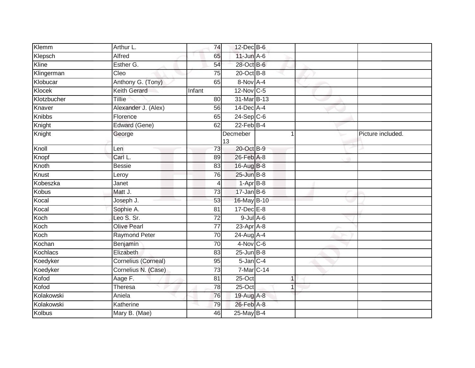| Klemm         | Arthur L.            | 74              | $12$ -Dec $B$ -6 |              |                   |
|---------------|----------------------|-----------------|------------------|--------------|-------------------|
| Klepsch       | <b>Alfred</b>        | 65              | $11$ -Jun $A-6$  |              |                   |
| Kline         | Esther G.            | 54              | 28-Oct B-6       |              |                   |
| Klingerman    | Cleo                 | 75              | $20$ -Oct B-8    |              |                   |
| Klobucar      | Anthony G. (Tony)    | 65              | 8-Nov A-4        |              |                   |
| Klocek        | Keith Gerard         | Infant          | 12-Nov C-5       |              |                   |
| Klotzbucher   | Tillie               | 80              | $31$ -Mar $B-13$ |              |                   |
| Knaver        | Alexander J. (Alex)  | 56              | $14$ -Dec $A$ -4 |              |                   |
| Knibbs        | Florence             | 65              | $24-Sep$ C-6     |              |                   |
| Knight        | Edward (Gene)        | 62              | $22$ -Feb $B-4$  |              |                   |
| Knight        | George               |                 | Decmeber<br>13   | 1            | Picture included. |
| Knoll         | Len                  | 73              | 20-Oct B-9       |              |                   |
| Knopf         | Carl L.              | 89              | 26-Feb A-8       |              |                   |
| Knoth         | <b>Bessie</b>        | 83              | 16-Aug B-8       |              |                   |
| Knust         | Leroy                | $\overline{76}$ | 25-Jun B-8       |              |                   |
| Kobeszka      | Janet                | 4               | $1-Apr$ B-8      |              |                   |
| <b>Kobus</b>  | Matt J.              | 73              | $17 - Jan$ $B-6$ |              |                   |
| Kocal         | Joseph J.            | 53              | 16-May B-10      |              |                   |
| Kocal         | Sophie A.            | 81              | $17$ -Dec $E-8$  |              |                   |
| Koch          | Leo S. Sr.           | 72              | $9$ -Jul $A$ -6  |              |                   |
| Koch          | Olive Pearl          | 77              | 23-Apr A-8       |              |                   |
| Koch          | <b>Raymond Peter</b> | 70              | 24-Aug A-4       |              |                   |
| Kochan        | Benjamin             | 70              | $4-Nov$ C-6      |              |                   |
| Kochlacs      | Elizabeth            | 83              | $25$ -Jun $B$ -8 |              |                   |
| Koedyker      | Cornelius (Corneal)  | 95              | $5$ -Jan $C$ -4  |              |                   |
| Koedyker      | Cornelius N. (Case)  | 73              | 7-Mar C-14       |              |                   |
| Kofod         | Aage F.              | 81              | $25-Oct$         | $\mathbf{1}$ |                   |
| Kofod         | Theresa              | 78              | 25-Oct           |              |                   |
| Kolakowski    | Aniela               | 76              | 19-Aug A-8       |              |                   |
| Kolakowski    | Katherine            | 79              | 26-Feb A-8       |              |                   |
| <b>Kolbus</b> | Mary B. (Mae)        | 46              | $25$ -May B-4    |              |                   |
|               |                      |                 |                  |              |                   |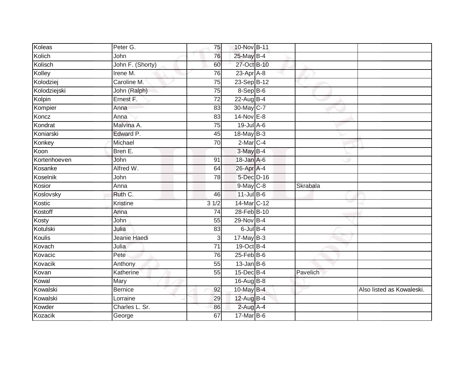| Koleas       | Peter G.         | 75              | 10-Nov B-11       |          |                           |
|--------------|------------------|-----------------|-------------------|----------|---------------------------|
| Kolich       | John             | 76              | 25-May B-4        |          |                           |
| Kolisch      | John F. (Shorty) | 60              | 27-Oct B-10       |          |                           |
| Kolley       | Irene M.         | 76              | 23-Apr A-8        |          |                           |
| Kolodziej    | Caroline M.      | $\overline{75}$ | 23-Sep B-12       |          |                           |
| Kolodziejski | John (Ralph)     | $\overline{75}$ | 8-Sep B-6         |          |                           |
| Kolpin       | Ernest F.        | $\overline{72}$ | 22-Aug B-4        |          |                           |
| Kompier      | Anna             | 83              | 30-May C-7        |          |                           |
| Koncz        | Anna             | 83              | 14-Nov E-8        |          |                           |
| Kondrat      | Malvina A.       | $\overline{75}$ | 19-Jul A-6        |          |                           |
| Koniarski    | Edward P.        | 45              | 18-May B-3        |          |                           |
| Konkey       | Michael          | 70              | $2$ -Mar $C-4$    |          |                           |
| Koon         | Bren E.          |                 | $3-May$ B-4       |          |                           |
| Kortenhoeven | John             | 91              | 18-Jan A-6        |          |                           |
| Kosanke      | Alfred W.        | 64              | 26-Apr A-4        |          |                           |
| Koselnik     | John             | 78              | 5-Dec D-16        |          |                           |
| Kosior       | Anna             |                 | $9$ -May $C$ -8   | Skrabala |                           |
| Koslovsky    | Ruth C.          | 46              | $11$ -Jul B-6     |          |                           |
| Kostic       | Kristine         | 31/2            | 14-Mar C-12       |          |                           |
| Kostoff      | Anna             | 74              | 28-Feb B-10       |          |                           |
| Kosty        | John             | 55              | 29-Nov B-4        |          |                           |
| Kotulski     | Julia            | 83              | $6$ -Jul $B-4$    |          |                           |
| Koulis       | Jeanie Haedi     | 3               | $17$ -May B-3     |          |                           |
| Kovach       | Julia            | $\overline{71}$ | 19-Oct B-4        |          |                           |
| Kovacic      | Pete             | 76              | $25$ -Feb $ B$ -6 |          |                           |
| Kovacik      | Anthony          | 55              | $13$ -Jan B-6     |          |                           |
| Kovan        | Katherine        | 55              | $15$ -Dec $B-4$   | Pavelich |                           |
| Kowal        | Mary             |                 | 16-Aug B-8        |          |                           |
| Kowalski     | <b>Bernice</b>   | 92              | 10-May B-4        |          | Also listed as Kowaleski. |
| Kowalski     | Lorraine         | 29              | 12-Aug B-4        |          |                           |
| Kowder       | Charles L. Sr.   | 86              | $2$ -Aug A-4      |          |                           |
| Kozacik      | George           | 67              | 17-Mar B-6        |          |                           |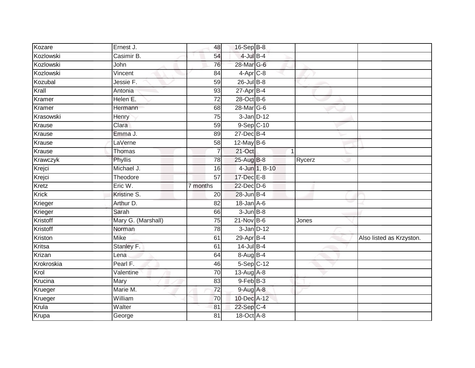| Kozare     | Ernest J.          | 48              | 16-Sep B-8       |               |        |                          |
|------------|--------------------|-----------------|------------------|---------------|--------|--------------------------|
| Kozlowski  | Casimir B.         | 54              | $4$ -Jul $B-4$   |               |        |                          |
| Kozlowski  | John               | 76              | 28-Mar G-6       |               |        |                          |
| Kozlowski  | Vincent            | 84              | $4-Apr$ $C-8$    |               |        |                          |
| Kozubal    | Jessie F.          | 59              | $26$ -Jul B-8    |               |        |                          |
| Krall      | Antonia            | 93              | $27$ -Apr $B-4$  |               |        |                          |
| Kramer     | Helen E.           | 72              | 28-Oct B-6       |               |        |                          |
| Kramer     | Hermann            | 68              | 28-Mar G-6       |               |        |                          |
| Krasowski  | Henry              | 75              | $3$ -Jan $D-12$  |               |        |                          |
| Krause     | Clara              | 59              | $9-Sep C-10$     |               |        |                          |
| Krause     | Emma J.            | 89              | $27$ -Dec $B-4$  |               |        |                          |
| Krause     | LaVerne            | 58              | $12$ -May B-6    |               |        |                          |
| Krause     | <b>Thomas</b>      |                 | 21-Oct           |               | 1      |                          |
| Krawczyk   | Phyllis            | 78              | 25-Aug B-8       |               | Rycerz |                          |
| Krejci     | Michael J.         | 16              |                  | 4-Jun 1, B-10 |        |                          |
| Krejci     | Theodore           | $\overline{57}$ | 17-Dec E-8       |               |        |                          |
| Kretz      | Eric W.            | 7 months        | 22-Dec D-6       |               |        |                          |
| Krick      | Kristine S.        | 20              | 28-Jun B-4       |               |        |                          |
| Krieger    | Arthur D.          | 82              | $18$ -Jan $A$ -6 |               |        |                          |
| Krieger    | Sarah              | 66              | $3$ -Jun $B-8$   |               |        |                          |
| Kristoff   | Mary G. (Marshall) | 75              | $21$ -Nov B-6    |               | Jones  |                          |
| Kristoff   | Norman             | 78              | $3$ -Jan $D-12$  |               |        |                          |
| Kriston    | <b>Mike</b>        | 61              | 29-Apr B-4       |               |        | Also listed as Krzyston. |
| Kritsa     | Stanley F.         | 61              | $14$ -Jul B-4    |               |        |                          |
| Krizan     | Lena               | 64              | $8-AugB-4$       |               |        |                          |
| Krokroskia | Pearl F.           | 46              | $5-Sep$ C-12     |               |        |                          |
| Krol       | Valentine          | 70              | $13-Aug$ A-8     |               |        |                          |
| Krucina    | Mary               | 83              | 9-Feb B-3        |               |        |                          |
| Krueger    | Marie M.           | 72              | 9-Aug A-8        |               |        |                          |
| Krueger    | William            | 70              | 10-Dec A-12      |               |        |                          |
| Krula      | Walter             | 81              | 22-Sep C-4       |               |        |                          |
| Krupa      | George             | $\overline{81}$ | 18-Oct A-8       |               |        |                          |
|            |                    |                 |                  |               |        |                          |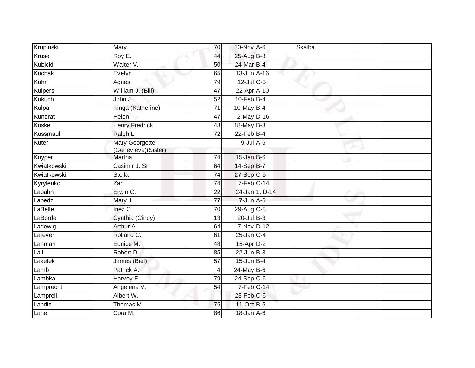| Krupinski     | Mary                                  | 70              | 30-Nov A-6              |                | Skalba |  |
|---------------|---------------------------------------|-----------------|-------------------------|----------------|--------|--|
| Kruse         | Roy E.                                | 44              | 25-Aug B-8              |                |        |  |
| Kubicki       | Walter V.                             | 50              | 24-Mar B-4              |                |        |  |
| <b>Kuchak</b> | Evelyn                                | 65              | $13$ -Jun $A-16$        |                |        |  |
| Kuhn          | Agnes                                 | 79              | $12$ -Jul C-5           |                |        |  |
| Kuipers       | William J. (Bill)                     | 47              | 22-Apr A-10             |                |        |  |
| <b>Kukuch</b> | John J.                               | 52              | $10$ -Feb $B-4$         |                |        |  |
| Kulpa         | Kinga (Katherine)                     | 71              | $10$ -May B-4           |                |        |  |
| Kundrat       | Helen                                 | 47              | $2$ -May $D-16$         |                |        |  |
| <b>Kuske</b>  | <b>Henry Fredrick</b>                 | 43              | 18-May B-3              |                |        |  |
| Kussmaul      | Ralph L.                              | $\overline{72}$ | $22$ -Feb $B-4$         |                |        |  |
| Kuter         | Mary Georgette<br>(Genevieve)(Sister) |                 | $9$ -Jul $A$ -6         |                |        |  |
| Kuyper        | Martha                                | $\overline{74}$ | $15$ -Jan B-6           |                |        |  |
| Kwiatkowski   | Casimir J. Sr.                        | 64              | 14-Sep B-7              |                |        |  |
| Kwiatkowski   | <b>Stella</b>                         | $\overline{74}$ | 27-Sep C-5              |                |        |  |
| Kyrylenko     | $\overline{Zan}$                      | 74              | $7-Feb$ <sub>C-14</sub> |                |        |  |
| Labahn        | Erwin C.                              | 22              |                         | 24-Jan 1, D-14 |        |  |
| Labedz        | Mary J.                               | 77              | $7 - Jun$ A-6           |                |        |  |
| LaBelle       | Inez C.                               | 70              | $29$ -Aug C-8           |                |        |  |
| LaBorde       | Cynthia (Cindy)                       | 13              | $20$ -Jul $B-3$         |                |        |  |
| Ladewig       | Arthur A.                             | 64              | 7-Nov D-12              |                |        |  |
| Lafever       | Rolland C.                            | 61              | $25$ -Jan $C-4$         |                |        |  |
| Lahman        | Eunice M.                             | 48              | $15$ -Apr $D-2$         |                |        |  |
| Lail          | Robert D.                             | 85              | $22$ -Jun $B-3$         |                |        |  |
| Laketek       | James (Biel)                          | $\overline{57}$ | $15$ -Jun $B-4$         |                |        |  |
| Lamb          | Patrick A.                            | $\overline{4}$  | 24-May B-6              |                |        |  |
| Lambka        | Harvey F.                             | 79              | $24-Sep$ C-6            |                |        |  |
| Lamprecht     | Angelene V.                           | 54              | $7-Feb$ $C-14$          |                |        |  |
| Lamprell      | Albert W.                             |                 | 23-Feb C-6              |                |        |  |
| Landis        | Thomas M.                             | 75              | 11-Oct B-6              |                |        |  |
| Lane          | Cora M.                               | 86              | $18 - Jan A - 6$        |                |        |  |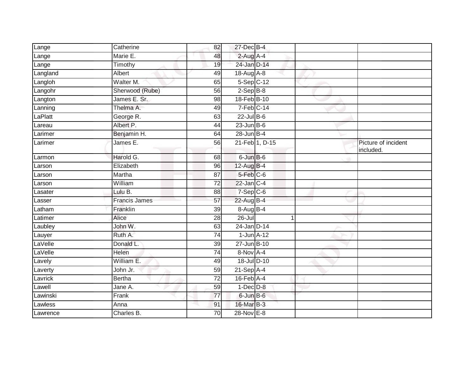| Lange    | Catherine            | 82              | 27-Dec B-4       |                |                                  |
|----------|----------------------|-----------------|------------------|----------------|----------------------------------|
| Lange    | Marie E.             | 48              | $2$ -Aug A-4     |                |                                  |
| Lange    | Timothy              | 19              | 24-Jan D-14      |                |                                  |
| Langland | Albert               | 49              | $18$ -Aug $A$ -8 |                |                                  |
| Langloh  | Walter M.            | 65              | $5-Sep$ $C-12$   |                |                                  |
| Langohr  | Sherwood (Rube)      | 56              | $2-Sep$ B-8      |                |                                  |
| Langton  | James E. Sr.         | 98              | 18-Feb B-10      |                |                                  |
| Lanning  | Thelma A.            | 49              | $7-Feb$ C-14     |                |                                  |
| LaPlatt  | George R.            | 63              | $22$ -Jul B-6    |                |                                  |
| Lareau   | Albert P.            | 44              | $23$ -Jun $B$ -6 |                |                                  |
| Larimer  | Benjamin H.          | 64              | $28$ -Jun $B-4$  |                |                                  |
| Larimer  | James E.             | 56              |                  | 21-Feb 1, D-15 | Picture of incident<br>included. |
| Larmon   | Harold G.            | 68              | $6$ -Jun $B$ -6  |                |                                  |
| Larson   | Elizabeth            | 96              | 12-Aug B-4       |                |                                  |
| Larson   | Martha               | $\overline{87}$ | 5-Feb C-6        |                |                                  |
| Larson   | William              | $\overline{72}$ | $22$ -Jan $C-4$  |                |                                  |
| Lasater  | Lulu B.              | 88              | $7-Sep$ C-6      |                |                                  |
| Lasser   | <b>Francis James</b> | 57              | 22-Aug B-4       |                |                                  |
| Latham   | Franklin             | 39              | 8-Aug B-4        |                |                                  |
| Latimer  | Alice                | 28              | $26 -$ Jul       | 1              |                                  |
| Laubley  | John W.              | 63              | 24-Jan D-14      |                |                                  |
| Lauyer   | Ruth A.              | 74              | $1$ -Jun $A$ -12 |                |                                  |
| LaVelle  | Donald L.            | 39              | 27-Jun B-10      |                |                                  |
| LaVelle  | Helen                | 74              | 8-Nov A-4        |                |                                  |
| Lavely   | William E.           | 49              | 18-Jul D-10      |                |                                  |
| Laverty  | John Jr.             | 59              | $21-Sep$ A-4     |                |                                  |
| Lavrick  | <b>Bertha</b>        | 72              | $16$ -Feb $A$ -4 |                |                                  |
| Lawell   | Jane A.              | 59              | $1-Dec$ $D-8$    |                |                                  |
| Lawinski | Frank                | 77              | 6-Jun B-6        |                |                                  |
| Lawless  | Anna                 | 91              | 16-Mar B-3       |                |                                  |
| Lawrence | Charles B.           | 70              | $28 - Nov E-8$   |                |                                  |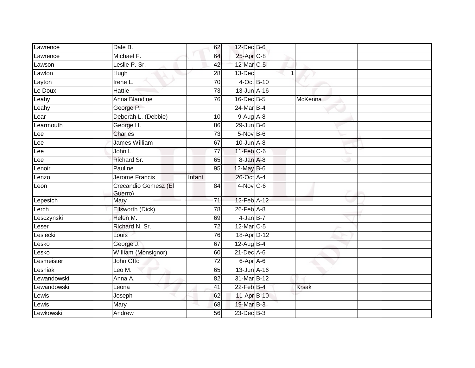| Lawrence    | Dale B.                         | 62              | $12$ -Dec $B$ -6 |             |              |  |
|-------------|---------------------------------|-----------------|------------------|-------------|--------------|--|
| Lawrence    | Michael F.                      | 64              | 25-Apr C-8       |             |              |  |
| Lawson      | Leslie P. Sr.                   | 42              | 12-Mar C-5       |             |              |  |
| Lawton      | Hugh                            | 28              | 13-Dec           | $\mathbf 1$ |              |  |
| Layton      | Irene L.                        | 70              | 4-Oct B-10       |             |              |  |
| Le Doux     | Hattie                          | $\overline{73}$ | 13-Jun A-16      |             |              |  |
| Leahy       | Anna Blandine                   | 76              | 16-Dec B-5       |             | McKenna      |  |
| Leahy       | George P.                       |                 | 24-Mar B-4       |             |              |  |
| Lear        | Deborah L. (Debbie)             | 10              | $9-Aug$ A-8      |             |              |  |
| Learmouth   | George H.                       | 86              | $29$ -Jun B-6    |             |              |  |
| Lee         | <b>Charles</b>                  | $\overline{73}$ | $5-Nov$ B-6      |             |              |  |
| Lee         | <b>James William</b>            | 67              | $10$ -Jun $A-8$  |             |              |  |
| Lee         | John L.                         | 77              | $11$ -Feb $C$ -6 |             |              |  |
| Lee         | Richard Sr.                     | 65              | 8-Jan A-8        |             |              |  |
| Lenoir      | Pauline                         | 95              | 12-May B-6       |             |              |  |
| Lenzo       | Jerome Francis                  | Infant          | 26-Oct A-4       |             |              |  |
| Leon        | Crecandio Gomesz (El<br>Guerro) | 84              | $4-Nov$ C-6      |             |              |  |
| Lepesich    | Mary                            | 71              | 12-Feb A-12      |             |              |  |
| Lerch       | Ellsworth (Dick)                | 78              | $26$ -Feb $A$ -8 |             |              |  |
| Lesczynski  | Helen M.                        | 69              | $4$ -Jan $B-7$   |             |              |  |
| Leser       | Richard N. Sr.                  | 72              | 12-Mar C-5       |             |              |  |
| Lesiecki    | Louis                           | 76              | 18-Apr D-12      |             |              |  |
| Lesko       | George J.                       | 67              | 12-Aug B-4       |             |              |  |
| Lesko       | William (Monsignor)             | 60              | $21$ -Dec $A$ -6 |             |              |  |
| Lesmeister  | John Otto                       | $\overline{72}$ | 6-Apr A-6        |             |              |  |
| Lesniak     | Leo M.                          | 65              | 13-Jun A-16      |             |              |  |
| Lewandowski | Anna A.                         | 82              | 31-Mar B-12      |             |              |  |
| Lewandowski | Leona                           | 41              | $22$ -Feb $B-4$  |             | <b>Krsak</b> |  |
| Lewis       | Joseph                          | 62              | 11-Apr B-10      |             |              |  |
| Lewis       | Mary                            | 68              | 19-Mar B-3       |             |              |  |
| Lewkowski   | Andrew                          | 56              | 23-Dec B-3       |             |              |  |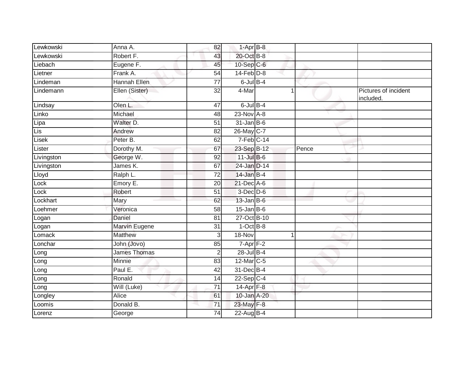| Lewkowski  | Anna A.             | 82              | $1-AprB-8$                |   |       |                                   |
|------------|---------------------|-----------------|---------------------------|---|-------|-----------------------------------|
| Lewkowski  | Robert F.           | 43              | 20-Oct B-8                |   |       |                                   |
| Liebach    | Eugene F.           | 45              | 10-Sep C-6                |   |       |                                   |
| Lietner    | Frank A.            | 54              | $14$ -Feb $D-8$           |   |       |                                   |
| Lindeman   | <b>Hannah Ellen</b> | $\overline{77}$ | $6$ -Jul $B-4$            |   |       |                                   |
| Lindemann  | Ellen (Sister)      | $\overline{32}$ | 4-Mar                     | 1 |       | Pictures of incident<br>included. |
| Lindsay    | Olen L.             | 47              | $6$ -Jul $B-4$            |   |       |                                   |
| Linko      | Michael             | 48              | $23-Nov$ A-8              |   |       |                                   |
| Lipa       | Walter D.           | 51              | $31$ -Jan B-6             |   |       |                                   |
| Lis        | Andrew              | 82              | 26-May C-7                |   |       |                                   |
| Lisek      | Peter B.            | 62              | $7-Feb$ <sub>C-14</sub>   |   |       |                                   |
| Lister     | Dorothy M.          | 67              | 23-Sep B-12               |   | Pence |                                   |
| Livingston | George W.           | 92              | $11$ -Jul B-6             |   |       |                                   |
| Livingston | James K.            | 67              | 24-Jan D-14               |   |       |                                   |
| Lloyd      | Ralph L.            | $\overline{72}$ | 14-Jan B-4                |   |       |                                   |
| Lock       | Emory E.            | 20              | $21$ -Dec $A$ -6          |   |       |                                   |
| Lock       | Robert              | 51              | $3$ -Dec $D$ -6           |   |       |                                   |
| Lockhart   | Mary                | 62              | $13$ -Jan B-6             |   |       |                                   |
| Loehmer    | Veronica            | 58              | $15$ -Jan B-6             |   |       |                                   |
| Logan      | Daniel              | 81              | 27-Oct B-10               |   |       |                                   |
| Logan      | Marvin Eugene       | 31              | $1-OctB-8$                |   |       |                                   |
| Lomack     | <b>Matthew</b>      | 3               | 18-Nov                    | 1 |       |                                   |
| Lonchar    | John (Jovo)         | 85              | $7 - Apr$ $\boxed{F - 2}$ |   |       |                                   |
| Long       | <b>James Thomas</b> | $\overline{2}$  | 28-Jul B-4                |   |       |                                   |
| Long       | Minnie              | 83              | 12-Mar C-5                |   |       |                                   |
| Long       | Paul E.             | 42              | 31-Dec B-4                |   |       |                                   |
| Long       | Ronald              | 14              | $22-Sep$ C-4              |   |       |                                   |
| Long       | Will (Luke)         | 71              | 14-Apr <sub>F-8</sub>     |   |       |                                   |
| Longley    | Alice               | 61              | 10-Jan A-20               |   |       |                                   |
| Loomis     | Donald B.           | 71              | 23-May F-8                |   |       |                                   |
| Lorenz     | George              | 74              | 22-Aug B-4                |   |       |                                   |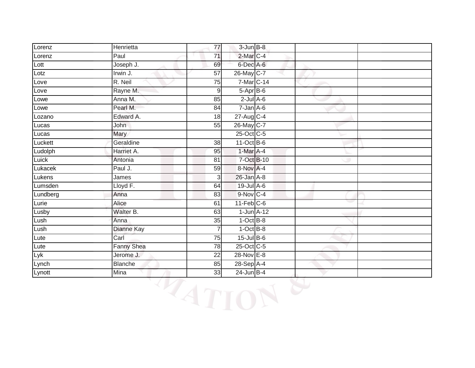| Lorenz   | Henrietta         | $\overline{77}$ | $3 - Jun$ $B-8$         |  |  |
|----------|-------------------|-----------------|-------------------------|--|--|
| Lorenz   | Paul              | 71              | 2-Mar C-4               |  |  |
| Lott     | Joseph J.         | 69              | 6-Dec A-6               |  |  |
| Lotz     | Irwin J.          | 57              | 26-May C-7              |  |  |
| Love     | R. Neil           | $\overline{75}$ | 7-Mar C-14              |  |  |
| Love     | Rayne M.          | 9               | $5 - Apr$ $B-6$         |  |  |
| Lowe     | Anna M.           | 85              | $2$ -Jul $A$ -6         |  |  |
| Lowe     | Pearl M.          | 84              | $7 - Jan A - 6$         |  |  |
| Lozano   | Edward A.         | 18              | 27-Aug C-4              |  |  |
| Lucas    | John              | 55              | 26-May C-7              |  |  |
| Lucas    | Mary              |                 | 25-Oct C-5              |  |  |
| Luckett  | Geraldine         | 38              | $11-Oct$ B-6            |  |  |
| Ludolph  | Harriet A.        | 95              | 1-Mar A-4               |  |  |
| Luick    | Antonia           | 81              | 7-Oct B-10              |  |  |
| Lukacek  | Paul J.           | 59              | 8-Nov A-4               |  |  |
| Lukens   | James             | 3               | $26$ -Jan $A-8$         |  |  |
| Lumsden  | Lloyd F.          | 64              | 19-Jul A-6              |  |  |
| Lundberg | Anna              | 83              | 9-Nov C-4               |  |  |
| Lurie    | Alice             | 61              | $11-Feb$ <sub>C-6</sub> |  |  |
| Lusby    | Walter B.         | 63              | $1$ -Jun $A-12$         |  |  |
| Lush     | Anna              | 35              | $1-OctB-8$              |  |  |
| Lush     | Dianne Kay        | $\overline{7}$  | $1-Oct$ B-8             |  |  |
| Lute     | Carl              | 75              | $15$ -Jul $B$ -6        |  |  |
| Lute     | <b>Fanny Shea</b> | 78              | 25-Oct C-5              |  |  |
| Lyk      | Jerome J.         | 22              | 28-Nov E-8              |  |  |
| Lynch    | <b>Blanche</b>    | 85              | 28-Sep A-4              |  |  |
| Lynott   | Mina              | 33              | 24-Jun B-4              |  |  |

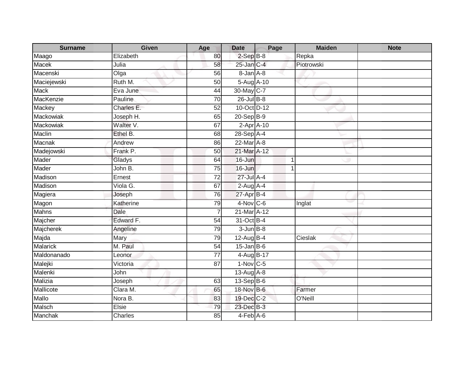| <b>Surname</b>   | <b>Given</b> | Age             | <b>Date</b>        | Page | <b>Maiden</b> | <b>Note</b> |
|------------------|--------------|-----------------|--------------------|------|---------------|-------------|
| Maago            | Elizabeth    | 80              | $2-SepB-8$         |      | Repka         |             |
| <b>Macek</b>     | Julia        | 58              | $25$ -Jan C-4      |      | Piotrowski    |             |
| Macenski         | Olga         | 56              | 8-Jan A-8          |      |               |             |
| Maciejewski      | Ruth M.      | 50              | 5-Aug A-10         |      |               |             |
| <b>Mack</b>      | Eva June     | 44              | 30-May C-7         |      |               |             |
| MacKenzie        | Pauline      | 70              | $26$ -Jul $B-8$    |      |               |             |
| Mackey           | Charles E.   | 52              | 10-Oct D-12        |      |               |             |
| <b>Mackowiak</b> | Joseph H.    | 65              | 20-Sep B-9         |      |               |             |
| Mackowiak        | Walter V.    | 67              | $2-AprA-10$        |      |               |             |
| Maclin           | Ethel B.     | 68              | 28-Sep A-4         |      |               |             |
| Macnak           | Andrew       | 86              | 22-Mar A-8         |      |               |             |
| Madejowski       | Frank P.     | 50              | 21-Mar A-12        |      |               |             |
| Mader            | Gladys       | 64              | 16-Jun             |      | -1            |             |
| Mader            | John B.      | $\overline{75}$ | 16-Jun             |      | -1            |             |
| Madison          | Ernest       | 72              | $27 -$ Jul $A - 4$ |      |               |             |
| Madison          | Viola G.     | 67              | $2-Aug$ A-4        |      |               |             |
| Magiera          | Joseph       | 76              | 27-Apr B-4         |      |               |             |
| Magon            | Katherine    | 79              | 4-Nov C-6          |      | Inglat        |             |
| <b>Mahns</b>     | Dale         | $\overline{7}$  | 21-Mar A-12        |      |               |             |
| Majcher          | Edward F.    | 54              | 31-Oct B-4         |      |               |             |
| Majcherek        | Angeline     | 79              | $3 - Jun$ $B-8$    |      |               |             |
| Majda            | Mary         | 79              | $12$ -Aug $B-4$    |      | Cieslak       |             |
| <b>Malarick</b>  | M. Paul      | 54              | $15$ -Jan B-6      |      |               |             |
| Maldonanado      | Leonor       | 77              | 4-Aug B-17         |      |               |             |
| Malejki          | Victoria     | 87              | $1-Nov$ C-5        |      |               |             |
| Malenki          | John         |                 | $13-Aug$ $A-8$     |      |               |             |
| Malizia          | Joseph       | 63              | $13-SepB-6$        |      |               |             |
| Mallicote        | Clara M.     | 65              | 18-Nov B-6         |      | Farmer        |             |
| Mallo            | Nora B.      | 83              | 19-Dec C-2         |      | O'Neill       |             |
| Malsch           | Elsie        | 79              | 23-Dec B-3         |      |               |             |
| Manchak          | Charles      | 85              | $4-FebA-6$         |      |               |             |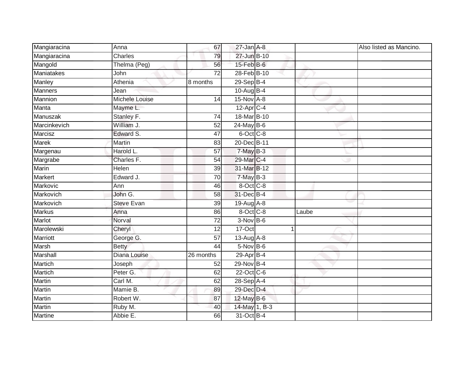| Mangiaracina   | Anna              | 67              | $27$ -Jan $A-8$  |       | Also listed as Mancino. |
|----------------|-------------------|-----------------|------------------|-------|-------------------------|
| Mangiaracina   | Charles           | 79              | 27-Jun B-10      |       |                         |
| Mangold        | Thelma (Peg)      | 56              | $15$ -Feb $B$ -6 |       |                         |
| Maniatakes     | John              | $\overline{72}$ | 28-Feb B-10      |       |                         |
| Manley         | Athenia           | 8 months        | 29-Sep B-4       |       |                         |
| <b>Manners</b> | Jean              |                 | 10-Aug B-4       |       |                         |
| Mannion        | Michele Louise    | 14              | $15$ -Nov $A-8$  |       |                         |
| Manta          | Mayme L.          |                 | $12$ -Apr $C-4$  |       |                         |
| Manuszak       | Stanley F.        | 74              | 18-Mar B-10      |       |                         |
| Marcinkevich   | William J.        | 52              | 24-May B-6       |       |                         |
| Marcisz        | Edward S.         | 47              | 6-Oct C-8        |       |                         |
| Marek          | Martin            | 83              | 20-Dec B-11      |       |                         |
| Margenau       | Harold L.         | 57              | $7-MayB-3$       |       |                         |
| Margrabe       | Charles F.        | 54              | 29-Mar C-4       |       |                         |
| Marin          | <b>Helen</b>      | 39              | 31-Mar B-12      |       |                         |
| Markert        | Edward J.         | 70              | $7-MayB-3$       |       |                         |
| Markovic       | Ann               | 46              | $8-Oct$ $C-8$    |       |                         |
| Markovich      | John G.           | 58              | 31-Dec B-4       |       |                         |
| Markovich      | <b>Steve Evan</b> | 39              | 19-Aug A-8       |       |                         |
| <b>Markus</b>  | Anna              | 86              | 8-Oct C-8        | Laube |                         |
| Marlot         | Norval            | $\overline{72}$ | $3-Nov$ B-6      |       |                         |
| Marolewski     | Cheryl            | $\overline{12}$ | $17-Oct$         | 1     |                         |
| Marriott       | George G.         | $\overline{57}$ | 13-Aug A-8       |       |                         |
| Marsh          | <b>Betty</b>      | 44              | $5-NovB-6$       |       |                         |
| Marshall       | Diana Louise      | 26 months       | 29-Apr B-4       |       |                         |
| <b>Martich</b> | Joseph            | 52              | 29-Nov B-4       |       |                         |
| Martich        | Peter G.          | 62              | 22-Oct C-6       |       |                         |
| Martin         | Carl M.           | 62              | $28-Sep$ A-4     |       |                         |
| Martin         | Mamie B.          | 89              | 29-Dec D-4       |       |                         |
| Martin         | Robert W.         | 87              | 12-May B-6       |       |                         |
| Martin         | Ruby M.           | 40              | 14-May 1, B-3    |       |                         |
| <b>Martine</b> | Abbie E.          | 66              | 31-Oct B-4       |       |                         |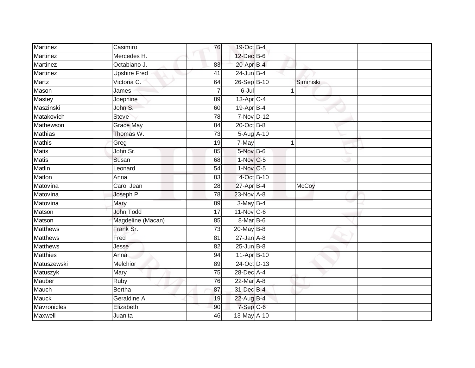| <b>Martinez</b> | Casimiro            | 76              | 19-Oct B-4             |             |              |
|-----------------|---------------------|-----------------|------------------------|-------------|--------------|
| Martinez        | Mercedes H.         |                 | 12-Dec B-6             |             |              |
| Martinez        | Octabiano J.        | 83              | 20-Apr B-4             |             |              |
| Martinez        | <b>Upshire Fred</b> | 41              | $24$ -Jun $B-4$        |             |              |
| Martz           | Victoria C.         | 64              | 26-Sep B-10            |             | Siminiski    |
| Mason           | James               | $\overline{7}$  | 6-Jul                  | $\mathbf 1$ |              |
| Mastey          | Joephine            | 89              | $13$ -Apr $C-4$        |             |              |
| Maszinski       | John S.             | 60              | 19-Apr B-4             |             |              |
| Matakovich      | <b>Steve</b>        | 78              | 7-Nov D-12             |             |              |
| Mathewson       | <b>Grace May</b>    | 84              | 20-Oct B-8             |             |              |
| <b>Mathias</b>  | Thomas W.           | 73              | 5-Aug A-10             |             |              |
| <b>Mathis</b>   | Greg                | 19              | 7-May                  | $\mathbf 1$ |              |
| Matis           | John Sr.            | 85              | 5-Nov B-6              |             |              |
| <b>Matis</b>    | Susan               | 68              | $1-Nov$ <sub>C-5</sub> |             |              |
| <b>Matlin</b>   | Leonard             | 54              | 1-Nov C-5              |             |              |
| Matlon          | Anna                | 83              | 4-Oct B-10             |             |              |
| Matovina        | Carol Jean          | $\overline{28}$ | $27$ -Apr $B-4$        |             | <b>McCoy</b> |
| Matovina        | Joseph P.           | 78              | 23-Nov A-8             |             |              |
| Matovina        | Mary                | 89              | 3-May B-4              |             |              |
| Matson          | John Todd           | $\overline{17}$ | $11-Nov$ C-6           |             |              |
| Matson          | Magdeline (Macan)   | 85              | 8-Mar B-6              |             |              |
| <b>Matthews</b> | Frank Sr.           | 73              | 20-May B-8             |             |              |
| <b>Matthews</b> | Fred                | 81              | $27$ -Jan $A-8$        |             |              |
| <b>Matthews</b> | Jesse               | 82              | $25$ -Jun $B-8$        |             |              |
| <b>Matthies</b> | Anna                | 94              | 11-Apr B-10            |             |              |
| Matuszewski     | Melchior            | 89              | 24-Oct D-13            |             |              |
| Matuszyk        | Mary                | 75              | 28-Dec A-4             |             |              |
| Mauber          | Ruby                | 76              | $22$ -Mar $A-8$        |             |              |
| Mauch           | <b>Bertha</b>       | 87              | 31-Dec B-4             |             |              |
| <b>Mauck</b>    | Geraldine A.        | 19              | 22-Aug B-4             |             |              |
| Mavronicles     | Elizabeth           | 90              | 7-Sep C-6              |             |              |
| Maxwell         | Juanita             | 46              | 13-May A-10            |             |              |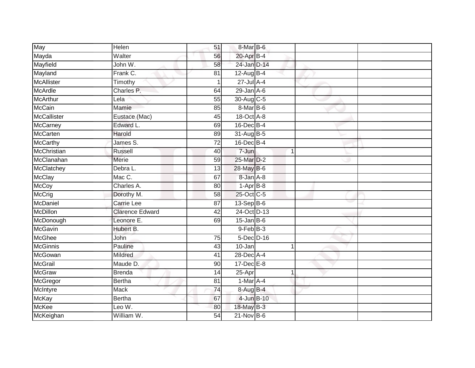| May               | Helen                  | 51              | 8-Mar B-6              |  |  |
|-------------------|------------------------|-----------------|------------------------|--|--|
| Mayda             | Walter                 | 56              | 20-Apr B-4             |  |  |
| Mayfield          | John W.                | 58              | 24-Jan D-14            |  |  |
| Mayland           | Frank C.               | 81              | 12-Aug B-4             |  |  |
| <b>McAllister</b> | Timothy                | $\mathbf{1}$    | $27$ -Jul $A-4$        |  |  |
| <b>McArdle</b>    | Charles P.             | 64              | $29$ -Jan $A-6$        |  |  |
| McArthur          | Lela                   | 55              | 30-Aug C-5             |  |  |
| <b>McCain</b>     | Mamie                  | 85              | $8-MarB-6$             |  |  |
| McCallister       | Eustace (Mac)          | 45              | $18-Oct$ $A-8$         |  |  |
| McCarney          | Edward L.              | 69              | 16-Dec B-4             |  |  |
| McCarten          | Harold                 | 89              | 31-Aug B-5             |  |  |
| McCarthy          | James S.               | 72              | 16-Dec B-4             |  |  |
| McChristian       | Russell                | 40              | 7-Jun                  |  |  |
| McClanahan        | Merie                  | 59              | 25-Mar D-2             |  |  |
| <b>McClatchey</b> | Debra L.               | $\overline{13}$ | 28-May B-6             |  |  |
| <b>McClay</b>     | Mac C.                 | 67              | 8-Jan A-8              |  |  |
| McCoy             | Charles A.             | $\overline{80}$ | $1-\overline{Apr}$ B-8 |  |  |
| McCrig            | Dorothy M.             | 58              | 25-Oct C-5             |  |  |
| McDaniel          | Carrie Lee             | 87              | $13-Sep$ B-6           |  |  |
| McDillon          | <b>Clarence Edward</b> | 42              | 24-Oct D-13            |  |  |
| McDonough         | Leonore E.             | 69              | $15$ -Jan B-6          |  |  |
| <b>McGavin</b>    | Hubert B.              |                 | $9$ -Feb $B-3$         |  |  |
| McGhee            | John                   | 75              | $5$ -Dec $D$ -16       |  |  |
| <b>McGinnis</b>   | Pauline                | 43              | 10-Jan                 |  |  |
| McGowan           | Mildred                | 41              | 28-Dec A-4             |  |  |
| <b>McGrail</b>    | Maude D.               | 90              | $17 - Dec$ E-8         |  |  |
| <b>McGraw</b>     | <b>Brenda</b>          | 14              | $25 -$ Apr             |  |  |
| McGregor          | <b>Bertha</b>          | 81              | $1-Mar A-4$            |  |  |
| McIntyre          | <b>Mack</b>            | 74              | 8-Aug B-4              |  |  |
| McKay             | <b>Bertha</b>          | 67              | 4-Jun B-10             |  |  |
| <b>McKee</b>      | Leo W.                 | 80              | 18-May B-3             |  |  |
| McKeighan         | William W.             | 54              | $21-Nov$ B-6           |  |  |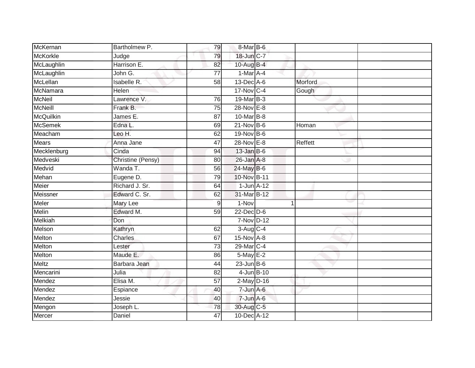| McKernan        | Bartholmew P.     | 79              | 8-Mar B-6       |                |  |
|-----------------|-------------------|-----------------|-----------------|----------------|--|
| <b>McKorkle</b> | Judge             | 79              | 18-Jun C-7      |                |  |
| McLaughlin      | Harrison E.       | 82              | 10-Aug B-4      |                |  |
| McLaughlin      | John G.           | $\overline{77}$ | 1-Mar A-4       |                |  |
| McLellan        | Isabelle R.       | 58              | 13-Dec A-6      | Morford        |  |
| McNamara        | <b>Helen</b>      |                 | 17-Nov C-4      | Gough          |  |
| McNeil          | Lawrence V.       | 76              | 19-Mar B-3      |                |  |
| <b>McNeill</b>  | Frank B.          | 75              | 28-Nov E-8      |                |  |
| McQuilkin       | James E.          | 87              | 10-Mar B-8      |                |  |
| <b>McSemek</b>  | Edna L.           | 69              | $21-Nov$ B-6    | Homan          |  |
| Meacham         | Leo H.            | 62              | 19-Nov B-6      |                |  |
| <b>Mears</b>    | Anna Jane         | 47              | 28-Nov E-8      | <b>Reffett</b> |  |
| Mecklenburg     | Cinda             | 94              | $13$ -Jan B-6   |                |  |
| Medveski        | Christine (Pensy) | 80              | $26$ -Jan $A-8$ |                |  |
| Medvid          | Wanda T.          | 56              | 24-May B-6      |                |  |
| Mehan           | Eugene D.         | 79              | 10-Nov B-11     |                |  |
| Meier           | Richard J. Sr.    | 64              | $1$ -Jun $A-12$ |                |  |
| Meissner        | Edward C. Sr.     | 62              | 31-Mar B-12     |                |  |
| Meler           | Mary Lee          | 9               | 1-Nov           | и              |  |
| <b>Melin</b>    | Edward M.         | 59              | $22$ -Dec $D-6$ |                |  |
| Melkiah         | Don               |                 | $7-Nov$ D-12    |                |  |
| Melson          | Kathryn           | 62              | $3-Aug$ $C-4$   |                |  |
| Melton          | Charles           | 67              | $15-Nov$ A-8    |                |  |
| Melton          | Lester            | $\overline{73}$ | 29-Mar C-4      |                |  |
| Melton          | Maude E.          | 86              | 5-May E-2       |                |  |
| Meltz           | Barbara Jean      | 44              | $23$ -Jun B-6   |                |  |
| Mencarini       | Julia             | $\overline{82}$ | 4-Jun B-10      |                |  |
| Mendez          | Elisa M.          | 57              | $2$ -May $D-16$ |                |  |
| Mendez          | Espiance          | 40              | $7 - Jun$ A-6   |                |  |
| Mendez          | Jessie            | 40              | $7 - Jun A - 6$ |                |  |
| Mengon          | Joseph L.         | 78              | 30-Aug C-5      |                |  |
| Mercer          | Daniel            | 47              | 10-Dec A-12     |                |  |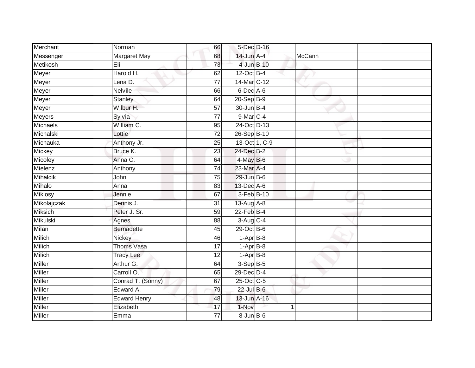| Merchant        | Norman              | 66              | 5-Dec D-16        |               |        |  |
|-----------------|---------------------|-----------------|-------------------|---------------|--------|--|
| Messenger       | Margaret May        | 68              | $14$ -Jun $A - 4$ |               | McCann |  |
| Metikosh        | Eli                 | 73              | 4-Jun B-10        |               |        |  |
| Meyer           | Harold H.           | 62              | 12-Oct B-4        |               |        |  |
| Meyer           | Lena D.             | $\overline{77}$ | 14-Mar C-12       |               |        |  |
| Meyer           | <b>Nelvile</b>      | 66              | 6-Dec A-6         |               |        |  |
| Meyer           | Stanley             | 64              | $20 - SepB-9$     |               |        |  |
| Meyer           | Wilbur H.           | 57              | 30-Jun B-4        |               |        |  |
| Meyers          | Sylvia              | $\overline{77}$ | 9-Mar C-4         |               |        |  |
| Michaels        | William C.          | 95              | 24-Oct D-13       |               |        |  |
| Michalski       | Lottie              | $\overline{72}$ | 26-Sep B-10       |               |        |  |
| Michauka        | Anthony Jr.         | 25              |                   | 13-Oct 1, C-9 |        |  |
| <b>Mickey</b>   | Bruce K.            | 23              | 24-Dec B-2        |               |        |  |
| Micoley         | Anna C.             | 64              | 4-May B-6         |               |        |  |
| Mielenz         | Anthony             | $\overline{74}$ | 23-Mar A-4        |               |        |  |
| <b>Mihalcik</b> | John                | $\overline{75}$ | 29-Jun B-6        |               |        |  |
| Mihalo          | Anna                | 83              | 13-Dec A-6        |               |        |  |
| <b>Miklosy</b>  | Jennie              | 67              | 3-Feb B-10        |               |        |  |
| Mikolajczak     | Dennis J.           | 31              | 13-Aug A-8        |               |        |  |
| Miksich         | Peter J. Sr.        | 59              | $22$ -Feb $B-4$   |               |        |  |
| Mikulski        | Agnes               | 88              | 3-Aug C-4         |               |        |  |
| Milan           | <b>Bernadette</b>   | 45              | $29$ -Oct $B$ -6  |               |        |  |
| <b>Milich</b>   | Nickey              | 46              | $1-AprB-8$        |               |        |  |
| Milich          | <b>Thoms Vasa</b>   | 17              | $1-AprB-8$        |               |        |  |
| Milich          | <b>Tracy Lee</b>    | 12              | $1-AprB-8$        |               |        |  |
| <b>Miller</b>   | Arthur G.           | 64              | $3-Sep$ B-5       |               |        |  |
| <b>Miller</b>   | Carroll O.          | 65              | $29$ -Dec $D-4$   |               |        |  |
| <b>Miller</b>   | Conrad T. (Sonny)   | 67              | 25-Oct C-5        |               |        |  |
| <b>Miller</b>   | Edward A.           | 79              | $22$ -Jul $B-6$   |               |        |  |
| Miller          | <b>Edward Henry</b> | 48              | 13-Jun A-16       |               |        |  |
| Miller          | Elizabeth           | 17              | 1-Nov             |               | 1      |  |
| Miller          | Emma                | $\overline{77}$ | $8 - Jun$ $B - 6$ |               |        |  |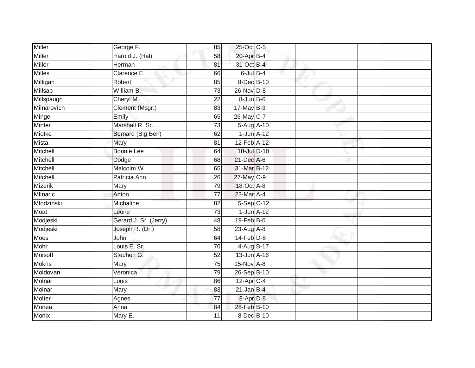| Miller          | George F.             | 85              | 25-Oct C-5            |  |  |
|-----------------|-----------------------|-----------------|-----------------------|--|--|
| <b>Miller</b>   | Harold J. (Hal)       | 58              | 20-Apr B-4            |  |  |
| <b>Miller</b>   | Herman                | 81              | 31-Oct B-4            |  |  |
| <b>Milles</b>   | Clarence E.           | 66              | $6$ -Jul $B-4$        |  |  |
| Milligan        | Robert                | 85              | 8-Dec B-10            |  |  |
| Millsap         | William B.            | 73              | $26$ -Nov $D-8$       |  |  |
| Millspaugh      | Cheryl M.             | 22              | $8 - Jun$ B-6         |  |  |
| Milnarovich     | Clement (Msgr.)       | 83              | $17$ -May B-3         |  |  |
| Minge           | Emily                 | 65              | 26-May C-7            |  |  |
| <b>Minter</b>   | Marshall R. Sr.       | $\overline{73}$ | 5-Aug A-10            |  |  |
| Miotke          | Bernard (Big Ben)     | 62              | $1$ -Jun $A-12$       |  |  |
| Mista           | Mary                  | 81              | 12-Feb A-12           |  |  |
| Mitchell        | <b>Bonnie Lee</b>     | 64              | 18-Jul D-10           |  |  |
| Mitchell        | Dodge                 | 68              | $21$ -Dec $A-6$       |  |  |
| Mitchell        | Malcolm W.            | 65              | 31-Mar B-12           |  |  |
| <b>Mitchell</b> | Patricia Ann          | 26              | 27-May C-9            |  |  |
| <b>Mizerik</b>  | Mary                  | 79              | 18-Oct A-8            |  |  |
| <b>Mlinaric</b> | Anton                 | $\overline{77}$ | 23-Mar A-4            |  |  |
| Mlodzinski      | Michaline             | 82              | 5-Sep C-12            |  |  |
| Moat            | Leone                 | 73              | $1$ -Jun $A-12$       |  |  |
| Modjeski        | Gerard J. Sr. (Jerry) | 48              | $19$ -Feb $B$ -6      |  |  |
| Modjeski        | Joseph R. (Dr.)       | $\overline{58}$ | 23-Aug A-8            |  |  |
| <b>Moes</b>     | John                  | 64              | $14$ -Feb $D-8$       |  |  |
| Mohr            | Louis E. Sr.          | 70              | 4-Aug B-17            |  |  |
| Moisoff         | Stephen G.            | $\overline{52}$ | 13-Jun A-16           |  |  |
| <b>Mokris</b>   | Mary                  | 75              | 15-Nov A-8            |  |  |
| Moldovan        | Veronica              | 79              | 26-Sep B-10           |  |  |
| Molnar          | Louis                 | 86              | 12-Apr <sub>C-4</sub> |  |  |
| Molnar          | Mary                  | 83              | $21$ -Jan B-4         |  |  |
| Molter          | Agnes                 | $\overline{77}$ | 8-Apr D-8             |  |  |
| Monea           | Anna                  | 84              | 28-Feb B-10           |  |  |
| Monix           | Mary E.               | 11              | 8-Dec B-10            |  |  |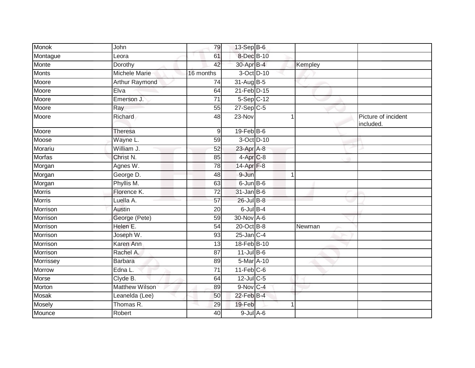| Monok         | John                  | 79              | $13-Sep$ B-6            |             |                                  |
|---------------|-----------------------|-----------------|-------------------------|-------------|----------------------------------|
| Montague      | Leora                 | 61              | 8-Dec B-10              |             |                                  |
| Monte         | Dorothy               | 42              | 30-Apr B-4              | Kempley     |                                  |
| <b>Monts</b>  | Michele Marie         | 16 months       | 3-Oct D-10              |             |                                  |
| Moore         | <b>Arthur Raymond</b> | 74              | 31-Aug B-5              |             |                                  |
| Moore         | Elva                  | 64              | 21-Feb D-15             |             |                                  |
| Moore         | Emerson J.            | 71              | $5-Sep$ C-12            |             |                                  |
| Moore         | Ray                   | 55              | $27-Sep$ <sub>C-5</sub> |             |                                  |
| Moore         | Richard               | 48              | 23-Nov                  |             | Picture of incident<br>included. |
| Moore         | <b>Theresa</b>        | $9\,$           | $19$ -Feb $B$ -6        |             |                                  |
| Moose         | Wayne L.              | 59              | 3-Oct D-10              |             |                                  |
| Morariu       | William J.            | 52              | 23-Apr A-8              |             |                                  |
| Morfas        | Christ <sub>N.</sub>  | 85              | 4-Apr <sub>C-8</sub>    |             |                                  |
| Morgan        | Agnes W.              | 78              | 14-Apr F-8              |             |                                  |
| Morgan        | George D.             | 48              | $9 - Jun$               | $\mathbf 1$ |                                  |
| Morgan        | Phyllis M.            | 63              | $6$ -Jun $B$ -6         |             |                                  |
| Morris        | Florence K.           | 72              | $31$ -Jan B-6           |             |                                  |
| <b>Morris</b> | Luella A.             | 57              | 26-Jul B-8              |             |                                  |
| Morrison      | Austin                | 20              | $6$ -Jul $B-4$          |             |                                  |
| Morrison      | George (Pete)         | 59              | 30-Nov A-6              |             |                                  |
| Morrison      | Helen E.              | 54              | 20-Oct B-8              | Newman      |                                  |
| Morrison      | Joseph W.             | 93              | $25$ -Jan $C-4$         |             |                                  |
| Morrison      | Karen Ann             | 13              | 18-Feb B-10             |             |                                  |
| Morrison      | Rachel A.             | 87              | $11$ -Jul B-6           |             |                                  |
| Morrissey     | <b>Barbara</b>        | 89              | 5-Mar A-10              |             |                                  |
| <b>Morrow</b> | Edna L.               | $\overline{71}$ | $11-Feb$ C-6            |             |                                  |
| Morse         | Clyde B.              | 64              | $12$ -Jul C-5           |             |                                  |
| Morton        | <b>Matthew Wilson</b> | 89              | $9-Nov$ C-4             |             |                                  |
| Mosak         | Leanelda (Lee)        | 50              | 22-Feb B-4              |             |                                  |
| Mosely        | Thomas R.             | 29              | 19-Feb                  |             |                                  |
| Mounce        | Robert                | 40              | $9$ -Jul $A$ -6         |             |                                  |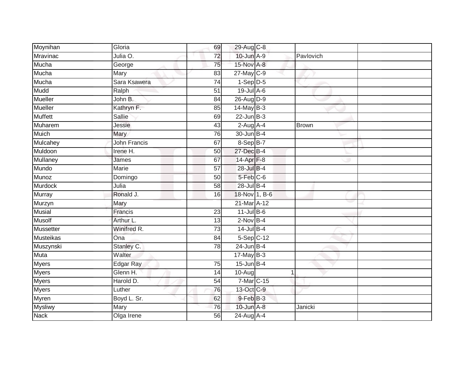| Moynihan        | Gloria              | 69              | 29-Aug C-8       |           |  |
|-----------------|---------------------|-----------------|------------------|-----------|--|
| Mravinac        | Julia O.            | 72              | 10-Jun A-9       | Pavlovich |  |
| Mucha           | George              | 75              | 15-Nov A-8       |           |  |
| Mucha           | Mary                | 83              | $27$ -May C-9    |           |  |
| Mucha           | Sara Ksawera        | $\overline{74}$ | $1-Sep$ $D-5$    |           |  |
| Mudd            | Ralph               | $\overline{51}$ | $19$ -Jul $A$ -6 |           |  |
| Mueller         | John B.             | 84              | 26-Aug D-9       |           |  |
| Mueller         | Kathryn F.          | 85              | $14$ -May B-3    |           |  |
| <b>Muffett</b>  | <b>Sallie</b>       | 69              | $22$ -Jun $B-3$  |           |  |
| Muharem         | Jessie              | 43              | $2-Aug$ A-4      | Brown     |  |
| Muich           | Mary                | 76              | 30-Jun B-4       |           |  |
| Mulcahey        | <b>John Francis</b> | 67              | 8-Sep B-7        |           |  |
| Muldoon         | Irene H.            | 50              | 27-Dec B-4       |           |  |
| <b>Mullaney</b> | James               | 67              | $14-Apr$ F-8     |           |  |
| Mundo           | <b>Marie</b>        | $\overline{57}$ | 28-Jul B-4       |           |  |
| Munoz           | Domingo             | $\overline{50}$ | $5-Feb$ $C-6$    |           |  |
| Murdock         | Julia               | 58              | 28-Jul B-4       |           |  |
| <b>Murray</b>   | Ronald J.           | 16              | 18-Nov 1, B-6    |           |  |
| Murzyn          | Mary                |                 | 21-Mar A-12      |           |  |
| <b>Musial</b>   | Francis             | 23              | $11$ -Jul B-6    |           |  |
| Musolf          | Arthur L.           | 13              | $2-Nov$ B-4      |           |  |
| Mussetter       | Winifred R.         | 73              | $14$ -Jul $B-4$  |           |  |
| Musteikas       | Ona                 | 84              | $5-Sep$ $C-12$   |           |  |
| Muszynski       | Stanley C.          | 78              | $24$ -Jun B-4    |           |  |
| Muta            | Walter              |                 | $17$ -May B-3    |           |  |
| Myers           | <b>Edgar Ray</b>    | 75              | $15$ -Jun B-4    |           |  |
| <b>Myers</b>    | Glenn H.            | 14              | 10-Aug           |           |  |
| <b>Myers</b>    | Harold D.           | 54              | 7-Mar C-15       |           |  |
| <b>Myers</b>    | Luther              | 76              | 13-Oct C-9       |           |  |
| Myren           | Boyd L. Sr.         | 62              | 9-Feb B-3        |           |  |
| <b>Mysliwy</b>  | Mary                | 76              | 10-Jun A-8       | Janicki   |  |
| <b>Nack</b>     | Olga Irene          | 56              | 24-Aug A-4       |           |  |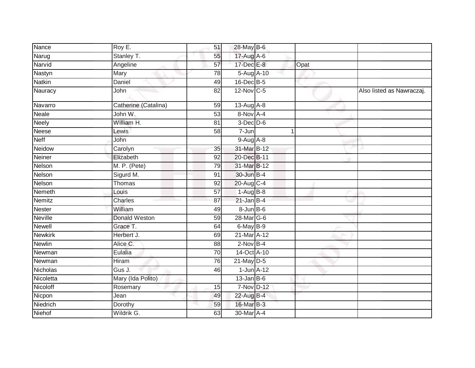| Nance          | Roy E.               | 51              | 28-May B-6      |   |      |                           |
|----------------|----------------------|-----------------|-----------------|---|------|---------------------------|
| Narug          | Stanley T.           | 55              | 17-Aug A-6      |   |      |                           |
| Narvid         | Angeline             | 57              | 17-Dec E-8      |   | Opat |                           |
| Nastyn         | Mary                 | 78              | 5-Aug A-10      |   |      |                           |
| <b>Natkin</b>  | Daniel               | 49              | 16-Dec B-5      |   |      |                           |
| Nauracy        | John                 | $\overline{82}$ | 12-Nov C-5      |   |      | Also listed as Nawraczaj. |
| Navarro        | Catherine (Catalina) | 59              | 13-Aug A-8      |   |      |                           |
| <b>Neale</b>   | John W.              | 53              | 8-Nov A-4       |   |      |                           |
| <b>Neely</b>   | William H.           | 81              | $3$ -Dec $D-6$  |   |      |                           |
| <b>Neese</b>   | Lewis                | 58              | $7 - Jun$       | 1 |      |                           |
| <b>Neff</b>    | John                 |                 | $9-Aug$ A-8     |   |      |                           |
| <b>Neidow</b>  | Carolyn              | $\overline{35}$ | 31-Mar B-12     |   |      |                           |
| Neiner         | Elizabeth            | 92              | 20-Dec B-11     |   |      |                           |
| Nelson         | M. P. (Pete)         | 79              | 31-Mar B-12     |   |      |                           |
| Nelson         | Sigurd M.            | 91              | 30-Jun B-4      |   |      |                           |
| Nelson         | Thomas               | 92              | 20-Aug C-4      |   |      |                           |
| Nemeth         | Louis                | 57              | $1-AugB-8$      |   |      |                           |
| Nemitz         | Charles              | 87              | $21$ -Jan B-4   |   |      |                           |
| <b>Nester</b>  | William              | 49              | $8$ -Jun $B$ -6 |   |      |                           |
| <b>Neville</b> | <b>Donald Weston</b> | 59              | 28-Mar G-6      |   |      |                           |
| <b>Newell</b>  | Grace T.             | 64              | $6$ -May $B-9$  |   |      |                           |
| <b>Newkirk</b> | Herbert J.           | 69              | 21-Mar A-12     |   |      |                           |
| Newlin         | Alice C.             | 88              | $2$ -Nov $B-4$  |   |      |                           |
| Newman         | Eulalia              | 70              | 14-Oct A-10     |   |      |                           |
| Newman         | <b>Hiram</b>         | $\overline{76}$ | $21$ -May $D-5$ |   |      |                           |
| Nicholas       | Gus J.               | 46              | $1$ -Jun $A-12$ |   |      |                           |
| Nicoletta      | Mary (Ida Polito)    |                 | $13$ -Jan B-6   |   |      |                           |
| Nicoloff       | Rosemary             | 15              | 7-Nov D-12      |   |      |                           |
| Nicpon         | Jean                 | 49              | 22-Aug B-4      |   |      |                           |
| Niedrich       | Dorothy              | 59              | 16-Mar B-3      |   |      |                           |
| Niehof         | Wildrik G.           | 63              | 30-Mar A-4      |   |      |                           |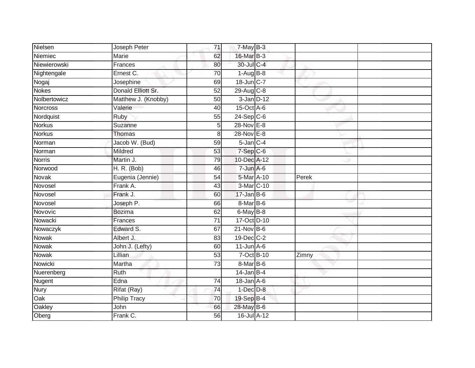| Nielsen         | Joseph Peter        | 71              | $7$ -May $B-3$   |       |  |
|-----------------|---------------------|-----------------|------------------|-------|--|
| Niemiec         | Marie               | 62              | 16-Mar B-3       |       |  |
| Niewierowski    | Frances             | 80              | 30-Jul C-4       |       |  |
| Nightengale     | Ernest C.           | 70              | $1-Aug$ B-8      |       |  |
| Nogaj           | Josephine           | 69              | 18-Jun C-7       |       |  |
| <b>Nokes</b>    | Donald Elliott Sr.  | 52              | 29-Aug C-8       |       |  |
| Nolbertowicz    | Matthew J. (Knobby) | 50              | $3$ -Jan $D-12$  |       |  |
| <b>Norcross</b> | Valerie             | 40              | $15$ -Oct $A$ -6 |       |  |
| Nordquist       | Ruby                | 55              | $24-Sep$ C-6     |       |  |
| <b>Norkus</b>   | Suzanne             | 5               | 28-Nov E-8       |       |  |
| <b>Norkus</b>   | <b>Thomas</b>       | 8               | 28-Nov E-8       |       |  |
| Norman          | Jacob W. (Bud)      | 59              | $5$ -Jan $C-4$   |       |  |
| Norman          | Mildred             | 53              | $7-Sep$ C-6      |       |  |
| <b>Norris</b>   | Martin J.           | 79              | 10-Dec A-12      |       |  |
| Norwood         | <b>H. R. (Bob)</b>  | 46              | $7 - Jun A - 6$  |       |  |
| Novak           | Eugenia (Jennie)    | 54              | 5-Mar A-10       | Perek |  |
| Novosel         | Frank A.            | 43              | 3-Mar C-10       |       |  |
| Novosel         | Frank J.            | 60              | $17 - Jan$ B-6   |       |  |
| Novosel         | Joseph P.           | 66              | 8-Mar B-6        |       |  |
| Novovic         | <b>Bozima</b>       | 62              | 6-May B-8        |       |  |
| Nowacki         | Frances             | $\overline{71}$ | 17-Oct D-10      |       |  |
| Nowaczyk        | Edward S.           | 67              | $21$ -Nov $B-6$  |       |  |
| Nowak           | Albert J.           | 83              | 19-Dec C-2       |       |  |
| Nowak           | John J. (Lefty)     | 60              | $11$ -Jun $A$ -6 |       |  |
| Nowak           | Lillian             | 53              | 7-Oct B-10       | Zimny |  |
| Nowicki         | Martha              | 73              | $8-MarB-6$       |       |  |
| Nuerenberg      | <b>Ruth</b>         |                 | $14$ -Jan B-4    |       |  |
| Nugent          | Edna                | 74              | $18$ -Jan $A$ -6 |       |  |
| <b>Nury</b>     | Rifat (Ray)         | 74              | $1-Dec$ $D-8$    |       |  |
| Oak             | <b>Philip Tracy</b> | 70              | 19-Sep B-4       |       |  |
| Oakley          | John                | 66              | 28-May B-6       |       |  |
| Oberg           | Frank C.            | $\overline{56}$ | 16-Jul A-12      |       |  |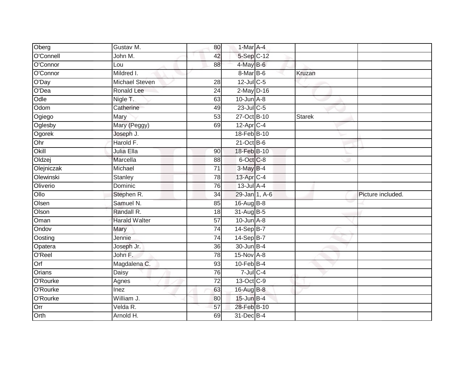| Oberg      | Gustav M.             | 80              | 1-Mar A-4               |        |                   |
|------------|-----------------------|-----------------|-------------------------|--------|-------------------|
| O'Connell  | John M.               | 42              | 5-Sep C-12              |        |                   |
| O'Connor   | Lou                   | 88              | $4$ -May B-6            |        |                   |
| O'Connor   | Mildred I.            |                 | $8$ -Mar $ B$ -6        | Kruzan |                   |
| O'Day      | <b>Michael Steven</b> | $\overline{28}$ | 12-Jul C-5              |        |                   |
| O'Dea      | <b>Ronald Lee</b>     | 24              | $2$ -May $D-16$         |        |                   |
| Odle       | Nigle T.              | 63              | $10$ -Jun $A-8$         |        |                   |
| Odom       | Catherine             | 49              | $23$ -Jul C-5           |        |                   |
| Ogiego     | Mary                  | 53              | 27-Oct B-10             | Starek |                   |
| Oglesby    | Mary (Peggy)          | 69              | $12-Apr$ <sub>C-4</sub> |        |                   |
| Ogorek     | Joseph J.             |                 | 18-Feb B-10             |        |                   |
| Ohr        | Harold F.             |                 | $21$ -Oct B-6           |        |                   |
| Okill      | Julia Ella            | 90              | 18-Feb B-10             |        |                   |
| Oldzej     | Marcella              | 88              | $6$ -Oct $C$ -8         |        |                   |
| Olejniczak | Michael               | $\overline{71}$ | 3-May B-4               |        |                   |
| Olewinski  | <b>Stanley</b>        | 78              | $13$ -Apr $C-4$         |        |                   |
| Oliverio   | Dominic               | 76              | $13$ -Jul $A-4$         |        |                   |
| Ollo       | Stephen R.            | 34              | 29-Jan 1, A-6           |        | Picture included. |
| Olsen      | Samuel N.             | 85              | 16-Aug B-8              |        |                   |
| Olson      | Randall R.            | $\overline{18}$ | 31-Aug B-5              |        |                   |
| Oman       | <b>Harald Walter</b>  | 57              | $10$ -Jun $A - 8$       |        |                   |
| Ondov      | Mary                  | $\overline{74}$ | 14-Sep B-7              |        |                   |
| Oosting    | Jennie                | 74              | $14-Sep$ B-7            |        |                   |
| Opatera    | Joseph Jr.            | $\overline{36}$ | $30 - Jun$ B-4          |        |                   |
| O'Reel     | John F.               | 78              | 15-Nov A-8              |        |                   |
| Orf        | Magdalena C.          | 93              | $10$ -Feb $B-4$         |        |                   |
| Orians     | Daisy                 | 76              | $7$ -Jul C-4            |        |                   |
| O'Rourke   | Agnes                 | 72              | 13-Oct C-9              |        |                   |
| O'Rourke   | Inez                  | 63              | 16-Aug B-8              |        |                   |
| O'Rourke   | William J.            | 80              | 15-Jun B-4              |        |                   |
| Orr        | Velda R.              | 57              | 28-Feb B-10             |        |                   |
| Orth       | Arnold H.             | 69              | 31-Dec B-4              |        |                   |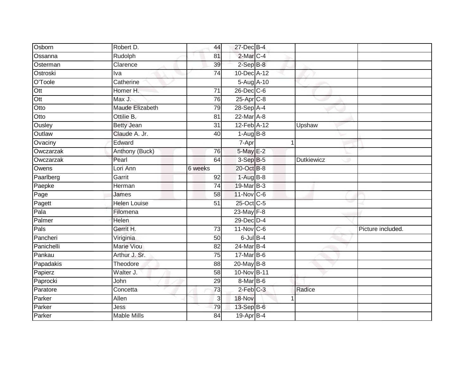| Osborn     | Robert D.           | 44              | 27-Dec B-4              |                   |                   |
|------------|---------------------|-----------------|-------------------------|-------------------|-------------------|
| Ossanna    | Rudolph             | 81              | 2-Mar C-4               |                   |                   |
| Osterman   | Clarence            | 39              | $2-SepB-8$              |                   |                   |
| Ostroski   | Iva                 | $\overline{74}$ | 10-Dec A-12             |                   |                   |
| O'Toole    | Catherine           |                 | 5-Aug A-10              |                   |                   |
| Ott        | Homer H.            | $\overline{71}$ | $26$ -Dec $C$ -6        |                   |                   |
| Ott        | Max J.              | 76              | $25-Apr$ <sub>C-8</sub> |                   |                   |
| Otto       | Maude Elizabeth     | 79              | 28-Sep A-4              |                   |                   |
| Otto       | Ottilie B.          | 81              | 22-Mar A-8              |                   |                   |
| Ousley     | <b>Betty Jean</b>   | $\overline{31}$ | 12-Feb A-12             | Upshaw            |                   |
| Outlaw     | Claude A. Jr.       | 40              | $1-AugB-8$              |                   |                   |
| Ovaciny    | Edward              |                 | 7-Apr                   | 1                 |                   |
| Owczarzak  | Anthony (Buck)      | 76              | 5-May E-2               |                   |                   |
| Owczarzak  | Pearl               | 64              | $3-SepB-5$              | <b>Dutkiewicz</b> |                   |
| Owens      | Lori Ann            | 6 weeks         | 20-Oct B-8              |                   |                   |
| Paarlberg  | Garrit              | 92              | $1-AugB-8$              |                   |                   |
| Paepke     | Herman              | 74              | 19-Mar B-3              |                   |                   |
| Page       | James               | 58              | $11$ -Nov $ C-6 $       |                   |                   |
| Pagett     | <b>Helen Louise</b> | 51              | 25-Oct C-5              |                   |                   |
| Pala       | Filomena            |                 | 23-May F-8              |                   |                   |
| Palmer     | Helen               |                 | 29-Dec D-4              |                   |                   |
| Pals       | Gerrit H.           | 73              | 11-Nov C-6              |                   | Picture included. |
| Pancheri   | Viriginia           | 50              | $6$ -Jul $B$ -4         |                   |                   |
| Panichelli | <b>Marie Viou</b>   | 82              | 24-Mar B-4              |                   |                   |
| Pankau     | Arthur J. Sr.       | 75              | 17-Mar B-6              |                   |                   |
| Papadakis  | Theodore            | 88              | 20-May B-8              |                   |                   |
| Papierz    | Walter J.           | 58              | 10-Nov B-11             |                   |                   |
| Paprocki   | John                | 29              | 8-Mar B-6               |                   |                   |
| Paratore   | Concetta            | 73              | $2$ -Feb $C-3$          | Radice            |                   |
| Parker     | Allen               | $\mathbf{3}$    | 18-Nov                  |                   |                   |
| Parker     | Jess                | 79              | 13-Sep B-6              |                   |                   |
| Parker     | <b>Mable Mills</b>  | 84              | 19-Apr B-4              |                   |                   |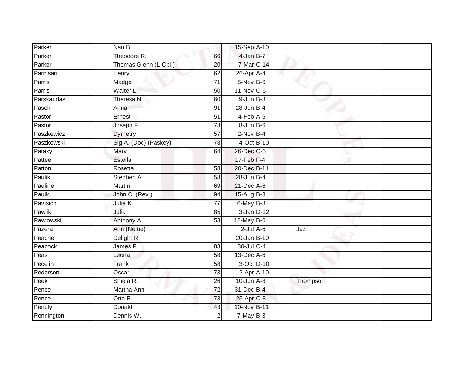| Parker     | Nan B.                |                 | 15-Sep A-10       |          |
|------------|-----------------------|-----------------|-------------------|----------|
| Parker     | Theodore R.           | 66              | $4$ -Jan $B-7$    |          |
| Parker     | Thomas Glenn (L-Cpl.) | 20              | 7-Mar C-14        |          |
| Parnisari  | Henry                 | 62              | 26-Apr A-4        |          |
| Parris     | Madge                 | $\overline{71}$ | $5-Nov$ B-6       |          |
| Parris     | Walter L.             | 50              | $11-Nov$ C-6      |          |
| Parskaudas | Theresa N.            | 60              | $9$ -Jun $B - 8$  |          |
| Pasek      | Anna                  | 91              | 28-Jun B-4        |          |
| Pastor     | Ernest                | 51              | 4-Feb A-6         |          |
| Pastor     | Joseph F.             | 78              | $8 - Jun$ $B - 6$ |          |
| Paszkewicz | <b>Dymetry</b>        | 57              | $2$ -Nov $B-4$    |          |
| Paszkowski | Sig A. (Doc) (Paskey) | 78              | 4-Oct B-10        |          |
| Pataky     | Mary                  | 64              | 26-Dec C-6        |          |
| Pattee     | Estella               |                 | $17$ -Feb $F-4$   |          |
| Patton     | Rosetta               | $\overline{58}$ | 20-Dec B-11       |          |
| Paulik     | Stephen A.            | 58              | $28$ -Jun $B-4$   |          |
| Pauline    | <b>Martin</b>         | 69              | $21$ -Dec $A$ -6  |          |
| Paulk      | John C. (Rev.)        | 94              | 15-Aug B-8        |          |
| Pavisich   | Julia K.              | 77              | 6-May B-8         |          |
| Pawlik     | Julia                 | 85              | $3$ -Jan $D-12$   |          |
| Pawlowski  | Anthony A.            | 53              | $12$ -May B-6     |          |
| Pazera     | Ann (Nettie)          |                 | $2$ -Jul $A$ -6   | Jez      |
| Peache     | Delight R.            |                 | $20 - Jan$ B-10   |          |
| Peacock    | James P.              | 83              | 30-Jul C-4        |          |
| Peas       | Leona                 | 58              | $13$ -Dec $A$ -6  |          |
| Pecelin    | Frank                 | 58              | 3-Oct D-10        |          |
| Pederson   | Oscar                 | $\overline{73}$ | $2-Apr$ A-10      |          |
| Peek       | Shiela R.             | 26              | $10$ -Jun $A - 8$ | Thompson |
| Pence      | Martha Ann            | $\overline{72}$ | 31-Dec B-4        |          |
| Pence      | Otto R.               | 73              | 25-Apr C-8        |          |
| Pendly     | Donald                | 43              | 10-Nov B-11       |          |
| Pennington | Dennis W.             | $\overline{2}$  | $7$ -May $B-3$    |          |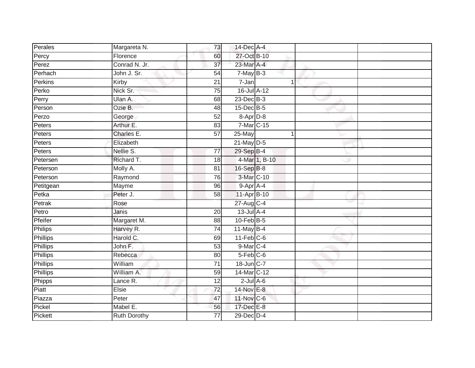| Perales         | Margareta N.        | 73              | 14-Dec A-4       |               |  |
|-----------------|---------------------|-----------------|------------------|---------------|--|
| Percy           | Florence            | 60              | 27-Oct B-10      |               |  |
| Perez           | Conrad N. Jr.       | $\overline{37}$ | 23-Mar A-4       |               |  |
| Perhach         | John J. Sr.         | 54              | $7-MayB-3$       |               |  |
| Perkins         | Kirby               | $\overline{21}$ | 7-Jan            | 1             |  |
| Perko           | Nick Sr.            | 75              | 16-Jul A-12      |               |  |
| Perry           | Ulan A.             | 68              | $23$ -Dec $B-3$  |               |  |
| Person          | Ozie B.             | 48              | $15$ -Dec $B$ -5 |               |  |
| Perzo           | George              | 52              | 8-Apr D-8        |               |  |
| Peters          | Arthur E.           | 83              | 7-Mar C-15       |               |  |
| Peters          | Charles E.          | $\overline{57}$ | 25-May           |               |  |
| Peters          | Elizabeth           |                 | $21$ -May $D-5$  |               |  |
| Peters          | Nellie S.           | 77              | 29-Sep B-4       |               |  |
| Petersen        | Richard T.          | 18              |                  | 4-Mar 1, B-10 |  |
| Peterson        | Molly A.            | $\overline{81}$ | 16-Sep B-8       |               |  |
| Peterson        | Raymond             | $\overline{76}$ | 3-Mar C-10       |               |  |
| Petitgean       | Mayme               | 96              | 9-Apr A-4        |               |  |
| Petka           | Peter J.            | 58              | 11-Apr B-10      |               |  |
| Petrak          | Rose                |                 | 27-Aug C-4       |               |  |
| Petro           | <b>Janis</b>        | 20              | $13$ -Jul $A-4$  |               |  |
| Pfeifer         | Margaret M.         | 88              | $10$ -Feb $B$ -5 |               |  |
| <b>Philips</b>  | Harvey R.           | 74              | $11$ -May B-4    |               |  |
| <b>Phillips</b> | Harold C.           | 69              | $11$ -Feb $C$ -6 |               |  |
| <b>Phillips</b> | John F.             | 53              | 9-Mar C-4        |               |  |
| Phillips        | Rebecca             | 80              | $5-Feb$ $C-6$    |               |  |
| <b>Phillips</b> | William             | $\overline{71}$ | 18-Jun C-7       |               |  |
| <b>Phillips</b> | William A.          | 59              | 14-Mar C-12      |               |  |
| Phipps          | Lance R.            | 12              | $2$ -Jul $A$ -6  |               |  |
| Piatt           | Elsie               | $\overline{72}$ | 14-Nov E-8       |               |  |
| Piazza          | Peter               | 47              | 11-Nov C-6       |               |  |
| Pickel          | Mabel E.            | 56              | 17-Dec E-8       |               |  |
| Pickett         | <b>Ruth Dorothy</b> | $\overline{77}$ | $29$ -Dec $D-4$  |               |  |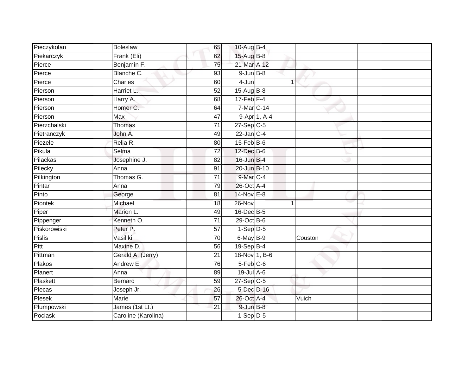| Pieczykolan   | <b>Boleslaw</b>     | 65              | 10-Aug B-4             |              |         |  |
|---------------|---------------------|-----------------|------------------------|--------------|---------|--|
| Piekarczyk    | Frank (Eli)         | 62              | 15-Aug B-8             |              |         |  |
| Pierce        | Benjamin F.         | 75              | 21-Mar A-12            |              |         |  |
| Pierce        | Blanche C.          | 93              | $9$ -Jun $B$ -8        |              |         |  |
| Pierce        | Charles             | 60              | $4 - Jun$              | 1            |         |  |
| Pierson       | Harriet L.          | 52              | $15-Aug$ B-8           |              |         |  |
| Pierson       | Harry A.            | 68              | $17$ -Feb $F-4$        |              |         |  |
| Pierson       | Homer C.            | 64              | $7$ -Mar $ C-14 $      |              |         |  |
| Pierson       | Max                 | 47              |                        | 9-Apr 1, A-4 |         |  |
| Pierzchalski  | Thomas              | $\overline{71}$ | $27-Sep$ C-5           |              |         |  |
| Pietranczyk   | John A.             | 49              | $22$ -Jan C-4          |              |         |  |
| Piezele       | Relia R.            | 80              | $15$ -Feb $B$ -6       |              |         |  |
| Pikula        | Selma               | $\overline{72}$ | 12-Dec B-6             |              |         |  |
| Pilackas      | Josephine J.        | 82              | $16$ -Jun $B-4$        |              |         |  |
| Pilecky       | Anna                | 91              | 20-Jun B-10            |              |         |  |
| Pilkington    | Thomas G.           | 71              | 9-Mar C-4              |              |         |  |
| Pintar        | Anna                | 79              | 26-Oct A-4             |              |         |  |
| Pinto         | George              | 81              | 14-Nov E-8             |              |         |  |
| Piontek       | Michael             | 18              | 26-Nov                 |              |         |  |
| Piper         | Marion L.           | 49              | 16-Dec B-5             |              |         |  |
| Pippenger     | Kenneth O.          | 71              | $29$ -Oct B-6          |              |         |  |
| Piskorowiski  | Peter P.            | $\overline{57}$ | $1-Sep$ $D-5$          |              |         |  |
| <b>Pislis</b> | Vasiliki            | 70              | 6-May B-9              |              | Couston |  |
| Pitt          | Maxine D.           | 56              | $19-Sep$ B-4           |              |         |  |
| Pittman       | Gerald A. (Jerry)   | 21              | 18-Nov 1, B-6          |              |         |  |
| Plakos        | Andrew E.           | 76              | $5-Feb$ <sub>C-6</sub> |              |         |  |
| Planert       | Anna                | 89              | $19$ -Jul $A$ -6       |              |         |  |
| Plaskett      | <b>Bernard</b>      | 59              | $27-SepC-5$            |              |         |  |
| Plecas        | Joseph Jr.          | 26              | 5-Dec D-16             |              |         |  |
| Plesek        | Marie               | 57              | 26-Oct A-4             |              | Vuich   |  |
| Plumpowski    | James (1st Lt.)     | 21              | $9$ -Jun $B$ -8        |              |         |  |
| Pociask       | Caroline (Karolina) |                 | $1-Sep$ D-5            |              |         |  |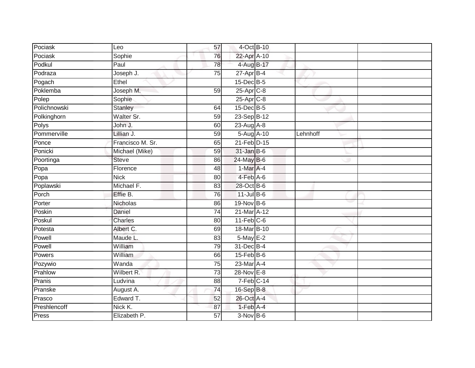| Pociask      | Leo              | 57              | 4-Oct B-10              |          |  |
|--------------|------------------|-----------------|-------------------------|----------|--|
| Pociask      | Sophie           | 76              | 22-Apr A-10             |          |  |
| Podkul       | Paul             | $\overline{78}$ | 4-Aug B-17              |          |  |
| Podraza      | Joseph J.        | 75              | $27 - Apr$ B-4          |          |  |
| Pogach       | Ethel            |                 | 15-Dec B-5              |          |  |
| Poklemba     | Joseph M.        | 59              | 25-Apr C-8              |          |  |
| Polep        | Sophie           |                 | 25-Apr <sub>C-8</sub>   |          |  |
| Polichnowski | Stanley          | 64              | 15-Dec B-5              |          |  |
| Polkinghorn  | Walter Sr.       | 59              | 23-Sep B-12             |          |  |
| Polys        | John J.          | 60              | $23$ -Aug A-8           |          |  |
| Pommerville  | Lillian J.       | 59              | 5-Aug A-10              | Lehnhoff |  |
| Ponce        | Francisco M. Sr. | 65              | 21-Feb D-15             |          |  |
| Ponicki      | Michael (Mike)   | 59              | $31$ -Jan B-6           |          |  |
| Poortinga    | <b>Steve</b>     | 86              | 24-May B-6              |          |  |
| Popa         | Florence         | 48              | 1-Mar A-4               |          |  |
| Popa         | <b>Nick</b>      | 80              | $4-Feb$ A-6             |          |  |
| Poplawski    | Michael F.       | 83              | 28-Oct B-6              |          |  |
| Porch        | Effie B.         | 76              | $11$ -Jul B-6           |          |  |
| Porter       | Nicholas         | 86              | 19-Nov B-6              |          |  |
| Poskin       | <b>Daniel</b>    | 74              | 21-Mar A-12             |          |  |
| Poskul       | Charles          | 80              | $11$ -Feb $C$ -6        |          |  |
| Potesta      | Albert C.        | 69              | 18-Mar B-10             |          |  |
| Powell       | Maude L.         | 83              | $5$ -May $E-2$          |          |  |
| Powell       | William          | 79              | 31-Dec B-4              |          |  |
| Powers       | William          | 66              | $15 - Feb$ B-6          |          |  |
| Pozywio      | Wanda            | $\overline{75}$ | 23-Mar A-4              |          |  |
| Prahlow      | Wilbert R.       | 73              | $28-Nov$ E-8            |          |  |
| Pranis       | Ludvina          | 88              | $7-Feb$ <sub>C-14</sub> |          |  |
| Pranske      | August A.        | 74              | 16-Sep B-8              |          |  |
| Prasco       | Edward T.        | 52              | 26-Oct A-4              |          |  |
| Preshlencoff | Nick K.          | 87              | 1-Feb A-4               |          |  |
| Press        | Elizabeth P.     | 57              | $3-Nov$ B-6             |          |  |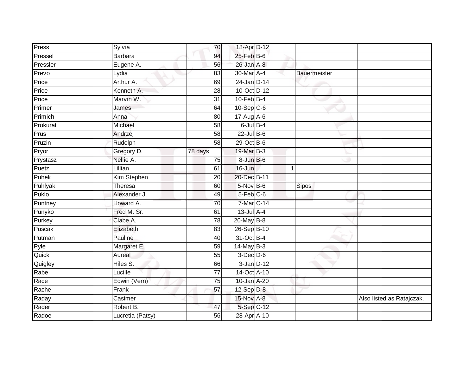| Press    | Sylvia           | 70              | 18-Apr D-12      |                     |                           |
|----------|------------------|-----------------|------------------|---------------------|---------------------------|
| Pressel  | <b>Barbara</b>   | 94              | $25$ -Feb $B$ -6 |                     |                           |
| Pressler | Eugene A.        | 56              | 26-Jan A-8       |                     |                           |
| Prevo    | Lydia            | 83              | 30-Mar A-4       | <b>Bauermeister</b> |                           |
| Price    | Arthur A.        | 69              | $24$ -Jan D-14   |                     |                           |
| Price    | Kenneth A.       | 28              | 10-Oct D-12      |                     |                           |
| Price    | Marvin W.        | 31              | $10$ -Feb $B-4$  |                     |                           |
| Primer   | James            | 64              | $10-Sep$ C-6     |                     |                           |
| Primich  | Anna             | 80              | $17$ -Aug $A$ -6 |                     |                           |
| Prokurat | Michael          | $\overline{58}$ | $6$ -Jul $B-4$   |                     |                           |
| Prus     | Andrzej          | 58              | $22$ -Jul B-6    |                     |                           |
| Pruzin   | Rudolph          | 58              | 29-Oct B-6       |                     |                           |
| Pryor    | Gregory D.       | 78 days         | 19-Mar B-3       |                     |                           |
| Prystasz | Nellie A.        | $\overline{75}$ | 8-Jun B-6        |                     |                           |
| Puetz    | Lillian          | 61              | 16-Jun           | $\mathbf 1$         |                           |
| Puhek    | Kim Stephen      | 20              | 20-Dec B-11      |                     |                           |
| Puhlyak  | Theresa          | 60              | $5-Nov$ B-6      | Sipos               |                           |
| Puklo    | Alexander J.     | 49              | $5-Feb$ $C-6$    |                     |                           |
| Puntney  | Howard A.        | 70              | 7-Mar C-14       |                     |                           |
| Punyko   | Fred M. Sr.      | 61              | $13$ -Jul $A-4$  |                     |                           |
| Purkey   | Clabe A.         | 78              | $20$ -May $B-8$  |                     |                           |
| Puscak   | Elizabeth        | 83              | 26-Sep B-10      |                     |                           |
| Putman   | Pauline          | $\overline{40}$ | 31-Oct B-4       |                     |                           |
| Pyle     | Margaret E.      | 59              | 14-May B-3       |                     |                           |
| Quick    | Aureal           | 55              | $3-Dec$ $D-6$    |                     |                           |
| Quigley  | Hiles S.         | 66              | $3$ -Jan $D-12$  |                     |                           |
| Rabe     | Lucille          | $\overline{77}$ | 14-Oct A-10      |                     |                           |
| Race     | Edwin (Vern)     | 75              | 10-Jan A-20      |                     |                           |
| Rache    | Frank            | 57              | $12$ -Sep $D-8$  |                     |                           |
| Raday    | Casimer          |                 | 15-Nov A-8       |                     | Also listed as Ratajczak. |
| Rader    | Robert B.        | 47              | 5-Sep C-12       |                     |                           |
| Radoe    | Lucretia (Patsy) | 56              | 28-Apr A-10      |                     |                           |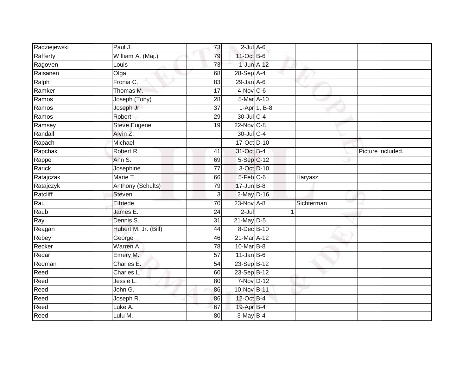| Radziejewski | Paul J.              | 73              | $2$ -Jul $A$ -6 |                           |            |                   |
|--------------|----------------------|-----------------|-----------------|---------------------------|------------|-------------------|
| Rafferty     | William A. (Maj.)    | 79              | 11-Oct B-6      |                           |            |                   |
| Ragoven      | Louis                | 73              | 1-Jun A-12      |                           |            |                   |
| Raisanen     | Olga                 | 68              | $28-Sep$ A-4    |                           |            |                   |
| Ralph        | Fronia C.            | 83              | $29$ -Jan $A-6$ |                           |            |                   |
| Ramker       | Thomas M.            | 17              | $4-Nov$ C-6     |                           |            |                   |
| Ramos        | Joseph (Tony)        | 28              | 5-Mar A-10      |                           |            |                   |
| Ramos        | Joseph Jr.           | $\overline{37}$ |                 | $1-\overline{Apr}$ 1, B-8 |            |                   |
| Ramos        | Robert               | 29              | 30-Jul C-4      |                           |            |                   |
| Ramsey       | <b>Steve Eugene</b>  | 19              | 22-Nov C-8      |                           |            |                   |
| Randall      | Alvin Z.             |                 | 30-Jul C-4      |                           |            |                   |
| Rapach       | Michael              |                 | 17-Oct D-10     |                           |            |                   |
| Rapchak      | Robert R.            | 41              | 31-Oct B-4      |                           |            | Picture included. |
| Rappe        | Ann S.               | 69              | 5-Sep C-12      |                           |            |                   |
| Rarick       | Josephine            | $\overline{77}$ |                 | 3-Oct D-10                |            |                   |
| Ratajczak    | Marie T.             | 66              | $5-Feb$ $C-6$   |                           | Haryasz    |                   |
| Ratajczyk    | Anthony (Schults)    | 79              | $17 - Jun$ B-8  |                           |            |                   |
| Ratcliff     | <b>Steven</b>        | $\overline{3}$  | $2-May$ D-16    |                           |            |                   |
| Rau          | Elfriede             | 70              | 23-Nov A-8      |                           | Sichterman |                   |
| Raub         | James E.             | $\overline{24}$ | $2 -$ Jul       |                           |            |                   |
| Ray          | Dennis S.            | 31              | $21$ -May $D-5$ |                           |            |                   |
| Reagan       | Hubert M. Jr. (Bill) | 44              | 8-Dec B-10      |                           |            |                   |
| Rebey        | George               | 46              | 21-Mar A-12     |                           |            |                   |
| Recker       | Warren A.            | 78              | 10-Mar B-8      |                           |            |                   |
| Redar        | Emery M.             | 57              | $11$ -Jan B-6   |                           |            |                   |
| Redman       | Charles E.           | 54              | 23-Sep B-12     |                           |            |                   |
| Reed         | Charles L.           | 60              | 23-Sep B-12     |                           |            |                   |
| Reed         | Jessie L.            | 80              | 7-Nov D-12      |                           |            |                   |
| Reed         | John G.              | 86              | 10-Nov B-11     |                           |            |                   |
| Reed         | Joseph R.            | 86              | 12-Oct B-4      |                           |            |                   |
| Reed         | Luke A.              | 67              | 19-Apr B-4      |                           |            |                   |
| Reed         | Lulu M.              | 80              | $3-May$ B-4     |                           |            |                   |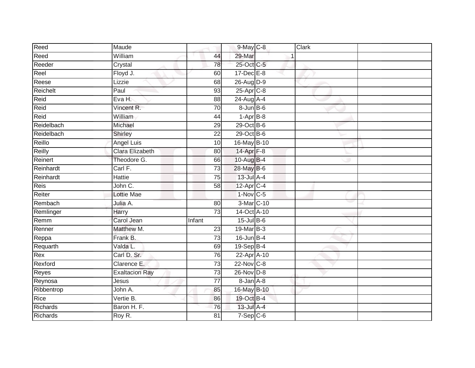| Reed            | Maude                 |                 | 9-May C-8             | Clark |  |
|-----------------|-----------------------|-----------------|-----------------------|-------|--|
| Reed            | William               | 44              | 29-Mar                |       |  |
| Reeder          | Crystal               | 78              | 25-Oct C-5            |       |  |
| Reel            | Floyd J.              | 60              | $17 - Dec$ E-8        |       |  |
| Reese           | Lizzie                | 68              | 26-Aug D-9            |       |  |
| Reichelt        | Paul                  | 93              | $25-Apr$ C-8          |       |  |
| Reid            | Eva H.                | 88              | 24-Aug A-4            |       |  |
| Reid            | Vincent R.            | 70              | $8 - Jun$ B-6         |       |  |
| Reid            | William               | 44              | $1-AprB-8$            |       |  |
| Reidelbach      | Michael               | 29              | 29-Oct B-6            |       |  |
| Reidelbach      | Shirley               | $\overline{22}$ | $29$ -Oct B-6         |       |  |
| Reillo          | <b>Angel Luis</b>     | 10              | 16-May B-10           |       |  |
| Reilly          | Clara Elizabeth       | 80              | 14-Apr <sub>F-8</sub> |       |  |
| Reinert         | Theodore G.           | 66              | 10-Aug B-4            |       |  |
| Reinhardt       | Carl F.               | $\overline{73}$ | 28-May B-6            |       |  |
| Reinhardt       | Hattie                | 75              | $13$ -Jul A-4         |       |  |
| Reis            | John C.               | $\overline{58}$ | 12-Apr C-4            |       |  |
| Reiter          | Lottie Mae            |                 | $1-Nov$ C-5           |       |  |
| Rembach         | Julia A.              | 80              | 3-Mar C-10            |       |  |
| Remlinger       | Harry                 | $\overline{73}$ | 14-Oct A-10           |       |  |
| Remm            | Carol Jean            | Infant          | $15$ -Jul $B$ -6      |       |  |
| Renner          | Matthew M.            | 23              | 19-Mar B-3            |       |  |
| Reppa           | Frank B.              | 73              | $16$ -Jun $B-4$       |       |  |
| Requarth        | Valda L.              | 69              | $19-Sep$ B-4          |       |  |
| Rex             | Carl D. Sr.           | $\overline{76}$ | 22-Apr A-10           |       |  |
| Rexford         | Clarence E.           | 73              | 22-Nov C-8            |       |  |
| Reyes           | <b>Exaltacion Ray</b> | 73              | $26$ -Nov $D-8$       |       |  |
| Reynosa         | Jesus                 | 77              | $8 - Jan$ $A - 8$     |       |  |
| Ribbentrop      | John A.               | 85              | 16-May B-10           |       |  |
| Rice            | Vertie B.             | 86              | 19-Oct B-4            |       |  |
| Richards        | Baron H. F.           | 76              | 13-Jul A-4            |       |  |
| <b>Richards</b> | Roy R.                | $\overline{81}$ | $7-Sep$ $C-6$         |       |  |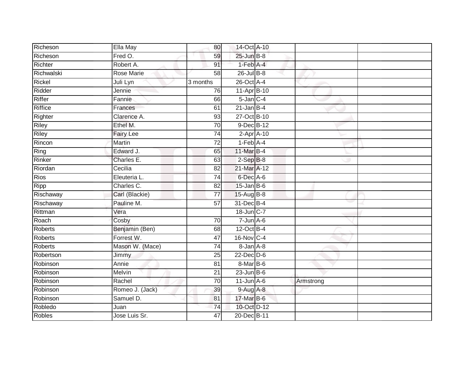| Richeson       | Ella May         | 80              | 14-Oct A-10      |           |  |
|----------------|------------------|-----------------|------------------|-----------|--|
| Richeson       | Fred O.          | 59              | 25-Jun B-8       |           |  |
| Richter        | Robert A.        | 91              | $1-Feb$ $A-4$    |           |  |
| Richwalski     | Rose Marie       | 58              | $26$ -Jul B-8    |           |  |
| Rickel         | Juli Lyn         | 3 months        | 26-Oct A-4       |           |  |
| Ridder         | Jennie           | 76              | 11-Apr B-10      |           |  |
| Riffer         | Fannie           | 66              | $5$ -Jan $C-4$   |           |  |
| <b>Riffice</b> | Frances          | 61              | $21$ -Jan B-4    |           |  |
| Righter        | Clarence A.      | 93              | 27-Oct B-10      |           |  |
| <b>Riley</b>   | Ethel M.         | 70              | 9-Dec B-12       |           |  |
| Riley          | <b>Fairy Lee</b> | 74              | $2-Apr$ A-10     |           |  |
| Rincon         | Martin           | 72              | $1-Feb$ A-4      |           |  |
| Ring           | Edward J.        | 65              | 11-Mar B-4       |           |  |
| Rinker         | Charles E.       | 63              | $2-Sep$ $B-8$    |           |  |
| Riordan        | Cecilia          | 82              | 21-Mar A-12      |           |  |
| Rios           | Eleuteria L.     | 74              | 6-Dec A-6        |           |  |
| Ripp           | Charles C.       | $\overline{82}$ | $15$ -Jan B-6    |           |  |
| Rischaway      | Carl (Blackie)   | 77              | 15-Aug B-8       |           |  |
| Rischaway      | Pauline M.       | 57              | 31-Dec B-4       |           |  |
| Rittman        | Vera             |                 | 18-Jun C-7       |           |  |
| Roach          | Cosby            | 70              | $7 - Jun$ A-6    |           |  |
| <b>Roberts</b> | Benjamin (Ben)   | 68              | $12$ -Oct B-4    |           |  |
| <b>Roberts</b> | Forrest W.       | 47              | 16-Nov C-4       |           |  |
| <b>Roberts</b> | Mason W. (Mace)  | 74              | 8-Jan A-8        |           |  |
| Robertson      | Jimmy            | 25              | $22$ -Dec $D-6$  |           |  |
| Robinson       | Annie            | 81              | $8-MarB-6$       |           |  |
| Robinson       | Melvin           | $\overline{21}$ | $23$ -Jun $B$ -6 |           |  |
| Robinson       | Rachel           | 70              | $11$ -Jun $A$ -6 | Armstrong |  |
| Robinson       | Romeo J. (Jack)  | 39              | 9-Aug A-8        |           |  |
| Robinson       | Samuel D.        | 81              | 17-Mar B-6       |           |  |
| Robledo        | Juan             | $\overline{74}$ | 10-Oct D-12      |           |  |
| <b>Robles</b>  | Jose Luis Sr.    | 47              | 20-Dec B-11      |           |  |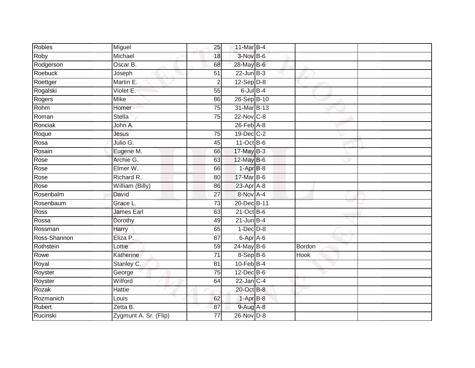| Robles       | Miguel                | 25              | 11-Mar B-4       |        |  |
|--------------|-----------------------|-----------------|------------------|--------|--|
| Roby         | Michael               | 18              | 3-Nov B-6        |        |  |
| Rodgerson    | Oscar B.              | 68              | 28-May B-6       |        |  |
| Roebuck      | Joseph                | 51              | $22$ -Jun $B-3$  |        |  |
| Roettger     | Martin E.             | $\overline{2}$  | $12-Sep$ D-8     |        |  |
| Rogalski     | Violet E.             | 55              | $6$ -Jul $B-4$   |        |  |
| Rogers       | Mike                  | 86              | 26-Sep B-10      |        |  |
| Rohm         | Homer                 | 75              | 31-Mar B-13      |        |  |
| Roman        | Stella                | 75              | $22$ -Nov C-8    |        |  |
| Ronciak      | John A.               |                 | $26$ -Feb $A-8$  |        |  |
| Roque        | Jesus                 | 75              | 19-Dec C-2       |        |  |
| Rosa         | Julio G.              | 45              | $11-Oct$ B-6     |        |  |
| Rosain       | Eugene M.             | 66              | $17$ -May B-3    |        |  |
| Rose         | Archie G.             | 63              | 12-May B-6       |        |  |
| Rose         | Elmer W.              | 66              | $1-AprB-8$       |        |  |
| Rose         | Richard R.            | 80              | 17-Mar B-6       |        |  |
| Rose         | William (Billy)       | 86              | $23$ -Apr $A$ -8 |        |  |
| Rosenbalm    | David                 | $\overline{27}$ | 8-Nov A-4        |        |  |
| Rosenbaum    | Grace L.              | 73              | 20-Dec B-11      |        |  |
| Ross         | James Earl            | 63              | $21$ -Oct B-6    |        |  |
| Rossa        | Dorothy               | 49              | $21$ -Jun B-4    |        |  |
| Rossman      | Harry                 | 65              | $1-Dec$ $D-8$    |        |  |
| Ross-Shannon | Eliza P.              | 87              | 6-Apr A-6        |        |  |
| Rothstein    | Lottie                | 59              | $24$ -May B-6    | Bordon |  |
| Rowe         | Katherine             | $\overline{71}$ | 8-Sep B-6        | Hook   |  |
| Royal        | Stanley C.            | 81              | $10$ -Feb $B-4$  |        |  |
| Royster      | George                | 75              | $12$ -Dec $B$ -6 |        |  |
| Royster      | Wilford               | 64              | $22$ -Jan C-4    |        |  |
| Rozak        | Hattie                |                 | 20-Oct B-8       |        |  |
| Rozmanich    | Louis                 | 62              | $1-AprB-8$       |        |  |
| Rubert       | Zetta B.              | 87              | 9-Aug A-8        |        |  |
| Rucinski     | Zygmunt A. Sr. (Flip) | $\overline{77}$ | 26-Nov D-8       |        |  |
|              |                       |                 |                  |        |  |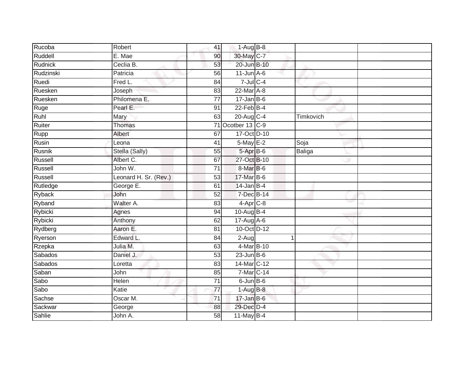| Rucoba         | Robert                | 41              | $1-AugB-8$       |           |  |
|----------------|-----------------------|-----------------|------------------|-----------|--|
| Ruddell        | E. Mae                | 90              | 30-May C-7       |           |  |
| Rudnick        | Ceclia B.             | 53              | 20-Jun B-10      |           |  |
| Rudzinski      | Patricia              | 56              | $11$ -Jun $A$ -6 |           |  |
| Ruedi          | Fred L.               | $\overline{84}$ | $7$ -Jul $C-4$   |           |  |
| Ruesken        | Joseph                | 83              | 22-Mar A-8       |           |  |
| Ruesken        | Philomena E.          | $\overline{77}$ | $17 - Jan$ B-6   |           |  |
| Ruge           | Pearl E.              | 91              | $22$ -Feb $B-4$  |           |  |
| Ruhl           | Mary                  | 63              | 20-Aug C-4       | Timkovich |  |
| Ruiter         | Thomas                | 71              | Ocotber 13 C-9   |           |  |
| Rupp           | Albert                | 67              | 17-Oct D-10      |           |  |
| Rusin          | Leona                 | 41              | 5-May E-2        | Soja      |  |
| Rusnik         | Stella (Sally)        | 55              | 5-Apr B-6        | Baliga    |  |
| Russell        | Albert C.             | 67              | 27-Oct B-10      |           |  |
| Russell        | John W.               | $\overline{71}$ | 8-Mar B-6        |           |  |
| Russell        | Leonard H. Sr. (Rev.) | 53              | 17-Mar B-6       |           |  |
| Rutledge       | George E.             | 61              | $14$ -Jan B-4    |           |  |
| Ryback         | John                  | 52              | 7-Dec B-14       |           |  |
| Ryband         | Walter A.             | 83              | 4-Apr C-8        |           |  |
| Rybicki        | Agnes                 | 94              | 10-Aug B-4       |           |  |
| <b>Rybicki</b> | Anthony               | 62              | 17-Aug A-6       |           |  |
| Rydberg        | Aaron E.              | 81              | 10-Oct D-12      |           |  |
| Ryerson        | Edward L.             | 84              | 2-Aug            | 1         |  |
| Rzepka         | Julia M.              | 63              | 4-Mar B-10       |           |  |
| Sabados        | Daniel J.             | 53              | $23$ -Jun B-6    |           |  |
| Sabados        | Loretta               | 83              | 14-Mar C-12      |           |  |
| Saban          | John                  | 85              | 7-Mar C-14       |           |  |
| Sabo           | Helen                 | $\overline{71}$ | $6$ -Jun $B$ -6  |           |  |
| Sabo           | Katie                 | 77              | $1-AugB-8$       |           |  |
| Sachse         | Oscar M.              | $\overline{71}$ | $17 - Jan$ $B-6$ |           |  |
| Sackwar        | George                | 88              | 29-Dec D-4       |           |  |
| <b>Sahlie</b>  | John A.               | $\overline{58}$ | $11$ -May B-4    |           |  |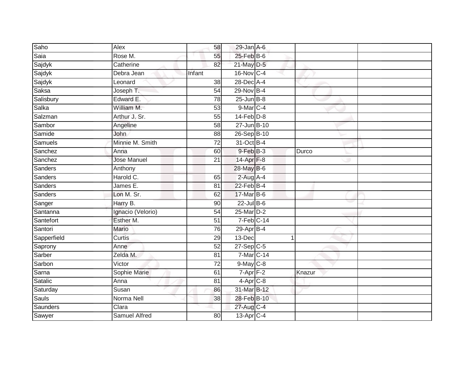| Saho        | Alex                 | 58              | $29$ -Jan $A$ -6        |        |  |
|-------------|----------------------|-----------------|-------------------------|--------|--|
| Saia        | Rose M.              | 55              | $25$ -Feb $B$ -6        |        |  |
| Sajdyk      | Catherine            | 82              | 21-May D-5              |        |  |
| Sajdyk      | Debra Jean           | Infant          | 16-Nov C-4              |        |  |
| Sajdyk      | Leonard              | $\overline{38}$ | 28-Dec A-4              |        |  |
| Saksa       | Joseph T.            | 54              | 29-Nov B-4              |        |  |
| Salisbury   | Edward E.            | 78              | $25 - Jun$ B-8          |        |  |
| Salka       | William M.           | 53              | 9-Mar C-4               |        |  |
| Salzman     | Arthur J. Sr.        | 55              | $14$ -Feb $D-8$         |        |  |
| Sambor      | Angeline             | $\overline{58}$ | 27-Jun B-10             |        |  |
| Samide      | John                 | 88              | 26-Sep B-10             |        |  |
| Samuels     | Minnie M. Smith      | 72              | 31-Oct B-4              |        |  |
| Sanchez     | Anna                 | 60              | 9-Feb B-3               | Durco  |  |
| Sanchez     | <b>Jose Manuel</b>   | 21              | 14-Apr F-8              |        |  |
| Sanders     | Anthony              |                 | 28-May B-6              |        |  |
| Sanders     | Harold C.            | 65              | $2$ -Aug A-4            |        |  |
| Sanders     | James E.             | $\overline{81}$ | $22$ -Feb $B-4$         |        |  |
| Sanders     | Lon M. Sr.           | 62              | 17-Mar B-6              |        |  |
| Sanger      | Harry B.             | 90              | $22$ -Jul B-6           |        |  |
| Santanna    | Ignacio (Velorio)    | 54              | 25-Mar D-2              |        |  |
| Santefort   | Esther M.            | 51              | $7-Feb$ <sub>C-14</sub> |        |  |
| Santori     | Mario                | 76              | $29$ -Apr $B-4$         |        |  |
| Sapperfield | Curtis               | 29              | 13-Dec                  |        |  |
| Saprony     | Anne                 | 52              | $27 - Sep$ C-5          |        |  |
| Sarber      | Zelda M.             | 81              | 7-Mar C-14              |        |  |
| Sarbon      | Victor               | $\overline{72}$ | $9$ -May $C$ -8         |        |  |
| Sarna       | Sophie Marie         | 61              | $7 - Apr$ $F-2$         | Knazur |  |
| Satalic     | Anna                 | 81              | $4-Apr$ $C-8$           |        |  |
| Saturday    | Susan                | 86              | 31-Mar B-12             |        |  |
| Sauls       | Norma Nell           | 38              | 28-Feb B-10             |        |  |
| Saunders    | Clara                |                 | 27-Aug C-4              |        |  |
| Sawyer      | <b>Samuel Alfred</b> | 80              | 13-Apr C-4              |        |  |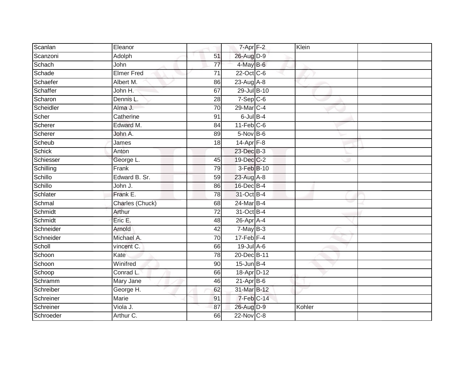| Scanlan       | Eleanor         |                 | $7 - Apr$ $F-2$ | Klein  |  |
|---------------|-----------------|-----------------|-----------------|--------|--|
| Scanzoni      | Adolph          | 51              | 26-Aug D-9      |        |  |
| Schach        | John            | $\overline{77}$ | 4-May B-6       |        |  |
| Schade        | Elmer Fred      | $\overline{71}$ | 22-Oct C-6      |        |  |
| Schaefer      | Albert M.       | 86              | $23$ -Aug $A-8$ |        |  |
| Schaffer      | John H.         | 67              | 29-Jul B-10     |        |  |
| Scharon       | Dennis L.       | 28              | $7-Sep$ $C-6$   |        |  |
| Scheidler     | Alma J.         | 70              | 29-Mar C-4      |        |  |
| Scher         | Catherine       | 91              | $6$ -Jul $B$ -4 |        |  |
| Scherer       | Edward M.       | $\overline{84}$ | $11-Feb$ C-6    |        |  |
| Scherer       | John A.         | 89              | $5-Nov$ B-6     |        |  |
| Scheub        | James           | 18              | $14$ -Apr $F-8$ |        |  |
| <b>Schick</b> | Anton           |                 | 23-Dec B-3      |        |  |
| Schiesser     | George L.       | 45              | 19-Dec C-2      |        |  |
| Schilling     | Frank           | 79              | 3-Feb B-10      |        |  |
| Schillo       | Edward B. Sr.   | 59              | 23-Aug A-8      |        |  |
| Schillo       | John J.         | 86              | 16-Dec B-4      |        |  |
| Schlater      | Frank E.        | 78              | 31-Oct B-4      |        |  |
| Schmal        | Charles (Chuck) | 68              | 24-Mar B-4      |        |  |
| Schmidt       | Arthur          | $\overline{72}$ | 31-Oct B-4      |        |  |
| Schmidt       | Eric E.         | 48              | 26-Apr A-4      |        |  |
| Schneider     | Arnold          | 42              | $7$ -May $B-3$  |        |  |
| Schneider     | Michael A.      | 70              | $17$ -Feb $F-4$ |        |  |
| Scholl        | vincent C.      | 66              | 19-Jul A-6      |        |  |
| Schoon        | Kate            | 78              | 20-Dec B-11     |        |  |
| Schoon        | Winifred        | 90              | $15$ -Jun $B-4$ |        |  |
| Schoop        | Conrad L.       | 66              | 18-Apr D-12     |        |  |
| Schramm       | Mary Jane       | 46              | $21-AprB-6$     |        |  |
| Schreiber     | George H.       | 62              | 31-Mar B-12     |        |  |
| Schreiner     | Marie           | 91              | 7-Feb C-14      |        |  |
| Schreiner     | Viola J.        | 87              | 26-Aug D-9      | Kohler |  |
| Schroeder     | Arthur C.       | 66              | 22-Nov C-8      |        |  |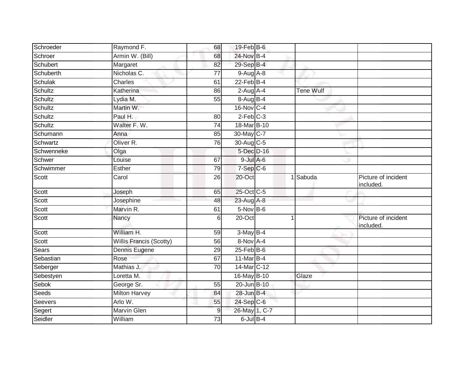| Schroeder      | Raymond F.              | 68              | $19$ -Feb $B$ -6 |   |                  |                                  |
|----------------|-------------------------|-----------------|------------------|---|------------------|----------------------------------|
| Schroer        | Armin W. (Bill)         | 68              | 24-Nov B-4       |   |                  |                                  |
| Schubert       | Margaret                | $\overline{82}$ | 29-Sep B-4       |   |                  |                                  |
| Schuberth      | Nicholas C.             | 77              | $9-Aug$ A-8      |   |                  |                                  |
| <b>Schulak</b> | <b>Charles</b>          | 61              | $22$ -Feb $B-4$  |   |                  |                                  |
| Schultz        | Katherina               | 86              | $2$ -Aug A-4     |   | <b>Tene Wulf</b> |                                  |
| Schultz        | Lydia M.                | 55              | 8-Aug B-4        |   |                  |                                  |
| Schultz        | Martin W.               |                 | 16-Nov C-4       |   |                  |                                  |
| Schultz        | Paul H.                 | 80              | $2$ -Feb $C-3$   |   |                  |                                  |
| Schultz        | Walter F. W.            | 74              | 18-Mar B-10      |   |                  |                                  |
| Schumann       | Anna                    | 85              | 30-May C-7       |   |                  |                                  |
| Schwartz       | Oliver <sub>R.</sub>    | 76              | 30-Aug C-5       |   |                  |                                  |
| Schwenneke     | Olga                    |                 | 5-Dec D-16       |   |                  |                                  |
| Schwer         | Louise                  | 67              | $9$ -Jul $A$ -6  |   |                  |                                  |
| Schwimmer      | <b>Esther</b>           | 79              | $7-Sep$ $C-6$    |   |                  |                                  |
| Scott          | Carol                   | 26              | 20-Oct           |   | 1 Sabuda         | Picture of incident<br>included. |
| Scott          | Joseph                  | 65              | 25-Oct C-5       |   |                  |                                  |
| Scott          | Josephine               | 48              | 23-Aug A-8       |   |                  |                                  |
| Scott          | Marvin R.               | 61              | $5-Nov$ B-6      |   |                  |                                  |
| Scott          | Nancy                   | 6               | $20$ -Oct        | 1 |                  | Picture of incident<br>included. |
| Scott          | William H.              | 59              | $3-May$ B-4      |   |                  |                                  |
| Scott          | Willis Francis (Scotty) | 56              | 8-Nov A-4        |   |                  |                                  |
| Sears          | Dennis Eugene           | 29              | $25$ -Feb $B$ -6 |   |                  |                                  |
| Sebastian      | Rose                    | 67              | 11-Mar B-4       |   |                  |                                  |
| Seberger       | Mathias J.              | $\overline{70}$ | 14-Mar C-12      |   |                  |                                  |
| Sebestyen      | Loretta M.              |                 | 16-May B-10      |   | Glaze            |                                  |
| Sebok          | George Sr.              | 55              | 20-Jun B-10      |   |                  |                                  |
| Seeds          | <b>Milton Harvey</b>    | 84              | 28-Jun B-4       |   |                  |                                  |
| <b>Seevers</b> | Arlo W.                 | 55              | $24-Sep C-6$     |   |                  |                                  |
| Segert         | <b>Marvin Glen</b>      | $9\,$           | 26-May 1, C-7    |   |                  |                                  |
| Seidler        | William                 | 73              | $6$ -Jul $B-4$   |   |                  |                                  |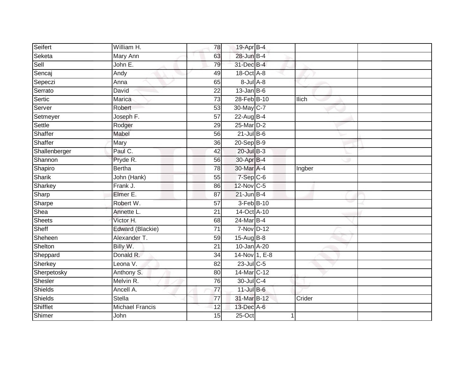| Seifert        | William H.             | 78              | 19-Apr B-4        |        |  |
|----------------|------------------------|-----------------|-------------------|--------|--|
| Seketa         | <b>Mary Ann</b>        | 63              | 28-Jun B-4        |        |  |
| Sell           | John E.                | 79              | 31-Dec B-4        |        |  |
| Sencaj         | Andy                   | 49              | 18-Oct A-8        |        |  |
| Sepeczi        | Anna                   | 65              | $8 -$ Jul $A - 8$ |        |  |
| Serrato        | David                  | 22              | $13$ -Jan B-6     |        |  |
| Sertic         | Marica                 | 73              | 28-Feb B-10       | Ilich  |  |
| Server         | Robert                 | 53              | 30-May C-7        |        |  |
| Setmeyer       | Joseph F.              | $\overline{57}$ | 22-Aug B-4        |        |  |
| Settle         | Rodger                 | 29              | 25-Mar D-2        |        |  |
| Shaffer        | Mabel                  | 56              | $21$ -Jul B-6     |        |  |
| Shaffer        | Mary                   | 36              | $20-Sep$ B-9      |        |  |
| Shallenberger  | Paul C.                | 42              | $20$ -Jul $B-3$   |        |  |
| Shannon        | Pryde R.               | 56              | 30-Apr B-4        |        |  |
| Shapiro        | <b>Bertha</b>          | $\overline{78}$ | 30-Mar A-4        | Ingber |  |
| Sharik         | John (Hank)            | 55              | 7-Sep C-6         |        |  |
| Sharkey        | Frank J.               | 86              | 12-Nov C-5        |        |  |
| Sharp          | Elmer E.               | 87              | $21$ -Jun B-4     |        |  |
| Sharpe         | Robert W.              | 57              | 3-Feb B-10        |        |  |
| Shea           | Annette L.             | $\overline{21}$ | 14-Oct A-10       |        |  |
| <b>Sheets</b>  | Victor H.              | 68              | 24-Mar B-4        |        |  |
| Sheff          | Edward (Blackie)       | $\overline{71}$ | 7-Nov D-12        |        |  |
| Sheheen        | Alexander T.           | 59              | 15-Aug B-8        |        |  |
| Shelton        | Billy W.               | $\overline{21}$ | 10-Jan A-20       |        |  |
| Sheppard       | Donald R.              | 34              | 14-Nov 1, E-8     |        |  |
| Sherkey        | Leona V.               | 82              | 23-Jul C-5        |        |  |
| Sherpetosky    | Anthony S.             | 80              | 14-Mar C-12       |        |  |
| Shesler        | Melvin R.              | 76              | 30-Jul C-4        |        |  |
| <b>Shields</b> | Ancell A.              | $\overline{77}$ | 11-Jul B-6        |        |  |
| Shields        | <b>Stella</b>          | 77              | 31-Mar B-12       | Crider |  |
| Shifflet       | <b>Michael Francis</b> | 12              | 13-Dec A-6        |        |  |
| Shimer         | John                   | 15              | $25$ -Oct         |        |  |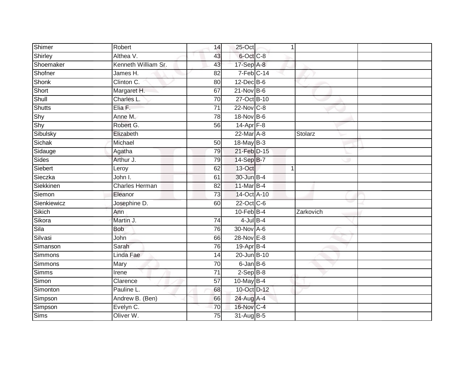| Shimer      | Robert                | 14              | 25-Oct          |           |  |
|-------------|-----------------------|-----------------|-----------------|-----------|--|
| Shirley     | Althea V.             | 43              | 6-Oct C-8       |           |  |
| Shoemaker   | Kenneth William Sr.   | 43              | $17-Sep$ A-8    |           |  |
| Shofner     | James H.              | 82              | $7-Feb$ C-14    |           |  |
| Shonk       | Clinton C.            | 80              | 12-Dec B-6      |           |  |
| Short       | Margaret H.           | 67              | $21-Nov$ B-6    |           |  |
| Shull       | Charles L.            | 70              | 27-Oct B-10     |           |  |
| Shutts      | Elia F.               | $\overline{71}$ | 22-Nov C-8      |           |  |
| Shy         | Anne M.               | 78              | 18-Nov B-6      |           |  |
| Shy         | Robert G.             | 56              | $14-Apr$ F-8    |           |  |
| Sibulsky    | Elizabeth             |                 | 22-Mar A-8      | Stolarz   |  |
| Sichak      | Michael               | 50              | 18-May B-3      |           |  |
| Sidauge     | Agatha                | 79              | 21-Feb D-15     |           |  |
| Sides       | Arthur J.             | 79              | 14-Sep B-7      |           |  |
| Siebert     | Leroy                 | 62              | 13-Oct          |           |  |
| Sieczka     | John I.               | 61              | 30-Jun B-4      |           |  |
| Siekkinen   | <b>Charles Herman</b> | $\overline{82}$ | 11-Mar B-4      |           |  |
| Siemon      | Eleanor               | 73              | 14-Oct A-10     |           |  |
| Sienkiewicz | Josephine D.          | 60              | 22-Oct C-6      |           |  |
| Sikich      | Ann                   |                 | $10$ -Feb $B-4$ | Zarkovich |  |
| Sikora      | Martin J.             | 74              | $4$ -Jul $B$ -4 |           |  |
| Sila        | <b>Bob</b>            | 76              | 30-Nov A-6      |           |  |
| Silvasi     | John                  | 66              | 28-Nov E-8      |           |  |
| Simanson    | Sarah                 | 76              | 19-Apr B-4      |           |  |
| Simmons     | Linda Fae             | 14              | 20-Jun B-10     |           |  |
| Simmons     | Mary                  | $\overline{70}$ | $6$ -Jan $B$ -6 |           |  |
| Simms       | Irene                 | $\overline{71}$ | $2-SepB-8$      |           |  |
| Simon       | Clarence              | 57              | 10-May B-4      |           |  |
| Simonton    | Pauline L.            | 68              | 10-Oct D-12     |           |  |
| Simpson     | Andrew B. (Ben)       | 66              | 24-Aug A-4      |           |  |
| Simpson     | Evelyn C.             | 70              | 16-Nov C-4      |           |  |
| Sims        | Oliver W.             | 75              | 31-Aug B-5      |           |  |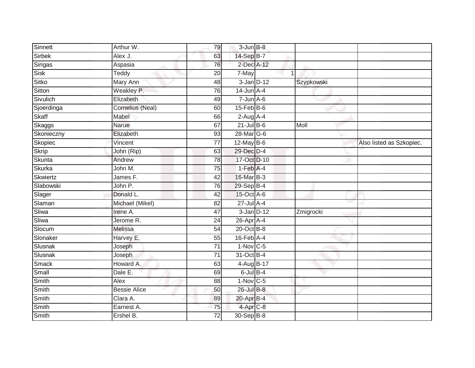| Sinnett       | Arthur W.               | 79              | $3 - Jun$ $B-8$  |   |            |                          |
|---------------|-------------------------|-----------------|------------------|---|------------|--------------------------|
| <b>Sirbek</b> | Alex J.                 | 63              | 14-Sep B-7       |   |            |                          |
| Sirigas       | Aspasia                 | 76              | 2-Dec A-12       |   |            |                          |
| <b>Sisk</b>   | $\overline{T}$ eddy     | 20              | 7-May            | 1 |            |                          |
| Sitko         | Mary Ann                | 48              | $3$ -Jan $D-12$  |   | Szypkowski |                          |
| Sitton        | Weakley P.              | 76              | $14$ -Jun $A$ -4 |   |            |                          |
| Sivulich      | Elizabeth               | 49              | $7 - Jun$ A-6    |   |            |                          |
| Sjoerdinga    | <b>Cornelius (Neal)</b> | 60              | $15$ -Feb $B$ -6 |   |            |                          |
| Skaff         | Mabel                   | 66              | $2-Aug$ A-4      |   |            |                          |
| Skaggs        | <b>Narue</b>            | 67              | $21$ -Jul B-6    |   | Moll       |                          |
| Skonieczny    | Elizabeth               | 93              | 28-Mar G-6       |   |            |                          |
| Skopiec       | Vincent                 | 77              | 12-May B-6       |   |            | Also listed as Szkopiec. |
| <b>Skrip</b>  | John (Rip)              | 63              | 29-Dec D-4       |   |            |                          |
| Skunta        | Andrew                  | 78              | 17-Oct D-10      |   |            |                          |
| Skurka        | John M.                 | 75              | $1-Feb$ A-4      |   |            |                          |
| Skwiertz      | James F.                | 42              | 16-Mar B-3       |   |            |                          |
| Slabowski     | John P.                 | $\overline{76}$ | 29-Sep B-4       |   |            |                          |
| Slager        | Donald L.               | 42              | 15-Oct A-6       |   |            |                          |
| Slaman        | Michael (Mikel)         | 82              | 27-Jul A-4       |   |            |                          |
| Sliwa         | Irene A.                | 47              | $3$ -Jan $D-12$  |   | Zmigrocki  |                          |
| Sliwa         | Jerome R.               | 24              | 26-Apr A-4       |   |            |                          |
| Slocum        | Melissa                 | 54              | 20-Oct B-8       |   |            |                          |
| Slonaker      | Harvey E.               | 55              | $16$ -Feb $A$ -4 |   |            |                          |
| Slusnak       | Joseph                  | 71              | $1-Nov$ C-5      |   |            |                          |
| Slusnak       | Joseph                  | 71              | 31-Oct B-4       |   |            |                          |
| Smack         | Howard A.               | 63              | 4-Aug B-17       |   |            |                          |
| Small         | Dale E.                 | 69              | $6$ -Jul $B$ -4  |   |            |                          |
| Smith         | Alex                    | 88              | $1-Nov$ C-5      |   |            |                          |
| Smith         | <b>Bessie Alice</b>     | 50              | 26-Jul B-8       |   |            |                          |
| Smith         | Clara A.                | 89              | 20-Apr B-4       |   |            |                          |
| Smith         | Earnest A.              | 75              | 4-Apr C-8        |   |            |                          |
| Smith         | Ershel B.               | $\overline{72}$ | 30-Sep B-8       |   |            |                          |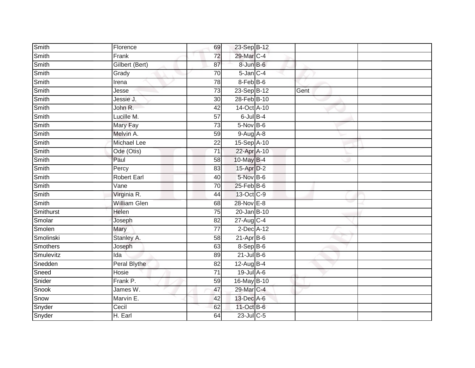| Smith           | Florence            | 69              | 23-Sep B-12       |      |  |
|-----------------|---------------------|-----------------|-------------------|------|--|
| Smith           | Frank               | $\overline{72}$ | 29-Mar C-4        |      |  |
| Smith           | Gilbert (Bert)      | 87              | $8 - Jun$ $B - 6$ |      |  |
| Smith           | Grady               | $\overline{70}$ | $5$ -Jan $C$ -4   |      |  |
| Smith           | Irena               | $\overline{78}$ | 8-Feb B-6         |      |  |
| Smith           | Jesse               | 73              | 23-Sep B-12       | Gent |  |
| Smith           | Jessie J.           | 30              | 28-Feb B-10       |      |  |
| Smith           | John R.             | 42              | 14-Oct A-10       |      |  |
| Smith           | Lucille M.          | $\overline{57}$ | $6$ -Jul $B$ -4   |      |  |
| Smith           | Mary Fay            | $\overline{73}$ | 5-Nov B-6         |      |  |
| Smith           | Melvin A.           | 59              | $9-Aug$ A-8       |      |  |
| Smith           | Michael Lee         | 22              | 15-Sep A-10       |      |  |
| Smith           | Ode (Otis)          | $\overline{71}$ | 22-Apr A-10       |      |  |
| Smith           | Paul                | 58              | 10-May B-4        |      |  |
| Smith           | Percy               | $\overline{83}$ | 15-Apr D-2        |      |  |
| Smith           | <b>Robert Earl</b>  | 40              | 5-Nov B-6         |      |  |
| Smith           | Vane                | 70              | $25$ -Feb $B$ -6  |      |  |
| Smith           | Virginia R.         | 44              | 13-Oct C-9        |      |  |
| Smith           | <b>William Glen</b> | 68              | 28-Nov E-8        |      |  |
| Smithurst       | Helen               | 75              | 20-Jan B-10       |      |  |
| Smolar          | Joseph              | 82              | 27-Aug C-4        |      |  |
| Smolen          | Mary                | $\overline{77}$ | $2$ -Dec $A-12$   |      |  |
| Smolinski       | Stanley A.          | 58              | $21$ -Apr $B$ -6  |      |  |
| <b>Smothers</b> | Joseph              | 63              | 8-Sep B-6         |      |  |
| Smulevitz       | Ida                 | 89              | $21$ -Jul B-6     |      |  |
| Snedden         | Peral Blythe        | 82              | $12$ -Aug B-4     |      |  |
| Sneed           | Hosie               | $\overline{71}$ | $19$ -Jul A-6     |      |  |
| Snider          | Frank P.            | 59              | 16-May B-10       |      |  |
| Snook           | James W.            | 47              | 29-Mar C-4        |      |  |
| Snow            | Marvin E.           | 42              | 13-Dec A-6        |      |  |
| Snyder          | Cecil               | 62              | 11-Oct B-6        |      |  |
| Snyder          | H. Earl             | 64              | 23-Jul C-5        |      |  |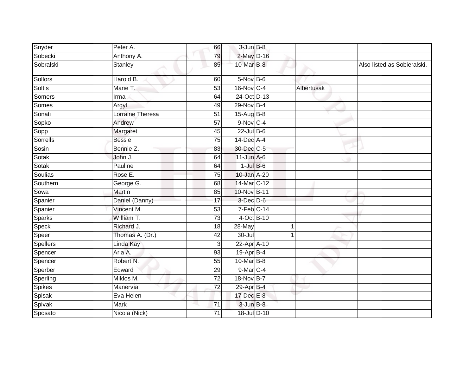| Snyder          | Peter A.         | 66              | $3 - Jun$ $B-8$         |   |            |                             |
|-----------------|------------------|-----------------|-------------------------|---|------------|-----------------------------|
| Sobecki         | Anthony A.       | 79              | 2-May D-16              |   |            |                             |
| Sobralski       | <b>Stanley</b>   | 85              | 10-Mar B-8              |   |            | Also listed as Sobieralski. |
| Sollors         | Harold B.        | 60              | $5-Nov$ B-6             |   |            |                             |
| <b>Soltis</b>   | Marie T.         | 53              | 16-Nov C-4              |   | Albertusak |                             |
| Somers          | Irma             | 64              | 24-Oct D-13             |   |            |                             |
| Somes           | Argyl            | 49              | 29-Nov B-4              |   |            |                             |
| Sonati          | Lorraine Theresa | 51              | $15-Aug$ B-8            |   |            |                             |
| Sopko           | Andrew           | 57              | 9-Nov C-4               |   |            |                             |
| Sopp            | Margaret         | 45              | $22$ -Jul B-6           |   |            |                             |
| Sorrells        | <b>Bessie</b>    | 75              | 14-Dec A-4              |   |            |                             |
| Sosin           | Bennie Z.        | 83              | 30-Dec C-5              |   |            |                             |
| Sotak           | John J.          | 64              | $11$ -Jun $A$ -6        |   |            |                             |
| Sotak           | Pauline          | 64              | $1$ -Jul $B$ -6         |   |            |                             |
| Soulias         | Rose E.          | $\overline{75}$ | 10-Jan A-20             |   |            |                             |
| Southern        | George G.        | 68              | 14-Mar C-12             |   |            |                             |
| Sowa            | Martin           | 85              | 10-Nov B-11             |   |            |                             |
| Spanier         | Daniel (Danny)   | 17              | 3-Dec D-6               |   |            |                             |
| Spanier         | Vincent M.       | 53              | $7-Feb$ <sub>C-14</sub> |   |            |                             |
| <b>Sparks</b>   | William T.       | $\overline{73}$ | 4-Oct B-10              |   |            |                             |
| Speck           | Richard J.       | 18              | $28$ -May               | 1 |            |                             |
| Speer           | Thomas A. (Dr.)  | 42              | 30-Jul                  |   |            |                             |
| <b>Spellers</b> | Linda Kay        | 3               | 22-Apr A-10             |   |            |                             |
| Spencer         | Aria A.          | 93              | 19-Apr B-4              |   |            |                             |
| Spencer         | Robert N.        | $\overline{55}$ | 10-Mar B-8              |   |            |                             |
| Sperber         | Edward           | 29              | 9-Mar C-4               |   |            |                             |
| Sperling        | Miklos M.        | $\overline{72}$ | 18-Nov B-7              |   |            |                             |
| Spikes          | Manervia         | 72              | 29-Apr B-4              |   |            |                             |
| Spisak          | Eva Helen        |                 | 17-Dec E-8              |   |            |                             |
| Spivak          | Mark             | 71              | $3$ -Jun $B-8$          |   |            |                             |
| Sposato         | Nicola (Nick)    | 71              | 18-Jul D-10             |   |            |                             |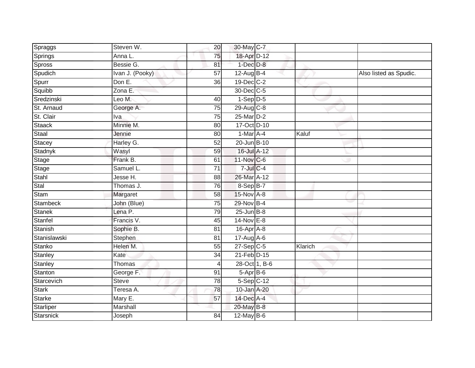| Spraggs          | Steven W.       | 20              | 30-May C-7      |         |                        |
|------------------|-----------------|-----------------|-----------------|---------|------------------------|
| Springs          | Anna L.         | 75              | 18-Apr D-12     |         |                        |
| Spross           | Bessie G.       | 81              | $1-Dec$ $D-8$   |         |                        |
| Spudich          | Ivan J. (Pooky) | 57              | $12$ -Aug B-4   |         | Also listed as Spudic. |
| Spurr            | Don E.          | $\overline{36}$ | 19-Dec C-2      |         |                        |
| Squibb           | Zona E.         |                 | 30-Dec C-5      |         |                        |
| Sredzinski       | Leo M.          | 40              | $1-Sep D-5$     |         |                        |
| St. Arnaud       | George A.       | 75              | $29$ -Aug C-8   |         |                        |
| St. Clair        | Iva             | 75              | 25-Mar D-2      |         |                        |
| <b>Staack</b>    | Minnie M.       | 80              | 17-Oct D-10     |         |                        |
| Staal            | Jennie          | 80              | $1-Mar$ A-4     | Kaluf   |                        |
| Stacey           | Harley G.       | 52              | 20-Jun B-10     |         |                        |
| Stadnyk          | Wasyl           | 59              | 16-Jul A-12     |         |                        |
| Stage            | Frank B.        | 61              | 11-Nov C-6      |         |                        |
| Stage            | Samuel L.       | $\overline{71}$ | $7$ -Jul $C$ -4 |         |                        |
| Stahl            | Jesse H.        | 88              | 26-Mar A-12     |         |                        |
| Stal             | Thomas J.       | $\overline{76}$ | 8-Sep B-7       |         |                        |
| Stam             | Margaret        | 58              | 15-Nov A-8      |         |                        |
| Stambeck         | John (Blue)     | $\overline{75}$ | 29-Nov B-4      |         |                        |
| <b>Stanek</b>    | Lena P.         | 79              | $25$ -Jun $B-8$ |         |                        |
| Stanfel          | Francis V.      | 45              | 14-Nov E-8      |         |                        |
| Stanish          | Sophie B.       | 81              | 16-Apr A-8      |         |                        |
| Stanislawski     | Stephen         | 81              | 17-Aug A-6      |         |                        |
| Stanko           | Helen M.        | 55              | $27-Sep$ C-5    | Klarich |                        |
| Stanley          | Kate            | 34              | 21-Feb D-15     |         |                        |
| Stanley          | Thomas          | 4               | 28-Oct 1, B-6   |         |                        |
| Stanton          | George F.       | 91              | $5-AprB-6$      |         |                        |
| Starcevich       | <b>Steve</b>    | 78              | $5-Sep$ $C-12$  |         |                        |
| Stark            | Teresa A.       | 78              | 10-Jan A-20     |         |                        |
| <b>Starke</b>    | Mary E.         | 57              | 14-Dec A-4      |         |                        |
| Starliper        | Marshall        |                 | 20-May B-8      |         |                        |
| <b>Starsnick</b> | Joseph          | 84              | 12-May B-6      |         |                        |
|                  |                 |                 |                 |         |                        |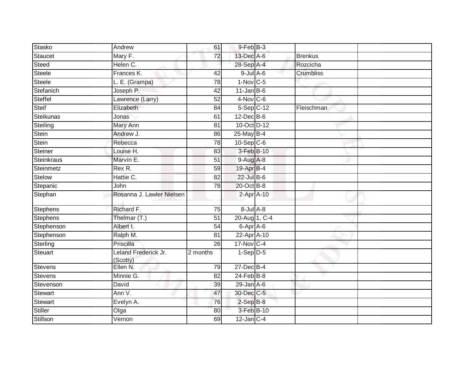| Stasko          | Andrew                           | 61              | 9-Feb B-3         |                |  |
|-----------------|----------------------------------|-----------------|-------------------|----------------|--|
| Staucet         | Mary F.                          | 72              | 13-Dec A-6        | <b>Brenkus</b> |  |
| Steed           | Helen C.                         |                 | 28-Sep A-4        | Rozcicha       |  |
| Steele          | Frances K.                       | 42              | $9$ -Jul $A$ -6   | Crumbliss      |  |
| <b>Steele</b>   | L. E. (Grampa)                   | 78              | $1-Nov$ C-5       |                |  |
| Stefanich       | Joseph P.                        | 42              | $11$ -Jan B-6     |                |  |
| Steffel         | Lawrence (Larry)                 | 52              | $4-Nov$ C-6       |                |  |
| Steif           | Elizabeth                        | 84              | $5-$ Sep $C-12$   | Fleischman     |  |
| Steikunas       | Jonas                            | 61              | $12$ -Dec $B$ -6  |                |  |
| Steiling        | Mary Ann                         | $\overline{81}$ | 10-Oct D-12       |                |  |
| Stein           | Andrew J.                        | 86              | $25$ -May B-4     |                |  |
| Stein           | Rebecca                          | 78              | $10-Sep$ C-6      |                |  |
| Steiner         | Louise H.                        | 83              | 3-Feb B-10        |                |  |
| Steinkraus      | Marvin E.                        | 51              | $9-Aug$ A-8       |                |  |
| Steinmetz       | Rex R.                           | 59              | 19-Apr B-4        |                |  |
| Stelow          | Hattie C.                        | 82              | $22$ -Jul B-6     |                |  |
| Stepanic        | John                             | 78              | 20-Oct B-8        |                |  |
| Stephan         | Rosanna J. Lawler Nielsen        |                 | $2-Apr$ A-10      |                |  |
| Stephens        | Richard F.                       | 75              | $8 -$ Jul $A - 8$ |                |  |
| <b>Stephens</b> | Thelmar (T.)                     | $\overline{51}$ | 20-Aug 1, C-4     |                |  |
| Stephenson      | Albert I.                        | 54              | 6-Apr A-6         |                |  |
| Stephenson      | Ralph M.                         | 81              | 22-Apr A-10       |                |  |
| Sterling        | Priscilla                        | 26              | 17-Nov C-4        |                |  |
| Steuart         | Leland Frederick Jr.<br>(Scotty) | 2 months        | $1-Sep$ D-5       |                |  |
| <b>Stevens</b>  | Ellen N.                         | 79              | 27-Dec B-4        |                |  |
| Stevens         | Minnie G.                        | 82              | $24$ -Feb $B-8$   |                |  |
| Stevenson       | David                            | 39              | $29$ -Jan $A$ -6  |                |  |
| Stewart         | Ann V.                           | 47              | 30-Dec C-5        |                |  |
| Stewart         | Evelyn A.                        | 76              | $2-SepB-8$        |                |  |
| Stiller         | Olga                             | 80              | 3-Feb B-10        |                |  |
| Stillson        | Vernon                           | 69              | $12$ -Jan $C-4$   |                |  |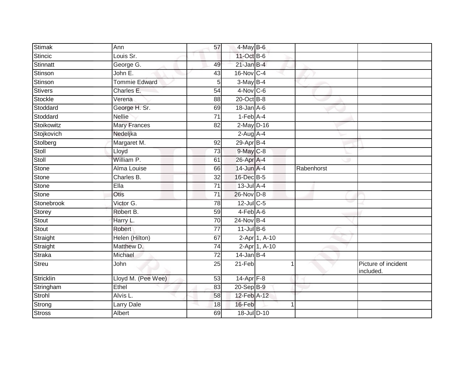| <b>Stimak</b> | Ann                  | 57              | $4$ -May B-6     |               |            |                                  |
|---------------|----------------------|-----------------|------------------|---------------|------------|----------------------------------|
| Stincic       | Louis Sr.            |                 | 11-Oct B-6       |               |            |                                  |
| Stinnatt      | George G.            | 49              | $21$ -Jan B-4    |               |            |                                  |
| Stinson       | John E.              | 43              | 16-Nov C-4       |               |            |                                  |
| Stinson       | <b>Tommie Edward</b> | 5               | $3-May$ B-4      |               |            |                                  |
| Stivers       | Charles E.           | 54              | $4-Nov$ C-6      |               |            |                                  |
| Stockle       | Verena               | 88              | $20$ -Oct B-8    |               |            |                                  |
| Stoddard      | George H. Sr.        | 69              | $18$ -Jan $A$ -6 |               |            |                                  |
| Stoddard      | <b>Nellie</b>        | 71              | $1-Feb$ A-4      |               |            |                                  |
| Stoikowitz    | <b>Mary Frances</b>  | $\overline{82}$ | $2$ -May $D-16$  |               |            |                                  |
| Stojkovich    | Nedeljka             |                 | $2$ -Aug A-4     |               |            |                                  |
| Stolberg      | Margaret M.          | 92              | $29$ -Apr $B-4$  |               |            |                                  |
| Stoll         | Lloyd                | 73              | 9-May C-8        |               |            |                                  |
| Stoll         | William P.           | 61              | 26-Apr A-4       |               |            |                                  |
| <b>Stone</b>  | <b>Alma Louise</b>   | 66              | 14-Jun A-4       |               | Rabenhorst |                                  |
| Stone         | Charles B.           | 32              | 16-Dec B-5       |               |            |                                  |
| <b>Stone</b>  | Ella                 | $\overline{71}$ | 13-Jul A-4       |               |            |                                  |
| Stone         | Otis                 | 71              | 26-Nov D-8       |               |            |                                  |
| Stonebrook    | Victor G.            | 78              | 12-Jul C-5       |               |            |                                  |
| Storey        | Robert B.            | 59              | $4-Feb$ A-6      |               |            |                                  |
| Stout         | Harry L.             | $\overline{70}$ | $24$ -Nov B-4    |               |            |                                  |
| Stout         | Robert               | $\overline{77}$ | $11$ -Jul $B-6$  |               |            |                                  |
| Straight      | Helen (Hilton)       | 67              |                  | 2-Apr 1, A-10 |            |                                  |
| Straight      | Matthew D.           | 74              |                  | 2-Apr 1, A-10 |            |                                  |
| Straka        | Michael              | 72              | $14$ -Jan B-4    |               |            |                                  |
| Streu         | John                 | $\overline{25}$ | 21-Feb           |               |            | Picture of incident<br>included. |
| Stricklin     | Lloyd M. (Pee Wee)   | 53              | 14-Apr F-8       |               |            |                                  |
| Stringham     | Ethel                | 83              | 20-Sep B-9       |               |            |                                  |
| Strohl        | Alvis L.             | 58              | 12-Feb A-12      |               |            |                                  |
| Strong        | Larry Dale           | 18              | 16-Feb           |               |            |                                  |
| <b>Stross</b> | Albert               | 69              | 18-Jul D-10      |               |            |                                  |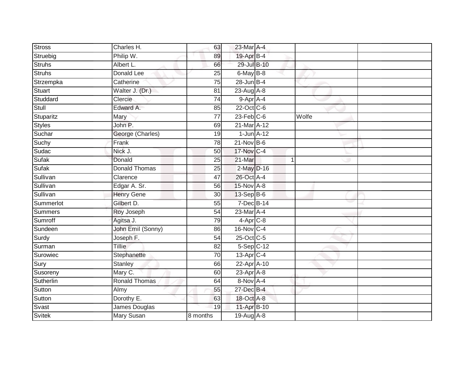| <b>Stross</b> | Charles H.           | 63              | 23-Mar A-4             |                |  |
|---------------|----------------------|-----------------|------------------------|----------------|--|
| Struebig      | Philip W.            | 89              | 19-Apr B-4             |                |  |
| <b>Struhs</b> | Albert L.            | 66              | 29-Jul B-10            |                |  |
| Struhs        | Donald Lee           | 25              | 6-May B-8              |                |  |
| Strzempka     | Catherine            | $\overline{75}$ | $28$ -Jun B-4          |                |  |
| Stuart        | Walter J. (Dr.)      | 81              | 23-Aug A-8             |                |  |
| Studdard      | Clercie              | $\overline{74}$ | $9-$ Apr A-4           |                |  |
| Stull         | Edward A.            | 85              | 22-Oct C-6             |                |  |
| Stuparitz     | Mary                 | $\overline{77}$ | $23$ -Feb $C$ -6       | Wolfe          |  |
| <b>Styles</b> | John P.              | 69              | 21-Mar A-12            |                |  |
| Suchar        | George (Charles)     | 19              | $1$ -Jun $A-12$        |                |  |
| Suchy         | Frank                | 78              | $21$ -Nov B-6          |                |  |
| Sudac         | Nick J.              | 50              | 17-Nov C-4             |                |  |
| Sufak         | Donald               | 25              | 21-Mar                 | $\overline{1}$ |  |
| <b>Sufak</b>  | <b>Donald Thomas</b> | 25              | 2-May D-16             |                |  |
| Sullivan      | Clarence             | 47              | 26-Oct A-4             |                |  |
| Sullivan      | Edgar A. Sr.         | 56              | 15-Nov A-8             |                |  |
| Sullivan      | <b>Henry Gene</b>    | 30              | 13-Sep B-6             |                |  |
| Summerlot     | Gilbert D.           | 55              | 7-Dec B-14             |                |  |
| Summers       | Roy Joseph           | 54              | 23-Mar A-4             |                |  |
| Sumroff       | Agitsa J.            | 79              | $4-Apr$ <sub>C-8</sub> |                |  |
| Sundeen       | John Emil (Sonny)    | 86              | 16-Nov C-4             |                |  |
| Surdy         | Joseph F.            | 54              | 25-Oct C-5             |                |  |
| Surman        | Tillie               | 82              | $5-Sep$ $C-12$         |                |  |
| Surowiec      | Stephanette          | 70              | $13$ -Apr $C-4$        |                |  |
| Sury          | Stanley              | 66              | 22-Apr A-10            |                |  |
| Susoreny      | Mary C.              | 60              | $23$ -Apr $A$ -8       |                |  |
| Sutherlin     | <b>Ronald Thomas</b> | 64              | $8-Nov$ A-4            |                |  |
| Sutton        | Almy                 | 55              | 27-Dec B-4             |                |  |
| Sutton        | Dorothy E.           | 63              | 18-Oct A-8             |                |  |
| Svast         | James Douglas        | 19              | 11-Apr B-10            |                |  |
| <b>Svitek</b> | <b>Mary Susan</b>    | 8 months        | 19-Aug A-8             |                |  |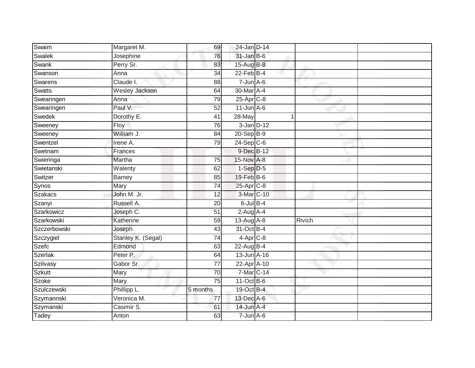| Swaim         | Margaret M.           | 69              | 24-Jan D-14            |        |  |
|---------------|-----------------------|-----------------|------------------------|--------|--|
| Swalek        | Josephine             | 76              | 31-Jan B-6             |        |  |
| Swank         | Perry Sr.             | 83              | 15-Aug B-8             |        |  |
| Swanson       | Anna                  | 34              | $22$ -Feb $B-4$        |        |  |
| Swarens       | Claude I.             | 88              | $7 - Jun$ A-6          |        |  |
| <b>Swatts</b> | <b>Wesley Jackson</b> | 64              | 30-Mar A-4             |        |  |
| Swearingen    | Anna                  | 79              | $25$ -Apr $C-8$        |        |  |
| Swearingen    | Paul V.               | 52              | $11$ -Jun $A - 6$      |        |  |
| Swedek        | Dorothy E.            | 41              | 28-May                 | 1      |  |
| Sweeney       | Floy                  | 76              | $3$ -Jan $D-12$        |        |  |
| Sweeney       | William J.            | 84              | 20-Sep B-9             |        |  |
| Swentzel      | Irene A.              | 79              | $24-Sep C-6$           |        |  |
| Swetnam       | Frances               |                 | 9-Dec B-12             |        |  |
| Swieringa     | Martha                | 75              | 15-Nov A-8             |        |  |
| Swietanski    | Walenty               | 62              | $1-Sep$ $D-5$          |        |  |
| Switzer       | Barney                | 85              | 19-Feb B-6             |        |  |
| Synos         | Mary                  | 74              | 25-Apr C-8             |        |  |
| Szakacs       | John M. Jr.           | 12              | 3-Mar C-10             |        |  |
| Szanyi        | Russell A.            | 20              | $6$ -Jul $B-4$         |        |  |
| Szarkowicz    | Joseph C.             | 51              | $2-Aug$ A-4            |        |  |
| Szarkowski    | Katherine             | 59              | $13-Aug$ A-8           | Rivich |  |
| Szczerbowski  | Joseph                | 43              | 31-Oct B-4             |        |  |
| Szczygiel     | Stanley K. (Segal)    | 74              | $4-Apr$ <sub>C-8</sub> |        |  |
| Szefc         | Edmond                | 63              | $22$ -Aug B-4          |        |  |
| Szerlak       | Peter P.              | 64              | $13$ -Jun $A$ -16      |        |  |
| Szilvasy      | Gabor Sr.             | 77              | 22-Apr A-10            |        |  |
| <b>Szkutt</b> | Mary                  | $\overline{70}$ | 7-Mar C-14             |        |  |
| Szoke         | Mary                  | 75              | $11-Oct$ B-6           |        |  |
| Szulczewski   | Phillipp L.           | 5 months        | 19-Oct B-4             |        |  |
| Szymannski    | Veronica M.           | 77              | 13-Dec A-6             |        |  |
| Szymanski     | Casimir S.            | 61              | 14-Jun A-4             |        |  |
| Tadey         | Anton                 | 63              | $7 - Jun$ A-6          |        |  |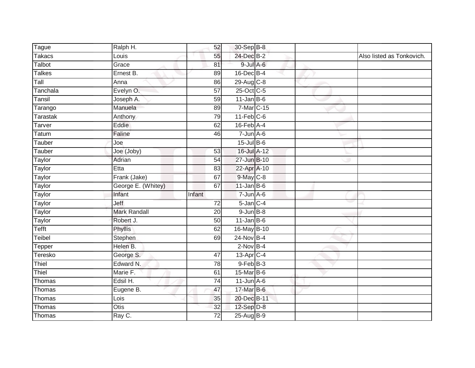| <b>Tague</b>  | Ralph H.            | 52              | 30-Sep B-8       |  |                           |
|---------------|---------------------|-----------------|------------------|--|---------------------------|
| <b>Takacs</b> | Louis               | 55              | 24-Dec B-2       |  | Also listed as Tonkovich. |
| Talbot        | Grace               | 81              | $9$ -Jul A-6     |  |                           |
| <b>Talkes</b> | Ernest B.           | 89              | 16-Dec B-4       |  |                           |
| Tall          | Anna                | 86              | 29-Aug C-8       |  |                           |
| Tanchala      | Evelyn O.           | 57              | 25-Oct C-5       |  |                           |
| Tansil        | Joseph A.           | 59              | $11$ -Jan B-6    |  |                           |
| Tarango       | Manuela             | 89              | 7-Mar C-15       |  |                           |
| Tarastak      | Anthony             | 79              | $11-Feb$ C-6     |  |                           |
| <b>Tarver</b> | Eddie               | 62              | $16$ -Feb $A$ -4 |  |                           |
| Tatum         | Faline              | 46              | $7 - Jun$ A-6    |  |                           |
| Tauber        | Joe                 |                 | $15$ -Jul $B$ -6 |  |                           |
| Tauber        | Joe (Joby)          | 53              | 16-Jul A-12      |  |                           |
| <b>Taylor</b> | Adrian              | 54              | 27-Jun B-10      |  |                           |
| <b>Taylor</b> | Etta                | 83              | 22-Apr A-10      |  |                           |
| Taylor        | Frank (Jake)        | 67              | 9-May C-8        |  |                           |
| Taylor        | George E. (Whitey)  | 67              | $11$ -Jan B-6    |  |                           |
| Taylor        | Infant              | Infant          | $7 - Jun$ A-6    |  |                           |
| Taylor        | Jeff                | $\overline{72}$ | $5$ -Jan $C-4$   |  |                           |
| <b>Taylor</b> | <b>Mark Randall</b> | 20              | $9$ -Jun $B-8$   |  |                           |
| Taylor        | Robert J.           | 50              | $11$ -Jan B-6    |  |                           |
| Tefft         | Phyllis             | 62              | 16-May B-10      |  |                           |
| Teibel        | Stephen             | 69              | 24-Nov B-4       |  |                           |
| Tepper        | Helen B.            |                 | $2-NovB-4$       |  |                           |
| Teresko       | George S.           | 47              | 13-Apr C-4       |  |                           |
| Thiel         | Edward N.           | 78              | $9$ -Feb $B$ -3  |  |                           |
| Thiel         | Marie F.            | 61              | 15-Mar B-6       |  |                           |
| Thomas        | Edsil H.            | 74              | $11$ -Jun $A$ -6 |  |                           |
| Thomas        | Eugene B.           | 47              | 17-Mar B-6       |  |                           |
| Thomas        | Lois                | 35              | 20-Dec B-11      |  |                           |
| Thomas        | Otis                | 32              | 12-Sep D-8       |  |                           |
| Thomas        | Ray C.              | $\overline{72}$ | $25-AugB-9$      |  |                           |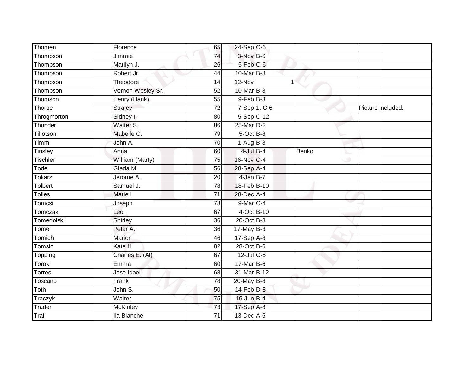| Thomen          | Florence          | 65              | 24-Sep C-6           |              |       |                   |
|-----------------|-------------------|-----------------|----------------------|--------------|-------|-------------------|
| Thompson        | Jimmie            | $\overline{74}$ | 3-Nov B-6            |              |       |                   |
| Thompson        | Marilyn J.        | 26              | 5-Feb <sup>C-6</sup> |              |       |                   |
| Thompson        | Robert Jr.        | 44              | 10-Mar B-8           |              |       |                   |
| Thompson        | Theodore          | 14              | $12-Nov$             |              | 1     |                   |
| Thompson        | Vernon Wesley Sr. | 52              | 10-Mar B-8           |              |       |                   |
| Thomson         | Henry (Hank)      | 55              | $9$ -Feb $B-3$       |              |       |                   |
| Thorpe          | Straley           | 72              |                      | 7-Sep 1, C-6 |       | Picture included. |
| Throgmorton     | Sidney I.         | 80              | 5-Sep C-12           |              |       |                   |
| Thunder         | Walter S.         | 86              | 25-Mar D-2           |              |       |                   |
| Tillotson       | Mabelle C.        | 79              | 5-Oct B-8            |              |       |                   |
| Timm            | John A.           | 70              | $1-AugB-8$           |              |       |                   |
| Tinsley         | Anna              | 60              | $4$ -Jul $B-4$       |              | Benko |                   |
| <b>Tischler</b> | William (Marty)   | 75              | 16-Nov C-4           |              |       |                   |
| Tode            | Glada M.          | 56              | 28-Sep A-4           |              |       |                   |
| <b>Tokarz</b>   | Jerome A.         | 20              | 4-Jan B-7            |              |       |                   |
| Tolbert         | Samuel J.         | 78              | 18-Feb B-10          |              |       |                   |
| <b>Tolles</b>   | Marie I.          | 71              | 28-Dec A-4           |              |       |                   |
| Tomcsi          | Joseph            | 78              | 9-Mar C-4            |              |       |                   |
| Tomczak         | Leo               | 67              | 4-Oct B-10           |              |       |                   |
| Tomedolski      | Shirley           | 36              | $20$ -Oct B-8        |              |       |                   |
| Tomei           | Peter A.          | 36              | $17$ -May B-3        |              |       |                   |
| Tomich          | Marion            | 46              | $17-Sep$ A-8         |              |       |                   |
| Tomsic          | Kate H.           | 82              | 28-Oct B-6           |              |       |                   |
| Topping         | Charles E. (AI)   | 67              | 12-Jul C-5           |              |       |                   |
| Torok           | Emma              | 60              | $17$ -Mar $B$ -6     |              |       |                   |
| Torres          | Jose Idael        | 68              | 31-Mar B-12          |              |       |                   |
| Toscano         | Frank             | 78              | $20$ -May B-8        |              |       |                   |
| Toth            | John S.           | 50              | 14-Feb D-8           |              |       |                   |
| Traczyk         | Walter            | 75              | 16-Jun B-4           |              |       |                   |
| Trader          | <b>McKinley</b>   | 73              | 17-Sep A-8           |              |       |                   |
| Trail           | Ila Blanche       | $\overline{71}$ | 13-Dec A-6           |              |       |                   |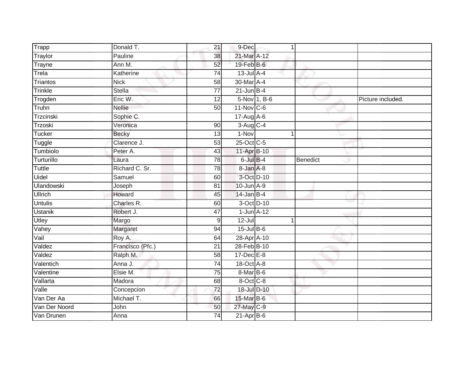| Trapp             | Donald T.        | 21               | 9-Dec            | 1            |          |                   |
|-------------------|------------------|------------------|------------------|--------------|----------|-------------------|
| Traylor           | Pauline          | 38               | 21-Mar A-12      |              |          |                   |
| Trayne            | Ann M.           | 52               | 19-Feb B-6       |              |          |                   |
| Trela             | Katherine        | 74               | $13$ -Jul $A-4$  |              |          |                   |
| Triantos          | <b>Nick</b>      | $\overline{58}$  | 30-Mar A-4       |              |          |                   |
| Trinkle           | Stella           | $\overline{77}$  | $21$ -Jun B-4    |              |          |                   |
| Trogden           | Eric W.          | 12               |                  | 5-Nov 1, B-6 |          | Picture included. |
| Truhn             | <b>Nellie</b>    | 50               | $11$ -Nov $C-6$  |              |          |                   |
| Trzcinski         | Sophie C.        |                  | 17-Aug A-6       |              |          |                   |
| Trzoski           | Veronica         | 90               | 3-Aug C-4        |              |          |                   |
| <b>Tucker</b>     | <b>Becky</b>     | 13               | 1-Nov            | 1            |          |                   |
| Tuggle            | Clarence J.      | $\overline{53}$  | 25-Oct C-5       |              |          |                   |
| Tumbiolo          | Peter A.         | 43               | 11-Apr B-10      |              |          |                   |
| Turturillo        | Laura            | 78               | $6$ -Jul $B-4$   |              | Benedict |                   |
| <b>Tuttle</b>     | Richard C. Sr.   | 78               | 8-Jan A-8        |              |          |                   |
| Uidel             | Samuel           | 60               | 3-Oct D-10       |              |          |                   |
| <b>Ulandowski</b> | Joseph           | 81               | $10$ -Jun $A-9$  |              |          |                   |
| <b>Ullrich</b>    | Howard           | 45               | $14$ -Jan B-4    |              |          |                   |
| <b>Untulis</b>    | Charles R.       | 60               | 3-Oct D-10       |              |          |                   |
| <b>Ustanik</b>    | Robert J.        | 47               | $1$ -Jun $A-12$  |              |          |                   |
| Utley             | Margo            | $\boldsymbol{9}$ | $12 -$ Jul       | 1            |          |                   |
| Vahey             | Margaret         | 94               | $15$ -Jul $B$ -6 |              |          |                   |
| Vail              | Roy A.           | 64               | 28-Apr A-10      |              |          |                   |
| Valdez            | Francisco (Pfc.) | 21               | 28-Feb B-10      |              |          |                   |
| Valdez            | Ralph M.         | 58               | 17-Dec E-8       |              |          |                   |
| Valentich         | Anna J.          | 74               | 18-Oct A-8       |              |          |                   |
| Valentine         | Elsie M.         | $\overline{75}$  | 8-Mar B-6        |              |          |                   |
| Vallarta          | Madora           | 68               | 8-Oct C-8        |              |          |                   |
| Valle             | Concepcion       | 72               | 18-Jul D-10      |              |          |                   |
| Van Der Aa        | Michael T.       | 66               | 15-Mar B-6       |              |          |                   |
| Van Der Noord     | John             | 50               | 27-May C-9       |              |          |                   |
| Van Drunen        | Anna             | 74               | $21-Apr$ B-6     |              |          |                   |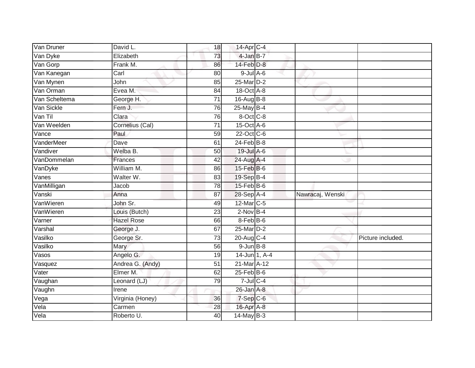| Van Druner    | David L.          | 18              | 14-Apr C-4                   |                  |                   |
|---------------|-------------------|-----------------|------------------------------|------------------|-------------------|
| Van Dyke      | Elizabeth         | 73              | $4$ -Jan B-7                 |                  |                   |
| Van Gorp      | Frank M.          | 86              | 14-Feb D-8                   |                  |                   |
| Van Kanegan   | Carl              | 80              | $9$ -Jul $A$ -6              |                  |                   |
| Van Mynen     | John              | 85              | 25-Mar D-2                   |                  |                   |
| Van Orman     | Evea M.           | 84              | 18-Oct A-8                   |                  |                   |
| Van Scheltema | George H.         | $\overline{71}$ | 16-Aug B-8                   |                  |                   |
| Van Sickle    | Fern J.           | 76              | $25$ -May B-4                |                  |                   |
| Van Til       | Clara             | 76              | 8-Oct C-8                    |                  |                   |
| Van Weelden   | Cornelius (Cal)   | 71              | 15-Oct A-6                   |                  |                   |
| Vance         | Paul              | 59              | 22-Oct C-6                   |                  |                   |
| VanderMeer    | Dave              | 61              | $24$ -Feb $B-8$              |                  |                   |
| Vandiver      | Welba B.          | 50              | 19-Jul A-6                   |                  |                   |
| VanDommelan   | <b>Frances</b>    | 42              | 24-Aug A-4                   |                  |                   |
| VanDyke       | William M.        | 86              | $15$ -Feb $B$ -6             |                  |                   |
| Vanes         | Walter W.         | 83              | 19-Sep B-4                   |                  |                   |
| VanMilligan   | Jacob             | $\overline{78}$ | $15$ -Feb $B$ -6             |                  |                   |
| Vanski        | Anna              | 87              | 28-Sep A-4                   | Nawracaj, Wenski |                   |
| VanWieren     | John Sr.          | 49              | 12-Mar C-5                   |                  |                   |
| VanWieren     | Louis (Butch)     | $\overline{23}$ | $2$ -Nov $B-4$               |                  |                   |
| Varner        | <b>Hazel Rose</b> | 66              | 8-Feb B-6                    |                  |                   |
| Varshal       | George J.         | 67              | 25-Mar D-2                   |                  |                   |
| Vasilko       | George Sr.        | 73              | 20-Aug C-4                   |                  | Picture included. |
| Vasilko       | Mary              | 56              | $9$ -Jun $B$ -8              |                  |                   |
| Vasos         | Angelo G.         | 19              | $14$ -Jun 1, A-4             |                  |                   |
| Vasquez       | Andrea G. (Andy)  | 51              | $21$ -Mar $\overline{A}$ -12 |                  |                   |
| Vater         | Elmer M.          | 62              | $25$ -Feb $B$ -6             |                  |                   |
| Vaughan       | Leonard (LJ)      | 79              | $7$ -Jul $C$ -4              |                  |                   |
| Vaughn        | Irene             |                 | $26$ -Jan $A-8$              |                  |                   |
| Vega          | Virginia (Honey)  | 36              | $7-Sep C-6$                  |                  |                   |
| Vela          | Carmen            | 28              | 16-Apr A-8                   |                  |                   |
| Vela          | Roberto U.        | $\overline{40}$ | 14-May B-3                   |                  |                   |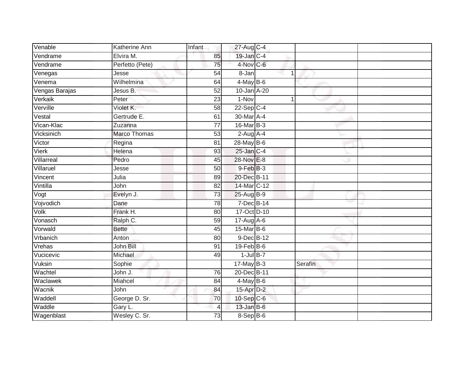| Venable        | Katherine Ann       | Infant          | 27-Aug C-4       |                |  |
|----------------|---------------------|-----------------|------------------|----------------|--|
| Vendrame       | Elvira M.           | 85              | 19-Jan C-4       |                |  |
| Vendrame       | Perfetto (Pete)     | 75              | 4-Nov C-6        |                |  |
| Venegas        | Jesse               | 54              | 8-Jan            | 1              |  |
| Venema         | Wilhelmina          | 64              | $4$ -May B-6     |                |  |
| Vengas Barajas | Jesus B.            | 52              | 10-Jan A-20      |                |  |
| Verkaik        | Peter               | 23              | 1-Nov            | $\overline{1}$ |  |
| Verville       | Violet K.           | 58              | $22-Sep$ C-4     |                |  |
| Vestal         | Gertrude E.         | 61              | 30-Mar A-4       |                |  |
| Vican-Klac     | Zuzanna             | $\overline{77}$ | 16-Mar B-3       |                |  |
| Vicksinich     | <b>Marco Thomas</b> | 53              | $2-Aug$ $A-4$    |                |  |
| Victor         | Regina              | 81              | 28-May B-6       |                |  |
| <b>Vierk</b>   | Helena              | 93              | $25$ -Jan $C-4$  |                |  |
| Villarreal     | Pedro               | 45              | 28-Nov E-8       |                |  |
| Villaruel      | Jesse               | 50              | $9$ -Feb $B$ -3  |                |  |
| Vincent        | Julia               | 89              | 20-Dec B-11      |                |  |
| Vintilla       | John                | $\overline{82}$ | 14-Mar C-12      |                |  |
| Vogt           | Evelyn J.           | 73              | 25-Aug B-9       |                |  |
| Vojvodich      | Dane                | 78              | $7$ -Dec $B$ -14 |                |  |
| Volk           | Frank H.            | 80              | 17-Oct D-10      |                |  |
| Vonasch        | Ralph C.            | 59              | 17-Aug A-6       |                |  |
| Vorwald        | <b>Bette</b>        | 45              | 15-Mar B-6       |                |  |
| Vrbanich       | Anton               | 80              | 9-Dec B-12       |                |  |
| Vrehas         | John Bill           | 91              | $19$ -Feb $B$ -6 |                |  |
| Vucicevic      | Michael             | 49              | $1$ -Jul $B-7$   |                |  |
| Vuksin         | Sophie              |                 | $17$ -May B-3    | Serafin        |  |
| Wachtel        | John J.             | 76              | 20-Dec B-11      |                |  |
| Waclawek       | Miahcel             | 84              | $4$ -May B-6     |                |  |
| Wacnik         | John                | 84              | 15-Apr D-2       |                |  |
| Waddell        | George D. Sr.       | 70              | 10-Sep C-6       |                |  |
| Waddle         | Gary L.             | $\overline{4}$  | $13$ -Jan B-6    |                |  |
| Wagenblast     | Wesley C. Sr.       | 73              | 8-Sep B-6        |                |  |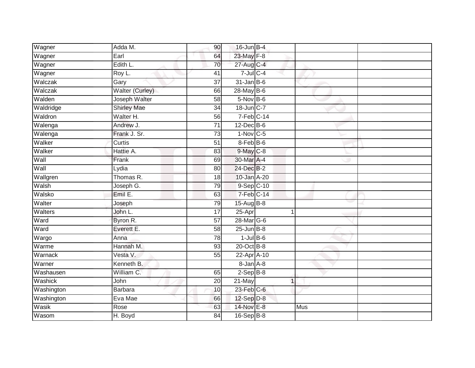| Wagner     | Adda M.                | 90 <sup>°</sup> | $16$ -Jun $B-4$             |             |     |  |
|------------|------------------------|-----------------|-----------------------------|-------------|-----|--|
| Wagner     | Earl                   | 64              | 23-May F-8                  |             |     |  |
| Wagner     | Edith L.               | 70              | 27-Aug C-4                  |             |     |  |
| Wagner     | Roy L.                 | 41              | $7$ -Jul $C$ -4             |             |     |  |
| Walczak    | Gary                   | $\overline{37}$ | $31$ -Jan B-6               |             |     |  |
| Walczak    | <b>Walter (Curley)</b> | 66              | 28-May B-6                  |             |     |  |
| Walden     | Joseph Walter          | 58              | $5-Nov$ B-6                 |             |     |  |
| Waldridge  | <b>Shirley Mae</b>     | $\overline{34}$ | 18-Jun C-7                  |             |     |  |
| Waldron    | Walter H.              | 56              | 7-Feb C-14                  |             |     |  |
| Walenga    | Andrew J.              | 71              | 12-Dec B-6                  |             |     |  |
| Walenga    | Frank J. Sr.           | 73              | $1-Nov$ <sub>C-5</sub>      |             |     |  |
| Walker     | Curtis                 | 51              | 8-Feb B-6                   |             |     |  |
| Walker     | Hattie A.              | 83              | $9$ -May $C$ -8             |             |     |  |
| Wall       | Frank                  | 69              | 30-Mar A-4                  |             |     |  |
| Wall       | Lydia                  | 80              | 24-Dec B-2                  |             |     |  |
| Wallgren   | Thomas R.              | 18              | 10-Jan A-20                 |             |     |  |
| Walsh      | Joseph G.              | 79              | 9-Sep C-10                  |             |     |  |
| Walsko     | Emil E.                | 63              | $7-Feb$ C-14                |             |     |  |
| Walter     | Joseph                 | 79              | 15-Aug B-8                  |             |     |  |
| Walters    | John L.                | $\overline{17}$ | $25 - Apr$                  | 1           |     |  |
| Ward       | Byron R.               | $\overline{57}$ | 28-Mar G-6                  |             |     |  |
| Ward       | Everett E.             | 58              | $25$ -Jun $B$ -8            |             |     |  |
| Wargo      | Anna                   | 78              | $1$ -Jul $B$ -6             |             |     |  |
| Warme      | Hannah M.              | 93              | $20$ -Oct $\overline{B}$ -8 |             |     |  |
| Warnack    | Vesta V.               | 55              | 22-Apr A-10                 |             |     |  |
| Warner     | Kenneth B.             |                 | 8-Jan A-8                   |             |     |  |
| Washausen  | William C.             | 65              | $2-Sep$ B-8                 |             |     |  |
| Washick    | John                   | 20              | 21-May                      | $\mathbf 1$ |     |  |
| Washington | <b>Barbara</b>         | 10              | $23$ -Feb $C-6$             |             |     |  |
| Washington | Eva Mae                | 66              | $12$ -Sep $D-8$             |             |     |  |
| Wasik      | Rose                   | 63              | 14-Nov E-8                  |             | Mus |  |
| Wasom      | H. Boyd                | $\overline{84}$ | 16-Sep B-8                  |             |     |  |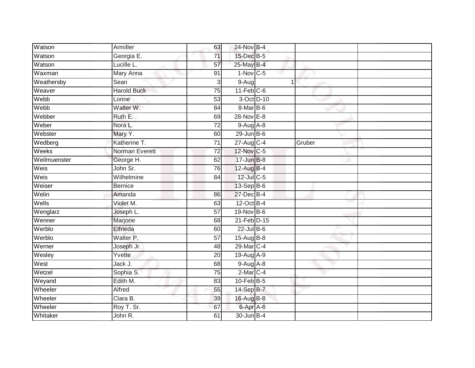| Armiller           | 63              |                |                                                                                                                                                                                                                                                                                                                                                                                                                                                                                                |  |
|--------------------|-----------------|----------------|------------------------------------------------------------------------------------------------------------------------------------------------------------------------------------------------------------------------------------------------------------------------------------------------------------------------------------------------------------------------------------------------------------------------------------------------------------------------------------------------|--|
| Georgia E.         | 71              |                |                                                                                                                                                                                                                                                                                                                                                                                                                                                                                                |  |
| Lucille L.         | 57              |                |                                                                                                                                                                                                                                                                                                                                                                                                                                                                                                |  |
| Mary Anna          | 91              |                |                                                                                                                                                                                                                                                                                                                                                                                                                                                                                                |  |
| Sean               | 3               | $\overline{1}$ |                                                                                                                                                                                                                                                                                                                                                                                                                                                                                                |  |
| <b>Harold Buck</b> | $\overline{75}$ |                |                                                                                                                                                                                                                                                                                                                                                                                                                                                                                                |  |
| Lorine             | $\overline{53}$ |                |                                                                                                                                                                                                                                                                                                                                                                                                                                                                                                |  |
| Walter W.          | 84              |                |                                                                                                                                                                                                                                                                                                                                                                                                                                                                                                |  |
| Ruth E.            | 69              |                |                                                                                                                                                                                                                                                                                                                                                                                                                                                                                                |  |
| Nora L.            | $\overline{72}$ |                |                                                                                                                                                                                                                                                                                                                                                                                                                                                                                                |  |
| Mary Y.            | 60              |                |                                                                                                                                                                                                                                                                                                                                                                                                                                                                                                |  |
| Katherine T.       | $\overline{71}$ |                | Gruber                                                                                                                                                                                                                                                                                                                                                                                                                                                                                         |  |
| Norman Everett     | $\overline{72}$ |                |                                                                                                                                                                                                                                                                                                                                                                                                                                                                                                |  |
| George H.          | 62              |                |                                                                                                                                                                                                                                                                                                                                                                                                                                                                                                |  |
| John Sr.           | 76              |                |                                                                                                                                                                                                                                                                                                                                                                                                                                                                                                |  |
| Wilhelmine         | 84              |                |                                                                                                                                                                                                                                                                                                                                                                                                                                                                                                |  |
| <b>Bernice</b>     |                 |                |                                                                                                                                                                                                                                                                                                                                                                                                                                                                                                |  |
| Amanda             | 86              |                |                                                                                                                                                                                                                                                                                                                                                                                                                                                                                                |  |
| Violet M.          | 63              |                |                                                                                                                                                                                                                                                                                                                                                                                                                                                                                                |  |
| Joseph L.          | $\overline{57}$ |                |                                                                                                                                                                                                                                                                                                                                                                                                                                                                                                |  |
| Marjorie           | 68              |                |                                                                                                                                                                                                                                                                                                                                                                                                                                                                                                |  |
| Elfrieda           | 60              |                |                                                                                                                                                                                                                                                                                                                                                                                                                                                                                                |  |
| Walter P.          | 57              |                |                                                                                                                                                                                                                                                                                                                                                                                                                                                                                                |  |
| Joseph Jr.         | 48              |                |                                                                                                                                                                                                                                                                                                                                                                                                                                                                                                |  |
| Yvette             | 20              |                |                                                                                                                                                                                                                                                                                                                                                                                                                                                                                                |  |
| Jack J.            | 68              |                |                                                                                                                                                                                                                                                                                                                                                                                                                                                                                                |  |
| Sophia S.          | $\overline{75}$ |                |                                                                                                                                                                                                                                                                                                                                                                                                                                                                                                |  |
| Edith M.           | 83              |                |                                                                                                                                                                                                                                                                                                                                                                                                                                                                                                |  |
| Alfred             | 55              |                |                                                                                                                                                                                                                                                                                                                                                                                                                                                                                                |  |
| Clara B.           | 39              |                |                                                                                                                                                                                                                                                                                                                                                                                                                                                                                                |  |
| Roy T. Sr.         | 67              |                |                                                                                                                                                                                                                                                                                                                                                                                                                                                                                                |  |
| John R.            | 61              |                |                                                                                                                                                                                                                                                                                                                                                                                                                                                                                                |  |
|                    |                 |                | 24-Nov B-4<br>15-Dec B-5<br>25-May B-4<br>$1-Nov$ C-5<br>$9-Aug$<br>$11-Feb$ C-6<br>3-Oct D-10<br>8-Mar B-6<br>28-Nov E-8<br>$9-Aug$ $A-8$<br>$29$ -Jun $B$ -6<br>27-Aug C-4<br>12-Nov C-5<br>$17 - Jun$ B-8<br>12-Aug B-4<br>12-Jul C-5<br>13-Sep B-6<br>27-Dec B-4<br>12-Oct B-4<br>19-Nov B-6<br>21-Feb D-15<br>$22$ -Jul B-6<br>15-Aug B-8<br>29-Mar C-4<br>$19$ -Aug $A$ -9<br>$9-Aug$ $A-8$<br>$2$ -Mar $C-4$<br>$10$ -Feb $B$ -5<br>14-Sep B-7<br>16-Aug B-8<br>6-Apr A-6<br>30-Jun B-4 |  |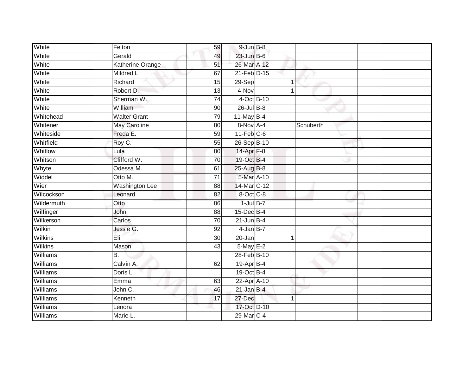| White           | Felton                | 59              | $9$ -Jun $B$ -8       |           |  |
|-----------------|-----------------------|-----------------|-----------------------|-----------|--|
| White           | Gerald                | 49              | 23-Jun B-6            |           |  |
| White           | Katherine Orange      | 51              | 26-Mar A-12           |           |  |
| White           | Mildred L.            | 67              | 21-Feb D-15           |           |  |
| White           | Richard               | 15              | 29-Sep                |           |  |
| White           | Robert D.             | 13              | 4-Nov                 |           |  |
| White           | Sherman W.            | 74              | 4-Oct B-10            |           |  |
| White           | William               | 90              | 26-Jul B-8            |           |  |
| Whitehead       | <b>Walter Grant</b>   | 79              | $11$ -May B-4         |           |  |
| Whitener        | <b>May Caroline</b>   | 80              | 8-Nov A-4             | Schuberth |  |
| Whiteside       | Freda E.              | 59              | $11-Feb$ C-6          |           |  |
| Whitfield       | Roy C.                | 55              | 26-Sep B-10           |           |  |
| Whitlow         | Lula                  | 80              | 14-Apr $F-8$          |           |  |
| Whitson         | Clifford W.           | 70              | 19-Oct B-4            |           |  |
| Whyte           | Odessa M.             | 61              | 25-Aug B-8            |           |  |
| Widdel          | Otto M.               | $\overline{71}$ | 5-Mar A-10            |           |  |
| Wier            | <b>Washington Lee</b> | $\overline{88}$ | 14-Mar C-12           |           |  |
| Wilcockson      | Leonard               | 82              | 8-Oct C-8             |           |  |
| Wildermuth      | Otto                  | 86              | $1$ -Jul B-7          |           |  |
| Wilfinger       | <b>John</b>           | $\overline{88}$ | 15-Dec B-4            |           |  |
| Wilkerson       | Carlos                | 70              | $21$ -Jun B-4         |           |  |
| Wilkin          | Jessie G.             | $\overline{92}$ | $4-JanB-7$            |           |  |
| <b>Wilkins</b>  | Èli                   | 30 <sub>0</sub> | 20-Jan                | 1         |  |
| <b>Wilkins</b>  | Mason                 | 43              | 5-May E-2             |           |  |
| Williams        | <b>B.</b>             |                 | 28-Feb B-10           |           |  |
| Williams        | Calvin A.             | 62              | 19-Apr B-4            |           |  |
| Williams        | Doris L.              |                 | 19-Oct B-4            |           |  |
| <b>Williams</b> | Emma                  | 63              | 22-Apr A-10           |           |  |
| Williams        | John C.               | 46              | $21$ -Jan B-4         |           |  |
| Williams        | Kenneth               | 17              | 27-Dec                | 1         |  |
| Williams        | Lenora                |                 | 17-Oct D-10           |           |  |
| Williams        | Marie L.              |                 | 29-Mar <sub>C-4</sub> |           |  |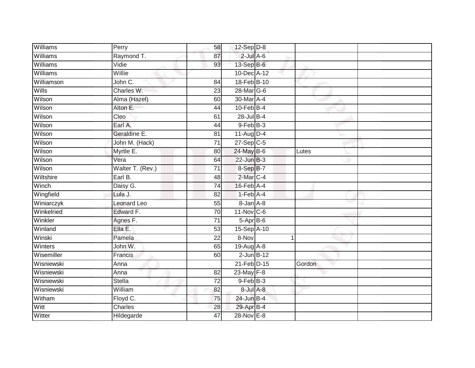| Williams     | Perry              | 58              | $12$ -Sep $ D-8 $ |        |  |
|--------------|--------------------|-----------------|-------------------|--------|--|
| Williams     | Raymond T.         | 87              | $2$ -Jul $A$ -6   |        |  |
| Williams     | Vidie              | 93              | 13-Sep B-6        |        |  |
| Williams     | Willie             |                 | 10-Dec A-12       |        |  |
| Williamson   | John C.            | 84              | 18-Feb B-10       |        |  |
| <b>Wills</b> | Charles W.         | 23              | 28-Mar G-6        |        |  |
| Wilson       | Alma (Hazel)       | 60              | 30-Mar A-4        |        |  |
| Wilson       | Alton E.           | 44              | $10$ -Feb $B-4$   |        |  |
| Wilson       | Cleo               | 61              | 28-Jul B-4        |        |  |
| Wilson       | Earl A.            | 44              | $9$ -Feb $B$ -3   |        |  |
| Wilson       | Geraldine E.       | 81              | $11-Aug$ D-4      |        |  |
| Wilson       | John M. (Hack)     | $\overline{71}$ | $27-Sep$ C-5      |        |  |
| Wilson       | Myrtle E.          | 80              | 24-May B-6        | Lutes  |  |
| Wilson       | Vera               | 64              | $22$ -Jun $B-3$   |        |  |
| Wilson       | Walter T. (Rev.)   | $\overline{71}$ | 8-Sep B-7         |        |  |
| Wiltshire    | Earl B.            | 48              | 2-Mar C-4         |        |  |
| Winch        | Daisy G.           | $\overline{74}$ | $16$ -Feb $A$ -4  |        |  |
| Wingfield    | Lula J.            | 82              | $1-Feb$ A-4       |        |  |
| Winiarczyk   | <b>Leonard Leo</b> | 55              | 8-Jan A-8         |        |  |
| Winkelried   | Edward F.          | 70              | 11-Nov C-6        |        |  |
| Winkler      | Agnes F.           | 71              | $5-Apr$ B-6       |        |  |
| Winland      | Ella E.            | 53              | 15-Sep A-10       |        |  |
| Winski       | Pamela             | 22              | 8-Nov             | 1      |  |
| Winters      | John W.            | 65              | 19-Aug A-8        |        |  |
| Wisemiller   | Francis            | 60              | $2$ -Jun $B-12$   |        |  |
| Wisniewski   | Anna               |                 | 21-Feb D-15       | Gordon |  |
| Wisniewski   | Anna               | $\overline{82}$ | $23$ -May $F-8$   |        |  |
| Wisniewski   | <b>Stella</b>      | 72              | $9$ -Feb $B-3$    |        |  |
| Wisniewski   | William            | 82              | 8-Jul A-8         |        |  |
| Witham       | Floyd C.           | 75              | $24$ -Jun B-4     |        |  |
| Witt         | Charles            | 28              | 29-Apr B-4        |        |  |
| Witter       | Hildegarde         | 47              | 28-Nov E-8        |        |  |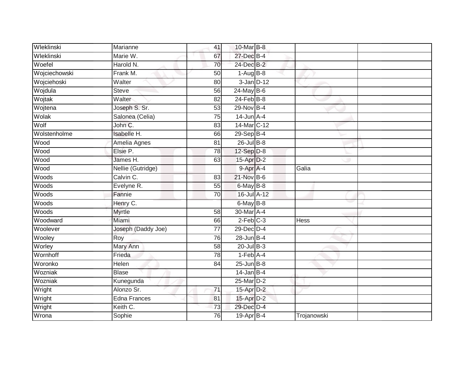| Wleklinski    | Marianne            | 41              | 10-Mar B-8             |             |  |
|---------------|---------------------|-----------------|------------------------|-------------|--|
| Wleklinski    | Marie W.            | 67              | 27-Dec B-4             |             |  |
| Woefel        | Harold N.           | 70              | 24-Dec B-2             |             |  |
| Wojciechowski | Frank M.            | 50              | $1-Aug$ B-8            |             |  |
| Wojciehoski   | Walter              | 80              | $3 - Jan$ $D-12$       |             |  |
| Wojdula       | <b>Steve</b>        | 56              | 24-May B-6             |             |  |
| Wojtak        | Walter              | 82              | $24$ -Feb $B-8$        |             |  |
| Wojtena       | Joseph S. Sr.       | 53              | 29-Nov B-4             |             |  |
| Wolak         | Salonea (Celia)     | 75              | $14$ -Jun $A$ -4       |             |  |
| Wolf          | John C.             | 83              | 14-Mar C-12            |             |  |
| Wolstenholme  | Isabelle H.         | 66              | $29-Sep$ B-4           |             |  |
| Wood          | Amelia Agnes        | 81              | $26$ -Jul B-8          |             |  |
| Wood          | Elsie P.            | 78              | $12-Sep$ $D-8$         |             |  |
| Wood          | James H.            | 63              | 15-Apr D-2             |             |  |
| Wood          | Nellie (Gutridge)   |                 | 9-Apr A-4              | Galia       |  |
| Woods         | Calvin C.           | 83              | 21-Nov B-6             |             |  |
| Woods         | Evelyne R.          | 55              | $6$ -May $B$ -8        |             |  |
| Woods         | Fannie              | 70              | 16-Jul A-12            |             |  |
| Woods         | Henry C.            |                 | $6$ -May $B$ -8        |             |  |
| Woods         | <b>Myrtle</b>       | 58              | 30-Mar A-4             |             |  |
| Woodward      | Miami               | 66              | $2-Feb$ <sub>C-3</sub> | <b>Hess</b> |  |
| Woolever      | Joseph (Daddy Joe)  | $\overline{77}$ | 29-Dec D-4             |             |  |
| Wooley        | Roy                 | $\overline{76}$ | $28$ -Jun $B-4$        |             |  |
| Worley        | Mary Ann            | 58              | $20$ -Jul $B-3$        |             |  |
| Wornhoff      | Frieda              | 78              | $1-Feb$ A-4            |             |  |
| Woronko       | Helen               | 84              | $25$ -Jun $B-8$        |             |  |
| Wozniak       | <b>Blase</b>        |                 | $14$ -Jan B-4          |             |  |
| Wozniak       | Kunegunda           |                 | 25-Mar D-2             |             |  |
| Wright        | Alonzo Sr.          | 71              | 15-Apr D-2             |             |  |
| Wright        | <b>Edna Frances</b> | 81              | 15-Apr D-2             |             |  |
| Wright        | Keith C.            | $\overline{73}$ | 29-Dec D-4             |             |  |
| Wrona         | Sophie              | 76              | 19-Apr B-4             | Trojanowski |  |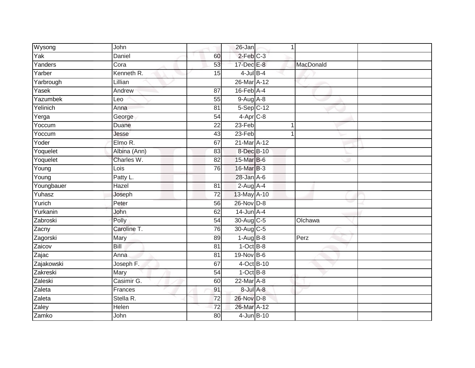| Wysong     | John          |                 | 26-Jan                     | 1 |           |  |
|------------|---------------|-----------------|----------------------------|---|-----------|--|
| Yak        | <b>Daniel</b> | 60              | $2$ -Feb $C-3$             |   |           |  |
| Yanders    | Cora          | 53              | 17-Dec E-8                 |   | MacDonald |  |
| Yarber     | Kenneth R.    | 15              | $4$ -Jul B-4               |   |           |  |
| Yarbrough  | Lillian       |                 | 26-Mar A-12                |   |           |  |
| Yasek      | Andrew        | 87              | $16$ -Feb $\overline{A-4}$ |   |           |  |
| Yazumbek   | Leo           | $\overline{55}$ | $9-Aug$ $A-8$              |   |           |  |
| Yelinich   | Anna          | 81              | $5-Sep$ $C-12$             |   |           |  |
| Yerga      | George        | $\overline{54}$ | $4-Apr$ C-8                |   |           |  |
| Yoccum     | Duane         | 22              | 23-Feb                     | 1 |           |  |
| Yoccum     | Jesse         | 43              | 23-Feb                     | 1 |           |  |
| Yoder      | Elmo R.       | 67              | 21-Mar A-12                |   |           |  |
| Yoquelet   | Albina (Ann)  | 83              | 8-Dec B-10                 |   |           |  |
| Yoquelet   | Charles W.    | 82              | 15-Mar B-6                 |   |           |  |
| Young      | Lois          | 76              | 16-Mar B-3                 |   |           |  |
| Young      | Patty L.      |                 | $28$ -Jan $A$ -6           |   |           |  |
| Youngbauer | Hazel         | $\overline{81}$ | $2-Aug$ A-4                |   |           |  |
| Yuhasz     | Joseph        | $\overline{72}$ | 13-May A-10                |   |           |  |
| Yurich     | Peter         | 56              | 26-Nov D-8                 |   |           |  |
| Yurkanin   | John          | 62              | $14$ -Jun $A-4$            |   |           |  |
| Zabroski   | Polly         | 54              | 30-Aug C-5                 |   | Olchawa   |  |
| Zacny      | Caroline T.   | 76              | 30-Aug C-5                 |   |           |  |
| Zagorski   | Mary          | 89              | $1-AugB-8$                 |   | Perz      |  |
| Zaicov     | Bill          | 81              | $1-Oct$ B-8                |   |           |  |
| Zajac      | Anna          | 81              | 19-Nov B-6                 |   |           |  |
| Zajakowski | Joseph F.     | 67              | 4-Oct B-10                 |   |           |  |
| Zakreski   | Mary          | 54              | $1-OctB-8$                 |   |           |  |
| Zaleski    | Casimir G.    | 60              | 22-Mar A-8                 |   |           |  |
| Zaleta     | Frances       | 91              | 8-Jul A-8                  |   |           |  |
| Zaleta     | Stella R.     | $\overline{72}$ | 26-Nov D-8                 |   |           |  |
| Zaley      | Helen         | $\overline{72}$ | 26-Mar A-12                |   |           |  |
| Zamko      | John          | $\overline{80}$ | 4-Jun B-10                 |   |           |  |